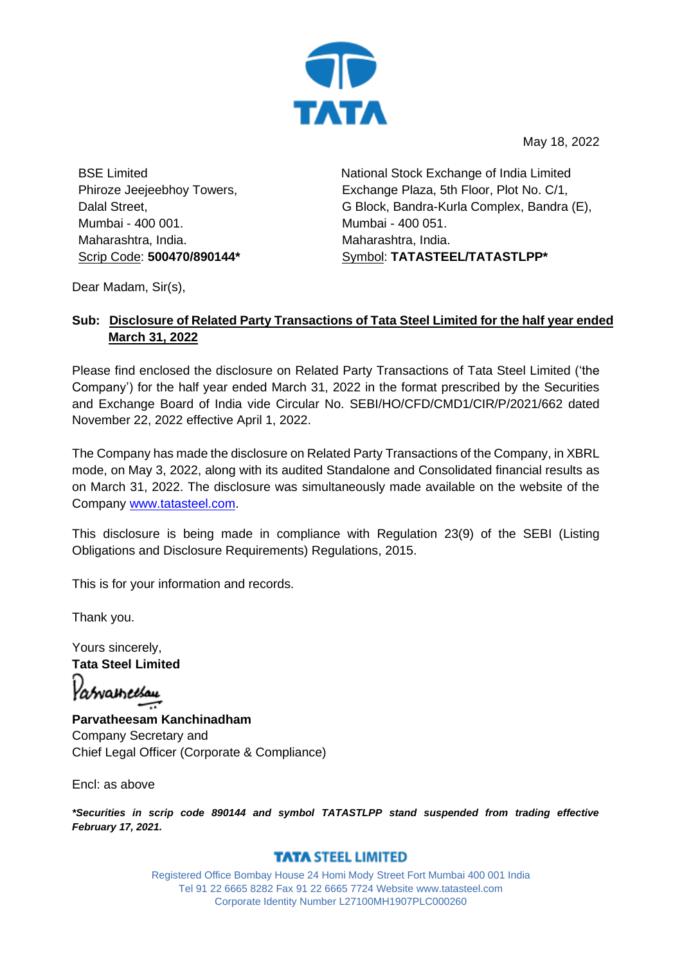

May 18, 2022

BSE Limited Phiroze Jeejeebhoy Towers, Dalal Street, Mumbai - 400 001. Maharashtra, India. Scrip Code: **500470/890144\*** National Stock Exchange of India Limited Exchange Plaza, 5th Floor, Plot No. C/1, G Block, Bandra-Kurla Complex, Bandra (E), Mumbai - 400 051. Maharashtra, India. Symbol: **TATASTEEL/TATASTLPP\***

Dear Madam, Sir(s),

## **Sub: Disclosure of Related Party Transactions of Tata Steel Limited for the half year ended March 31, 2022**

Please find enclosed the disclosure on Related Party Transactions of Tata Steel Limited ('the Company') for the half year ended March 31, 2022 in the format prescribed by the Securities and Exchange Board of India vide Circular No. SEBI/HO/CFD/CMD1/CIR/P/2021/662 dated November 22, 2022 effective April 1, 2022.

The Company has made the disclosure on Related Party Transactions of the Company, in XBRL mode, on May 3, 2022, along with its audited Standalone and Consolidated financial results as on March 31, 2022. The disclosure was simultaneously made available on the website of the Company [www.tatasteel.com.](http://www.tatasteel.com/)

This disclosure is being made in compliance with Regulation 23(9) of the SEBI (Listing Obligations and Disclosure Requirements) Regulations, 2015.

This is for your information and records.

Thank you.

Yours sincerely, **Tata Steel Limited**

Yasvameesau

**Parvatheesam Kanchinadham** Company Secretary and Chief Legal Officer (Corporate & Compliance)

Encl: as above

*\*Securities in scrip code 890144 and symbol TATASTLPP stand suspended from trading effective February 17, 2021.*

## **TATA STEEL LIMITED**

Registered Office Bombay House 24 Homi Mody Street Fort Mumbai 400 001 India Tel 91 22 6665 8282 Fax 91 22 6665 7724 Website www.tatasteel.com Corporate Identity Number L27100MH1907PLC000260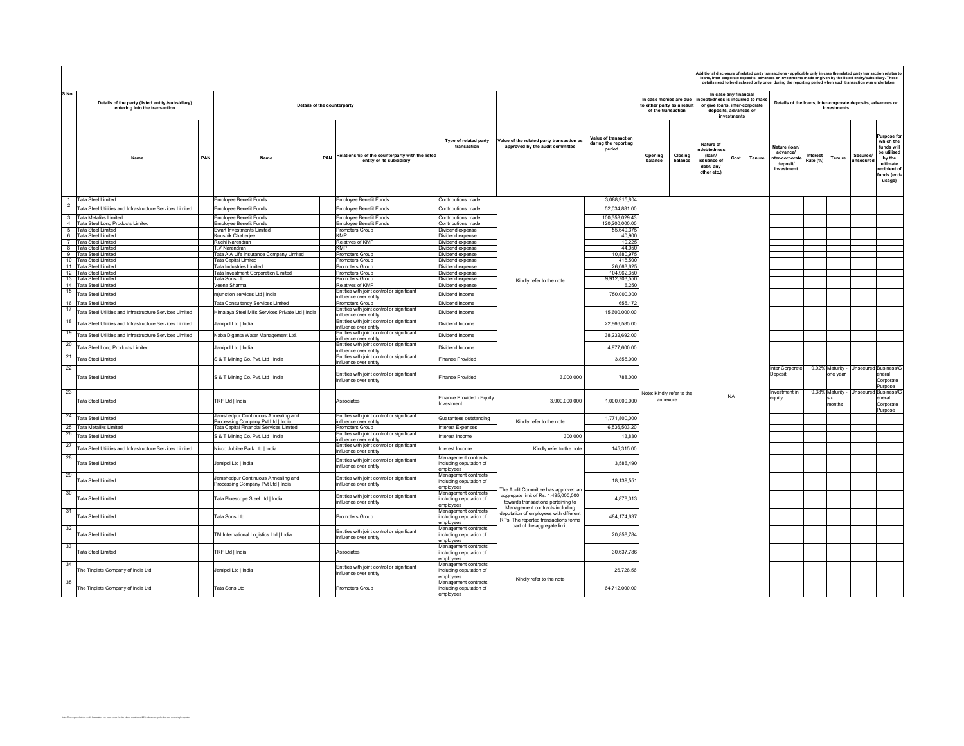|                |                                                                                   |     |                                                                           |     |                                                                                             |                                                              |                                                                                                                                                  |                                                        |                                                                            |                    | dditional disclosure of related party transactions - applicable only in case the related party transaction relates t<br>loans, inter-corporate deposits, advances or investments made or given by the listed entity/subsidiary. These<br>details need to be disclosed only once, during the reporting period when such transaction was undertaken.<br>In case any financial<br>edness is incurred to make<br>Details of the loans, inter-corporate deposits, advances or |                                      |        |                                                                      |                      |                              |                     |                                                                                                                  |
|----------------|-----------------------------------------------------------------------------------|-----|---------------------------------------------------------------------------|-----|---------------------------------------------------------------------------------------------|--------------------------------------------------------------|--------------------------------------------------------------------------------------------------------------------------------------------------|--------------------------------------------------------|----------------------------------------------------------------------------|--------------------|--------------------------------------------------------------------------------------------------------------------------------------------------------------------------------------------------------------------------------------------------------------------------------------------------------------------------------------------------------------------------------------------------------------------------------------------------------------------------|--------------------------------------|--------|----------------------------------------------------------------------|----------------------|------------------------------|---------------------|------------------------------------------------------------------------------------------------------------------|
| S.No.          | Details of the party (listed entity /subsidiary)<br>entering into the transaction |     | Details of the counterparty                                               |     |                                                                                             |                                                              |                                                                                                                                                  |                                                        | In case monies are due<br>o either party as a result<br>of the transaction |                    | or give loans, inter-corporate                                                                                                                                                                                                                                                                                                                                                                                                                                           | deposits, advances or<br>investments |        |                                                                      |                      | investments                  |                     |                                                                                                                  |
|                | Name                                                                              | PAN | Name                                                                      | PAN | Relationship of the counterparty with the listed<br>entity or its subsidiary                | Type of related party<br>transaction                         | Value of the related party transaction as<br>approved by the audit committee                                                                     | Value of transaction<br>during the reporting<br>period | Opening<br>balance                                                         | Closing<br>balance | Nature of<br>debtednes<br>(loan/<br>issuance of<br>debt/ any<br>other etc.)                                                                                                                                                                                                                                                                                                                                                                                              | Cost                                 | Tenure | Nature (Ioan)<br>advancel<br>ter-corporate<br>deposit/<br>investment | Interest<br>Rate (%) | Tenure                       | Secured<br>unsecure | Purpose fo<br>which the<br>funds wil<br>ho utilisori<br>by the<br>ultimate<br>ecipient o<br>funds (end<br>usage) |
|                | 1 Tata Steel Limited                                                              |     | Employee Benefit Funds                                                    |     | Employee Benefit Funds                                                                      | Contributions made                                           |                                                                                                                                                  | 3,088,915,804                                          |                                                                            |                    |                                                                                                                                                                                                                                                                                                                                                                                                                                                                          |                                      |        |                                                                      |                      |                              |                     |                                                                                                                  |
| $\overline{2}$ | Fata Steel Utilities and Infrastructure Services Limited                          |     | Employee Benefit Funds                                                    |     | Employee Benefit Funds                                                                      | Contributions made                                           |                                                                                                                                                  | 52,034,881.00                                          |                                                                            |                    |                                                                                                                                                                                                                                                                                                                                                                                                                                                                          |                                      |        |                                                                      |                      |                              |                     |                                                                                                                  |
|                | 3 Tata Metaliks Limited                                                           |     | Employee Benefit Funds                                                    |     | Employee Benefit Funds                                                                      | Contributions made                                           |                                                                                                                                                  | 100,358,029.43                                         |                                                                            |                    |                                                                                                                                                                                                                                                                                                                                                                                                                                                                          |                                      |        |                                                                      |                      |                              |                     |                                                                                                                  |
|                | 4 Tata Steel Long Products Limited                                                |     | Employee Benefit Funds                                                    |     | <b>Employee Benefit Funds</b>                                                               | Contributions made                                           |                                                                                                                                                  | 120,200,000.00                                         |                                                                            |                    |                                                                                                                                                                                                                                                                                                                                                                                                                                                                          |                                      |        |                                                                      |                      |                              |                     |                                                                                                                  |
|                | 5 Tata Steel Limited<br>6 Tata Steel Limited                                      |     | Ewart Investments Limited<br>Koushik Chatterjee                           |     | Promoters Group<br><b>KMP</b>                                                               | lividend expense<br>Dividend expense                         |                                                                                                                                                  | 55,649,375<br>40,900                                   |                                                                            |                    |                                                                                                                                                                                                                                                                                                                                                                                                                                                                          |                                      |        |                                                                      |                      |                              |                     |                                                                                                                  |
|                | 7 Tata Steel Limited                                                              |     | Ruchi Narendran                                                           |     | Relatives of KMP                                                                            | Dividend expense                                             |                                                                                                                                                  | 10,225                                                 |                                                                            |                    |                                                                                                                                                                                                                                                                                                                                                                                                                                                                          |                                      |        |                                                                      |                      |                              |                     |                                                                                                                  |
|                | 8 Tata Steel Limited                                                              |     | TV Narendran                                                              |     | <b>KMP</b>                                                                                  | Dividend expense                                             |                                                                                                                                                  | 44,050                                                 |                                                                            |                    |                                                                                                                                                                                                                                                                                                                                                                                                                                                                          |                                      |        |                                                                      |                      |                              |                     |                                                                                                                  |
|                | 9 Tata Steel Limited<br>10 Tata Steel Limited                                     |     | Tata AIA Life Insurance Company Limited<br>Tata Capital Limited           |     | Promoters Group<br>Promoters Group                                                          | <b>Jividend expense</b><br>lividend expense                  |                                                                                                                                                  | 10,880,975<br>418,500                                  |                                                                            |                    |                                                                                                                                                                                                                                                                                                                                                                                                                                                                          |                                      |        |                                                                      |                      |                              |                     |                                                                                                                  |
|                | 11 Tata Steel Limited                                                             |     | Tata Industries Limited                                                   |     | Promoters Group                                                                             | lividend expense                                             |                                                                                                                                                  | 26,063,625                                             |                                                                            |                    |                                                                                                                                                                                                                                                                                                                                                                                                                                                                          |                                      |        |                                                                      |                      |                              |                     |                                                                                                                  |
|                | 12 Tata Steel Limited                                                             |     | Fata Investment Corporation Limited                                       |     | Promoters Group                                                                             | lividend expense                                             |                                                                                                                                                  | 104,962,350                                            |                                                                            |                    |                                                                                                                                                                                                                                                                                                                                                                                                                                                                          |                                      |        |                                                                      |                      |                              |                     |                                                                                                                  |
|                | 13 Tata Steel Limited<br>14 Tata Steel Limited                                    |     | Tata Sons Ltd<br>/eena Sharma                                             |     | Promoters Group<br>Relatives of KMP                                                         | Dividend expense<br>Dividend expense                         | Kindly refer to the note                                                                                                                         | 9,912,703,550<br>6,250                                 |                                                                            |                    |                                                                                                                                                                                                                                                                                                                                                                                                                                                                          |                                      |        |                                                                      |                      |                              |                     |                                                                                                                  |
| 15             |                                                                                   |     |                                                                           |     | Entities with joint control or significant                                                  |                                                              |                                                                                                                                                  |                                                        |                                                                            |                    |                                                                                                                                                                                                                                                                                                                                                                                                                                                                          |                                      |        |                                                                      |                      |                              |                     |                                                                                                                  |
|                | <b>Tata Steel Limited</b>                                                         |     | mjunction services Ltd   India                                            |     | nfluence over entity                                                                        | lividend Income                                              |                                                                                                                                                  | 750,000,000                                            |                                                                            |                    |                                                                                                                                                                                                                                                                                                                                                                                                                                                                          |                                      |        |                                                                      |                      |                              |                     |                                                                                                                  |
| 16<br>17       | <b>Tata Steel Limited</b>                                                         |     | Tata Consultancy Services Limited                                         |     | Promoters Group<br>Entities with joint control or significant                               | lividend Income                                              |                                                                                                                                                  | 655,172                                                |                                                                            |                    |                                                                                                                                                                                                                                                                                                                                                                                                                                                                          |                                      |        |                                                                      |                      |                              |                     |                                                                                                                  |
|                | ata Steel Utilities and Infrastructure Services Limited                           |     | Iimalaya Steel Mills Services Private Ltd   India                         |     | influence over entity                                                                       | lividend Income                                              |                                                                                                                                                  | 15,600,000.00                                          |                                                                            |                    |                                                                                                                                                                                                                                                                                                                                                                                                                                                                          |                                      |        |                                                                      |                      |                              |                     |                                                                                                                  |
| 18             | <b>Tata Steel Utilities and Infrastructure Services Limited</b>                   |     | Jamipol Ltd   India                                                       |     | Entities with joint control or significant<br>influence over entity                         | Dividend Income                                              |                                                                                                                                                  | 22,866,585.00                                          |                                                                            |                    |                                                                                                                                                                                                                                                                                                                                                                                                                                                                          |                                      |        |                                                                      |                      |                              |                     |                                                                                                                  |
| 19             | Fata Steel Utilities and Infrastructure Services Limited                          |     | Naba Diganta Water Management Ltd                                         |     | Entities with joint control or significant<br>influence over entity                         | Dividend Income                                              |                                                                                                                                                  | 38,232,692.00                                          |                                                                            |                    |                                                                                                                                                                                                                                                                                                                                                                                                                                                                          |                                      |        |                                                                      |                      |                              |                     |                                                                                                                  |
| 20             | ata Steel Long Products Limited                                                   |     | lamipol Ltd   India                                                       |     | Entities with joint control or significant<br>nfluence over entity                          | lividend Income                                              |                                                                                                                                                  | 4.977.600.00                                           |                                                                            |                    |                                                                                                                                                                                                                                                                                                                                                                                                                                                                          |                                      |        |                                                                      |                      |                              |                     |                                                                                                                  |
| 21             | <b>Tata Steel Limited</b>                                                         |     | S & T Mining Co. Pvt. Ltd   India                                         |     | Entities with joint control or significant<br>influence over entity                         | inance Provided                                              |                                                                                                                                                  | 3,855,000                                              |                                                                            |                    |                                                                                                                                                                                                                                                                                                                                                                                                                                                                          |                                      |        |                                                                      |                      |                              |                     |                                                                                                                  |
| 22             | <b>Fata Steel Limited</b>                                                         |     | S & T Mining Co. Pvt. Ltd   India                                         |     | Entities with joint control or significant<br>influence over entity                         | Finance Provided                                             | 3,000,000                                                                                                                                        | 788,000                                                |                                                                            |                    |                                                                                                                                                                                                                                                                                                                                                                                                                                                                          |                                      |        | Inter Corporate<br>Deposit                                           |                      | 9.92% Maturity -<br>one vear |                     | <b>Unsecured Business/G</b><br>eneral<br>Corporate<br>Purpose                                                    |
| 23             | <b>Tata Steel Limited</b>                                                         |     | TRF Ltd   India                                                           |     | Associates                                                                                  | inance Provided - Equity<br><b>vestment</b>                  | 3,900,000,000                                                                                                                                    | 1,000,000,000                                          | Note: Kindly refer to the<br>annexure                                      |                    |                                                                                                                                                                                                                                                                                                                                                                                                                                                                          | <b>NA</b>                            |        | Investment in<br>equity                                              |                      | 9.38% Maturity -<br>months   | Unsecured           | Business/<br>eneral<br>Corporate<br>Purpose                                                                      |
| 24             | ata Steel Limited                                                                 |     | Jamshedpur Continuous Annealing and<br>Processing Company Pvt Ltd   India |     | Entities with joint control or significant<br>influence over entity                         | Guarantees outstanding                                       | Kindly refer to the note                                                                                                                         | 1,771,800,000                                          |                                                                            |                    |                                                                                                                                                                                                                                                                                                                                                                                                                                                                          |                                      |        |                                                                      |                      |                              |                     |                                                                                                                  |
| 25             | <b>Tata Metaliks Limited</b>                                                      |     | Tata Capital Financial Services Limited                                   |     | Promoters Group                                                                             | nterest Expenses                                             |                                                                                                                                                  | 6,536,503.20                                           |                                                                            |                    |                                                                                                                                                                                                                                                                                                                                                                                                                                                                          |                                      |        |                                                                      |                      |                              |                     |                                                                                                                  |
| 26             | <b>Tata Steel Limited</b>                                                         |     | S & T Mining Co. Pvt. Ltd   India                                         |     | Entities with joint control or significant                                                  | nterest Income                                               | 300,000                                                                                                                                          | 13,830                                                 |                                                                            |                    |                                                                                                                                                                                                                                                                                                                                                                                                                                                                          |                                      |        |                                                                      |                      |                              |                     |                                                                                                                  |
| 27             | <b>Tata Steel Utilities and Infrastructure Services Limited</b>                   |     | Nicco Jubilee Park Ltd   India                                            |     | nfluence over entity<br>Entities with joint control or significant<br>influence over entity | nterest Income                                               | Kindly refer to the note                                                                                                                         | 145,315.00                                             |                                                                            |                    |                                                                                                                                                                                                                                                                                                                                                                                                                                                                          |                                      |        |                                                                      |                      |                              |                     |                                                                                                                  |
| 28             | <b>Tata Steel Limited</b>                                                         |     | Jamipol Ltd   India                                                       |     | Entities with joint control or significant<br>influence over entity                         | Management contracts<br>ncluding deputation of<br>employees  |                                                                                                                                                  | 3,586,490                                              |                                                                            |                    |                                                                                                                                                                                                                                                                                                                                                                                                                                                                          |                                      |        |                                                                      |                      |                              |                     |                                                                                                                  |
| 29             | ata Steel Limited                                                                 |     | Jamshedpur Continuous Annealing and<br>Processing Company Pvt Ltd   India |     | Entities with joint control or significant<br>influence over entity                         | Management contracts<br>ncluding deputation of<br>employees  |                                                                                                                                                  | 18,139,551                                             |                                                                            |                    |                                                                                                                                                                                                                                                                                                                                                                                                                                                                          |                                      |        |                                                                      |                      |                              |                     |                                                                                                                  |
| 30             | ata Steel Limited                                                                 |     | Fata Bluescope Steel Ltd   India                                          |     | Entities with joint control or significant<br>influence over entity                         | Management contracts<br>including deputation of<br>employees | The Audit Committee has approved an<br>aggregate limit of Rs. 1,495,000,000<br>towards transactions pertaining to                                | 4,878,013                                              |                                                                            |                    |                                                                                                                                                                                                                                                                                                                                                                                                                                                                          |                                      |        |                                                                      |                      |                              |                     |                                                                                                                  |
| 31             | ata Steel Limited                                                                 |     | Tata Sons Ltd                                                             |     | Promoters Group                                                                             | Management contracts<br>including deputation of<br>employees | Management contracts including<br>deputation of employees with different<br>RPs. The reported transactions forms<br>part of the aggregate limit. | 484, 174, 637                                          |                                                                            |                    |                                                                                                                                                                                                                                                                                                                                                                                                                                                                          |                                      |        |                                                                      |                      |                              |                     |                                                                                                                  |
| 32             | ata Steel Limited                                                                 |     | TM International Logistics Ltd   India                                    |     | Entities with joint control or significant<br>influence over entity                         | Management contracts<br>including deputation of<br>employees |                                                                                                                                                  | 20,858,784                                             |                                                                            |                    |                                                                                                                                                                                                                                                                                                                                                                                                                                                                          |                                      |        |                                                                      |                      |                              |                     |                                                                                                                  |
| 33             | <b>Tata Steel Limited</b>                                                         |     | TRF Ltd   India                                                           |     | Associates                                                                                  | Management contracts<br>including deputation of<br>employees |                                                                                                                                                  | 30,637,786                                             |                                                                            |                    |                                                                                                                                                                                                                                                                                                                                                                                                                                                                          |                                      |        |                                                                      |                      |                              |                     |                                                                                                                  |
| 34             | he Tinplate Company of India Ltd                                                  |     | lamipol Ltd   India                                                       |     | Entities with joint control or significant<br>influence over entity                         | Management contracts<br>ncluding deputation of<br>employees  | Kindly refer to the note                                                                                                                         | 26,728.56                                              |                                                                            |                    |                                                                                                                                                                                                                                                                                                                                                                                                                                                                          |                                      |        |                                                                      |                      |                              |                     |                                                                                                                  |
| 35             | The Tinplate Company of India Ltd                                                 |     | Tata Sons Ltd                                                             |     | Promoters Group                                                                             | Management contracts<br>including deputation of<br>employees |                                                                                                                                                  | 64,712,000.00                                          |                                                                            |                    |                                                                                                                                                                                                                                                                                                                                                                                                                                                                          |                                      |        |                                                                      |                      |                              |                     |                                                                                                                  |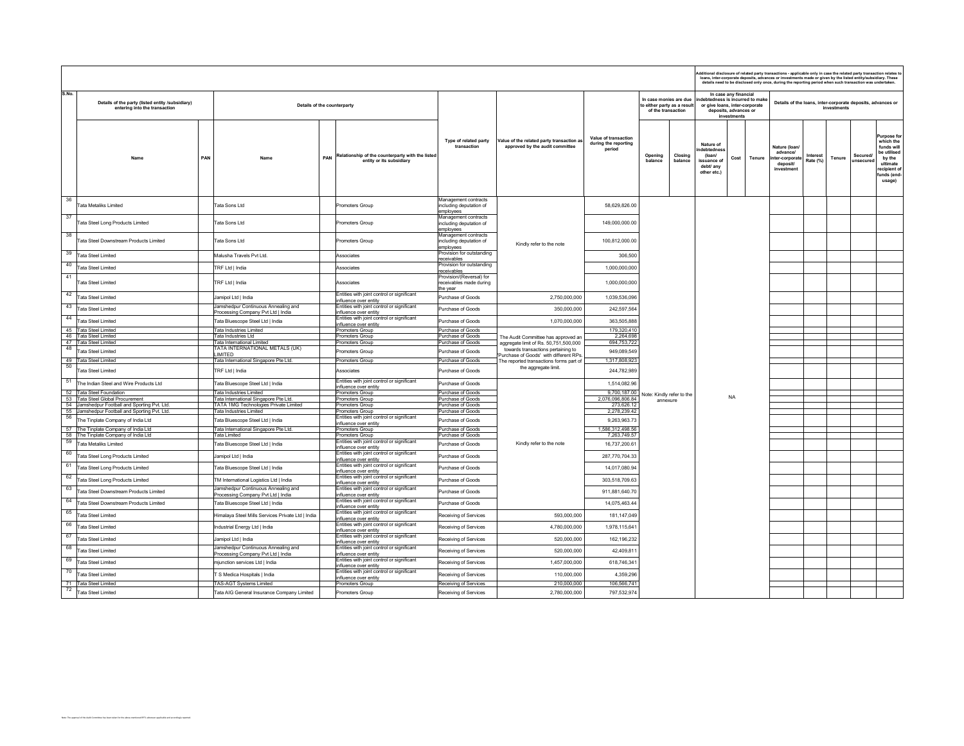|       |                                                                                   |                                                                                |     |                                                                              |                                                                 |                                                                              |                                                        |                                                                             |                    |                                                                                  |                                                               |        | dditional disclosure of related party transactions - applicable only in case the related party transaction relates t<br>Ioans, inter-corporate deposits, advances or investments made or given by the listed entity/subsidiary. T<br>details need to be disclosed only once, during the reporting period when such transaction was unde |                             |             |                               |                                                                                                                   |
|-------|-----------------------------------------------------------------------------------|--------------------------------------------------------------------------------|-----|------------------------------------------------------------------------------|-----------------------------------------------------------------|------------------------------------------------------------------------------|--------------------------------------------------------|-----------------------------------------------------------------------------|--------------------|----------------------------------------------------------------------------------|---------------------------------------------------------------|--------|-----------------------------------------------------------------------------------------------------------------------------------------------------------------------------------------------------------------------------------------------------------------------------------------------------------------------------------------|-----------------------------|-------------|-------------------------------|-------------------------------------------------------------------------------------------------------------------|
| S.No. | Details of the party (listed entity /subsidiary)<br>entering into the transaction | Details of the counterparty                                                    |     |                                                                              |                                                                 |                                                                              |                                                        | In case monies are due<br>to either party as a result<br>of the transaction |                    | debtedness is incurred to make<br>or give loans, inter-corporate                 | In case any financial<br>deposits, advances or<br>investments |        | Details of the loans, inter-corporate deposits, advances or                                                                                                                                                                                                                                                                             |                             | investments |                               |                                                                                                                   |
|       | Name                                                                              | PAN                                                                            | PAN | Relationship of the counterparty with the listed<br>entity or its subsidiary | Type of related party<br>transaction                            | Value of the related party transaction as<br>approved by the audit committee | Value of transaction<br>during the reporting<br>period | Opening<br>balance                                                          | Closing<br>balance | Nature of<br>debtednes<br>$($ loan $/$<br>issuance of<br>debt/ any<br>other etc. | Cost                                                          | Tenure | Nature (Ioani<br>advance/<br>ter-corporate<br>deposit/<br>investment                                                                                                                                                                                                                                                                    | <b>Interest</b><br>Rate (%) | Tenure      | Securedi<br><b>IInsecured</b> | Purpose fr<br>which the<br>funds will<br>be utilised<br>by the<br>ultimate<br>ecipient of<br>funds (end<br>usage) |
| 36    | Tata Metaliks Limited                                                             | Fata Sons Ltd                                                                  |     | Promoters Group                                                              | Management contracts<br>including deputation of<br>employees    |                                                                              | 58.629.826.00                                          |                                                                             |                    |                                                                                  |                                                               |        |                                                                                                                                                                                                                                                                                                                                         |                             |             |                               |                                                                                                                   |
| 37    | Tata Steel Long Products Limited                                                  | <b>Tata Sons Ltd</b>                                                           |     | Promoters Group                                                              | Management contracts<br>including deputation of<br>employees    |                                                                              | 149.000.000.00                                         |                                                                             |                    |                                                                                  |                                                               |        |                                                                                                                                                                                                                                                                                                                                         |                             |             |                               |                                                                                                                   |
| 38    | Tata Steel Downstream Products Limited                                            | <b>Tata Sons Ltd</b>                                                           |     | Promoters Group                                                              | Management contracts<br>including deputation of<br>employees    | Kindly refer to the note                                                     | 100,812,000.00                                         |                                                                             |                    |                                                                                  |                                                               |        |                                                                                                                                                                                                                                                                                                                                         |                             |             |                               |                                                                                                                   |
| 39    | <b>Tata Steel Limited</b>                                                         | Malusha Travels Pyt I td                                                       |     | Associates                                                                   | Provision for outstanding<br>receivables                        |                                                                              | 306,500                                                |                                                                             |                    |                                                                                  |                                                               |        |                                                                                                                                                                                                                                                                                                                                         |                             |             |                               |                                                                                                                   |
| 40    | <b>Tata Steel Limited</b>                                                         | TRF Ltd   India                                                                |     | Associates                                                                   | Provision for outstanding<br>receivables                        |                                                                              | 1,000,000,000                                          |                                                                             |                    |                                                                                  |                                                               |        |                                                                                                                                                                                                                                                                                                                                         |                             |             |                               |                                                                                                                   |
| 41    | <b>Tata Steel Limited</b>                                                         | TRF Ltd   India                                                                |     | Associates                                                                   | Provision/(Reversal) for<br>receivables made during<br>the year |                                                                              | 1,000,000,000                                          |                                                                             |                    |                                                                                  |                                                               |        |                                                                                                                                                                                                                                                                                                                                         |                             |             |                               |                                                                                                                   |
| 42    | Tata Steel Limited                                                                | Jamipol Ltd   India                                                            |     | Entities with joint control or significant<br>influence over entity          | <b>Purchase of Goods</b>                                        | 2,750,000,000                                                                | 1,039,536,096                                          |                                                                             |                    |                                                                                  |                                                               |        |                                                                                                                                                                                                                                                                                                                                         |                             |             |                               |                                                                                                                   |
| 43    | <b>Tata Steel Limited</b>                                                         | Jamshedpur Continuous Annealing and                                            |     | Entities with joint control or significant                                   | Purchase of Goods                                               | 350,000,000                                                                  | 242,597,564                                            |                                                                             |                    |                                                                                  |                                                               |        |                                                                                                                                                                                                                                                                                                                                         |                             |             |                               |                                                                                                                   |
| 44    | Tata Steel Limited                                                                | Processing Company Pvt Ltd   India<br>Tata Bluescope Steel Ltd   India         |     | influence over entity<br>Entities with joint control or significant          | Purchase of Goods                                               | 1,070,000,000                                                                | 363,505,888                                            |                                                                             |                    |                                                                                  |                                                               |        |                                                                                                                                                                                                                                                                                                                                         |                             |             |                               |                                                                                                                   |
|       | 45 Tata Steel Limited                                                             | <b>Fata Industries Limited</b>                                                 |     | influence over entity<br>Promoters Group                                     | Purchase of Goods                                               |                                                                              | 179,320,410                                            |                                                                             |                    |                                                                                  |                                                               |        |                                                                                                                                                                                                                                                                                                                                         |                             |             |                               |                                                                                                                   |
|       | 46 Tata Steel Limited                                                             | Tata Industries Ltd                                                            |     | Promoters Group                                                              | Purchase of Goods                                               | The Audit Committee has approved an                                          | 2,264,698                                              |                                                                             |                    |                                                                                  |                                                               |        |                                                                                                                                                                                                                                                                                                                                         |                             |             |                               |                                                                                                                   |
| 48    | 47 Tata Steel Limited                                                             | Tata International Limited<br>ATA INTERNATIONAL METALS (UK)                    |     | Promoters Group                                                              | Purchase of Goods                                               | aggregate limit of Rs. 50,751,500,000<br>towards transactions pertaining to  | 694,753,722                                            |                                                                             |                    |                                                                                  |                                                               |        |                                                                                                                                                                                                                                                                                                                                         |                             |             |                               |                                                                                                                   |
|       | Tata Steel Limited                                                                | <b>IMITED</b>                                                                  |     | Promoters Group                                                              | Purchase of Goods                                               | urchase of Goods' with different RPs.                                        | 949,089,549<br>1,317,808,923                           |                                                                             |                    |                                                                                  |                                                               |        |                                                                                                                                                                                                                                                                                                                                         |                             |             |                               |                                                                                                                   |
| 50    | 49 Tata Steel Limited<br><b>Tata Steel Limited</b>                                | Tata International Singapore Pte Ltd.<br>TRF Ltd   India                       |     | Promoters Group<br>Associates                                                | Purchase of Goods<br>Purchase of Goods                          | The reported transactions forms part of<br>the aggregate limit.              | 244,782,989                                            |                                                                             |                    |                                                                                  |                                                               |        |                                                                                                                                                                                                                                                                                                                                         |                             |             |                               |                                                                                                                   |
|       | 51 The Indian Steel and Wire Products Ltd                                         | Tata Bluescope Steel Ltd   India                                               |     | Entities with joint control or significant<br>influence over entity          | Purchase of Goods                                               |                                                                              | 1,514,082.96                                           |                                                                             |                    |                                                                                  |                                                               |        |                                                                                                                                                                                                                                                                                                                                         |                             |             |                               |                                                                                                                   |
|       | 52 Tata Steel Foundation<br>53 Tata Steel Global Procurement                      | Tata Industries Limited                                                        |     | Promoters Group<br>Promoters Group                                           | Purchase of Goods<br><b>Purchase of Goods</b>                   |                                                                              | 9,700,187.00<br>2,076,096,806.84                       | Note: Kindly refer to the                                                   |                    |                                                                                  | <b>NA</b>                                                     |        |                                                                                                                                                                                                                                                                                                                                         |                             |             |                               |                                                                                                                   |
|       | 54 Jamshedpur Football and Sporting Pvt. Ltd.                                     | Tata International Singapore Pte Ltd.<br>TATA 1MG Technologies Private Limited |     | Promoters Group                                                              | Purchase of Goods                                               |                                                                              | 273,626.12                                             | annexure                                                                    |                    |                                                                                  |                                                               |        |                                                                                                                                                                                                                                                                                                                                         |                             |             |                               |                                                                                                                   |
|       | 55 Jamshedpur Football and Sporting Pvt. Ltd.                                     | Tata Industries Limited                                                        |     | Promoters Group                                                              | Purchase of Goods                                               |                                                                              | 2,278,239.42                                           |                                                                             |                    |                                                                                  |                                                               |        |                                                                                                                                                                                                                                                                                                                                         |                             |             |                               |                                                                                                                   |
|       | 56 The Tinplate Company of India Ltd                                              | Tata Bluescope Steel Ltd   India                                               |     | Entities with joint control or significant<br>influence over entity          | Purchase of Goods                                               |                                                                              | 9,263,963.73                                           |                                                                             |                    |                                                                                  |                                                               |        |                                                                                                                                                                                                                                                                                                                                         |                             |             |                               |                                                                                                                   |
|       | 57 The Tinplate Company of India Ltd<br>58 The Tinplate Company of India Ltd      | Tata International Singapore Pte Ltd.<br>Tata Limited                          |     | Promoters Group<br>Promoters Group                                           | Purchase of Goods<br>Purchase of Goods                          |                                                                              | 1,586,312,498.56<br>7,263,749.57                       |                                                                             |                    |                                                                                  |                                                               |        |                                                                                                                                                                                                                                                                                                                                         |                             |             |                               |                                                                                                                   |
| 59    | <b>Tata Metaliks Limited</b>                                                      | <b>Fata Bluescope Steel Ltd   India</b>                                        |     | Entities with joint control or significant                                   | Purchase of Goods                                               | Kindly refer to the note                                                     | 16,737,200.61                                          |                                                                             |                    |                                                                                  |                                                               |        |                                                                                                                                                                                                                                                                                                                                         |                             |             |                               |                                                                                                                   |
| 60    | Tata Steel Long Products Limited                                                  | Jamipol Ltd   India                                                            |     | influence over entity<br>Entities with joint control or significant          | Purchase of Goods                                               |                                                                              | 287,770,704.33                                         |                                                                             |                    |                                                                                  |                                                               |        |                                                                                                                                                                                                                                                                                                                                         |                             |             |                               |                                                                                                                   |
| 61    | Tata Steel Long Products Limited                                                  | Tata Bluescope Steel Ltd   India                                               |     | nfluence over entitv<br>Entities with joint control or significant           | Purchase of Goods                                               |                                                                              | 14,017,080.94                                          |                                                                             |                    |                                                                                  |                                                               |        |                                                                                                                                                                                                                                                                                                                                         |                             |             |                               |                                                                                                                   |
| 62    | Tata Steel Long Products Limited                                                  | TM International Logistics Ltd   India                                         |     | influence over entity<br>Entities with joint control or significant          | Purchase of Goods                                               |                                                                              | 303,518,709.63                                         |                                                                             |                    |                                                                                  |                                                               |        |                                                                                                                                                                                                                                                                                                                                         |                             |             |                               |                                                                                                                   |
| 63    |                                                                                   | Jamshedpur Continuous Annealing and                                            |     | influence over entity<br>Entities with joint control or significant          |                                                                 |                                                                              |                                                        |                                                                             |                    |                                                                                  |                                                               |        |                                                                                                                                                                                                                                                                                                                                         |                             |             |                               |                                                                                                                   |
| 64    | Tata Steel Downstream Products Limited                                            | Processing Company Pvt Ltd   India                                             |     | influence over entity<br>Entities with joint control or significant          | Purchase of Goods                                               |                                                                              | 911,881,640.70                                         |                                                                             |                    |                                                                                  |                                                               |        |                                                                                                                                                                                                                                                                                                                                         |                             |             |                               |                                                                                                                   |
|       | Tata Steel Downstream Products Limited                                            | Tata Bluescope Steel Ltd   India                                               |     | influence over entity                                                        | Purchase of Goods                                               |                                                                              | 14,075,463.44                                          |                                                                             |                    |                                                                                  |                                                               |        |                                                                                                                                                                                                                                                                                                                                         |                             |             |                               |                                                                                                                   |
| 65    | <b>Tata Steel Limited</b>                                                         | Himalaya Steel Mills Services Private Ltd   India                              |     | Entities with joint control or significant<br>influence over entity          | Receiving of Services                                           | 593,000,000                                                                  | 181, 147, 049                                          |                                                                             |                    |                                                                                  |                                                               |        |                                                                                                                                                                                                                                                                                                                                         |                             |             |                               |                                                                                                                   |
| 66    | <b>Tata Steel Limited</b>                                                         | ndustrial Energy Ltd   India                                                   |     | Entities with joint control or significant<br>influence over entity          | Receiving of Services                                           | 4,780,000,000                                                                | 1,978,115,641                                          |                                                                             |                    |                                                                                  |                                                               |        |                                                                                                                                                                                                                                                                                                                                         |                             |             |                               |                                                                                                                   |
| 67    | Tata Steel Limited                                                                | Jamipol Ltd   India                                                            |     | Entities with joint control or significant<br>influence over entity          | Receiving of Services                                           | 520,000,000                                                                  | 162,196,232                                            |                                                                             |                    |                                                                                  |                                                               |        |                                                                                                                                                                                                                                                                                                                                         |                             |             |                               |                                                                                                                   |
| 68    | <b>Tata Steel Limited</b>                                                         | Jamshedpur Continuous Annealing and<br>Processing Company Pvt Ltd   India      |     | Entities with joint control or significant<br>influence over entity          | Receiving of Services                                           | 520,000,000                                                                  | 42,409,811                                             |                                                                             |                    |                                                                                  |                                                               |        |                                                                                                                                                                                                                                                                                                                                         |                             |             |                               |                                                                                                                   |
| 69    | <b>Tata Steel Limited</b>                                                         | mjunction services Ltd   India                                                 |     | Entities with joint control or significant<br>influence over entity          | Receiving of Services                                           | 1,457,000,000                                                                | 618,746,341                                            |                                                                             |                    |                                                                                  |                                                               |        |                                                                                                                                                                                                                                                                                                                                         |                             |             |                               |                                                                                                                   |
| 70    | <b>Tata Steel Limited</b>                                                         | T S Medica Hospitals I India                                                   |     | Entities with joint control or significant<br>influence over entity          | Receiving of Services                                           | 110,000,000                                                                  | 4.359.296                                              |                                                                             |                    |                                                                                  |                                                               |        |                                                                                                                                                                                                                                                                                                                                         |                             |             |                               |                                                                                                                   |
|       | 71 Tata Steel Limited                                                             | TAS-AGT Systems Limited                                                        |     | Promoters Group                                                              | Receiving of Services                                           | 210,000,000                                                                  | 106,566,741                                            |                                                                             |                    |                                                                                  |                                                               |        |                                                                                                                                                                                                                                                                                                                                         |                             |             |                               |                                                                                                                   |
|       | $\overline{72}$ Tata Steel Limited                                                | Tata AIG General Insurance Company Limited                                     |     | Promoters Group                                                              | Receiving of Services                                           | 2,780,000,000                                                                | 797,532,974                                            |                                                                             |                    |                                                                                  |                                                               |        |                                                                                                                                                                                                                                                                                                                                         |                             |             |                               |                                                                                                                   |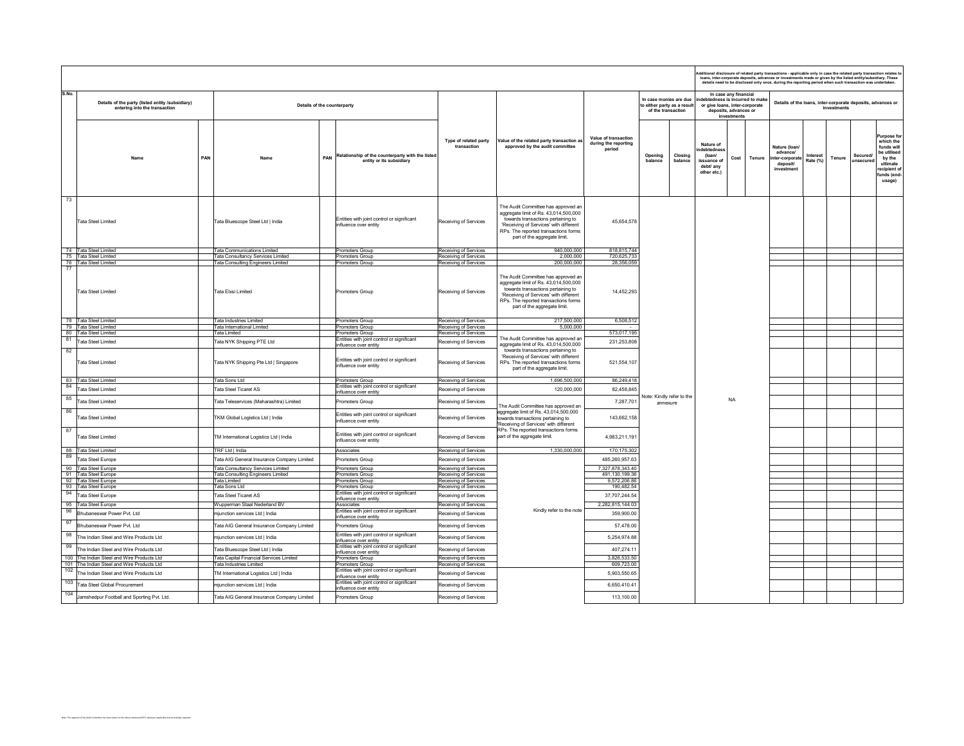|       |                                                                                   |     | dditional disclosure of related party transactions - applicable only in case the related party transaction relates to<br>loans, inter-corporate deposits, advances or investments made or given by the listed entity/subsidiary. These details need to be disclosed only once, during the reporting period when such transaction was undertaken. |                                                                              |                                                |                                                                                                                                                                                                                                      |                                                        |                                                                             |                                                                            |                                                               |                                |                                                                       |                      |             |                                                             |                                                                                                                     |  |  |
|-------|-----------------------------------------------------------------------------------|-----|--------------------------------------------------------------------------------------------------------------------------------------------------------------------------------------------------------------------------------------------------------------------------------------------------------------------------------------------------|------------------------------------------------------------------------------|------------------------------------------------|--------------------------------------------------------------------------------------------------------------------------------------------------------------------------------------------------------------------------------------|--------------------------------------------------------|-----------------------------------------------------------------------------|----------------------------------------------------------------------------|---------------------------------------------------------------|--------------------------------|-----------------------------------------------------------------------|----------------------|-------------|-------------------------------------------------------------|---------------------------------------------------------------------------------------------------------------------|--|--|
| S.No. | Details of the party (listed entity /subsidiary)<br>entering into the transaction |     | Details of the counterparty                                                                                                                                                                                                                                                                                                                      |                                                                              |                                                |                                                                                                                                                                                                                                      |                                                        | In case monies are due<br>to either party as a result<br>of the transaction | or give loans, inter-corporate                                             | In case any financial<br>deposits, advances or<br>investments | debtedness is incurred to make |                                                                       |                      | investments | Details of the loans, inter-corporate deposits, advances or |                                                                                                                     |  |  |
|       |                                                                                   | PAN | PAN<br>Name                                                                                                                                                                                                                                                                                                                                      | Relationship of the counterparty with the listed<br>entity or its subsidiary | Type of related party<br>transaction           | Value of the related party transaction as<br>approved by the audit committee                                                                                                                                                         | Value of transaction<br>during the reporting<br>period | Opening<br>Closing<br>balance<br>halance                                    | Nature of<br>debtednes<br>(loan/<br>issuance of<br>debt/ any<br>other etc. | Cost                                                          | Tenure                         | Nature (loan/<br>advance/<br>nter-corporate<br>deposit/<br>investment | Interest<br>Rate (%) | Tenure      | <b>Secured/</b><br>unsecured                                | urpose for<br>which the<br>funds will<br>be utilised<br>by the<br>ultimate<br>recipient of<br>funds (end-<br>usage) |  |  |
| 73    | <b>Tata Steel Limited</b>                                                         |     | Tata Bluescope Steel Ltd   India                                                                                                                                                                                                                                                                                                                 | Entities with joint control or significant<br>influence over entity          | Receiving of Services                          | The Audit Committee has approved an<br>aggregate limit of Rs. 43,014,500,000<br>towards transactions pertaining to<br>'Receiving of Services' with different<br>RPs. The reported transactions forms<br>part of the aggregate limit. | 45.654.578                                             |                                                                             |                                                                            |                                                               |                                |                                                                       |                      |             |                                                             |                                                                                                                     |  |  |
|       | 74 Tata Steel Limited                                                             |     | Tata Communications Limited                                                                                                                                                                                                                                                                                                                      | Promoters Group                                                              | Receiving of Services                          | 940,000,000                                                                                                                                                                                                                          | 818,815,744                                            |                                                                             |                                                                            |                                                               |                                |                                                                       |                      |             |                                                             |                                                                                                                     |  |  |
|       | 75 Tata Steel Limited                                                             |     | Tata Consultancy Services Limited                                                                                                                                                                                                                                                                                                                | Promoters Group                                                              | Receiving of Services                          | 2,000,000                                                                                                                                                                                                                            | 720,625,733                                            |                                                                             |                                                                            |                                                               |                                |                                                                       |                      |             |                                                             |                                                                                                                     |  |  |
| 77    | 76 Tata Steel Limited                                                             |     | <b>Fata Consulting Engineers Limited</b>                                                                                                                                                                                                                                                                                                         | Promoters Group                                                              | Receiving of Services                          | 200,000,000                                                                                                                                                                                                                          | 28,356,059                                             |                                                                             |                                                                            |                                                               |                                |                                                                       |                      |             |                                                             |                                                                                                                     |  |  |
|       | Tata Steel Limited                                                                |     | Tata Elxsi Limited                                                                                                                                                                                                                                                                                                                               | Promoters Group                                                              | Receiving of Services                          | The Audit Committee has approved an<br>aggregate limit of Rs. 43,014,500,000<br>towards transactions pertaining to<br>'Receiving of Services' with different<br>RPs. The reported transactions forms<br>part of the aggregate limit. | 14.452.293                                             |                                                                             |                                                                            |                                                               |                                |                                                                       |                      |             |                                                             |                                                                                                                     |  |  |
|       | 78 Tata Steel Limited                                                             |     | <b>Tata Industries Limited</b>                                                                                                                                                                                                                                                                                                                   | Promoters Group                                                              | Receiving of Services                          | 217,500,000                                                                                                                                                                                                                          | 6,508,512                                              |                                                                             |                                                                            |                                                               |                                |                                                                       |                      |             |                                                             |                                                                                                                     |  |  |
|       | 79 Tata Steel Limited<br>80 Tata Steel Limited                                    |     | Tata International Limited<br><b>Tata Limited</b>                                                                                                                                                                                                                                                                                                | Promoters Group<br>Promoters Group                                           | Receiving of Services<br>Receiving of Services | 5,000,000                                                                                                                                                                                                                            | 573,017,195                                            |                                                                             |                                                                            |                                                               |                                |                                                                       |                      |             |                                                             |                                                                                                                     |  |  |
| 81    |                                                                                   |     |                                                                                                                                                                                                                                                                                                                                                  | Entities with joint control or significant                                   |                                                | The Audit Committee has approved an                                                                                                                                                                                                  |                                                        |                                                                             |                                                                            |                                                               |                                |                                                                       |                      |             |                                                             |                                                                                                                     |  |  |
|       | <b>Tata Steel Limited</b>                                                         |     | Tata NYK Shipping PTE Ltd                                                                                                                                                                                                                                                                                                                        | influence over entity                                                        | Receiving of Services                          | aggregate limit of Rs. 43,014,500,000                                                                                                                                                                                                | 231,253,808                                            |                                                                             |                                                                            |                                                               |                                |                                                                       |                      |             |                                                             |                                                                                                                     |  |  |
| 82    | <b>Tata Steel Limited</b>                                                         |     | Tata NYK Shipping Pte Ltd   Singapore                                                                                                                                                                                                                                                                                                            | Entities with joint control or significant<br>influence over entity          | Receiving of Services                          | towards transactions pertaining to<br>'Receiving of Services' with different<br>RPs. The reported transactions forms<br>part of the aggregate limit.                                                                                 | 521,554,107                                            |                                                                             |                                                                            |                                                               |                                |                                                                       |                      |             |                                                             |                                                                                                                     |  |  |
|       | 83 Tata Steel Limited                                                             |     | Tata Sons Ltd                                                                                                                                                                                                                                                                                                                                    | Promoters Group                                                              | Receiving of Services                          | 1.696.500.000                                                                                                                                                                                                                        | 86,249,418                                             |                                                                             |                                                                            |                                                               |                                |                                                                       |                      |             |                                                             |                                                                                                                     |  |  |
| 84    | <b>Tata Steel Limited</b>                                                         |     | <b>Tata Steel Ticaret AS</b>                                                                                                                                                                                                                                                                                                                     | Entities with joint control or significant<br>influence over entity          | Receiving of Services                          | 120.000.000                                                                                                                                                                                                                          | 82 458 845                                             |                                                                             |                                                                            |                                                               |                                |                                                                       |                      |             |                                                             |                                                                                                                     |  |  |
| 85    | <b>Tata Steel Limited</b>                                                         |     | Tata Teleservices (Maharashtra) Limited                                                                                                                                                                                                                                                                                                          | Promoters Group                                                              | Receiving of Services                          | The Audit Committee has approved an                                                                                                                                                                                                  | 7,287,701                                              | Note: Kindly refer to the<br>annexure                                       |                                                                            | <b>NA</b>                                                     |                                |                                                                       |                      |             |                                                             |                                                                                                                     |  |  |
| 86    | <b>Tata Steel Limited</b>                                                         |     | TKM Global Logistics Ltd   India                                                                                                                                                                                                                                                                                                                 | Entities with joint control or significant<br>influence over entity          | Receiving of Services                          | aggregate limit of Rs. 43,014,500,000<br>owards transactions pertaining to<br>'Receiving of Services' with different                                                                                                                 | 143.662.158                                            |                                                                             |                                                                            |                                                               |                                |                                                                       |                      |             |                                                             |                                                                                                                     |  |  |
| 87    | <b>Tata Steel Limited</b>                                                         |     | TM International Logistics Ltd   India                                                                                                                                                                                                                                                                                                           | Entities with joint control or significant<br>influence over entity          | Receiving of Services                          | RPs. The reported transactions forms<br>part of the aggregate limit.                                                                                                                                                                 | 4,983,211,191                                          |                                                                             |                                                                            |                                                               |                                |                                                                       |                      |             |                                                             |                                                                                                                     |  |  |
|       | 88 Tata Steel Limited                                                             |     | TRF Ltd   India                                                                                                                                                                                                                                                                                                                                  | Associates                                                                   | Receiving of Services                          | 1.330.000.000                                                                                                                                                                                                                        | 170,175,302                                            |                                                                             |                                                                            |                                                               |                                |                                                                       |                      |             |                                                             |                                                                                                                     |  |  |
| 89    | Tata Steel Europe                                                                 |     | Tata AIG General Insurance Company Limited                                                                                                                                                                                                                                                                                                       | Promoters Group                                                              | Receiving of Services                          |                                                                                                                                                                                                                                      | 485,260,957.63                                         |                                                                             |                                                                            |                                                               |                                |                                                                       |                      |             |                                                             |                                                                                                                     |  |  |
|       | 90 Tata Steel Europe                                                              |     | Tata Consultancy Services Limited                                                                                                                                                                                                                                                                                                                | Promoters Group                                                              | Receiving of Services                          |                                                                                                                                                                                                                                      | 7,327,878,343.40                                       |                                                                             |                                                                            |                                                               |                                |                                                                       |                      |             |                                                             |                                                                                                                     |  |  |
|       | 91 Tata Steel Europe                                                              |     | Tata Consulting Engineers Limited                                                                                                                                                                                                                                                                                                                | Promoters Group                                                              | Receiving of Services                          |                                                                                                                                                                                                                                      | 491,130,199.36                                         |                                                                             |                                                                            |                                                               |                                |                                                                       |                      |             |                                                             |                                                                                                                     |  |  |
|       | 92 Tata Steel Europe                                                              |     | <b>Tata Limited</b>                                                                                                                                                                                                                                                                                                                              | Promoters Group                                                              | Receiving of Services                          |                                                                                                                                                                                                                                      | 9,572,206.86                                           |                                                                             |                                                                            |                                                               |                                |                                                                       |                      |             |                                                             |                                                                                                                     |  |  |
| 94    | 93 Tata Steel Europe                                                              |     | Tata Sons Ltd                                                                                                                                                                                                                                                                                                                                    | Promoters Group<br>Entities with joint control or significant                | Receiving of Services                          |                                                                                                                                                                                                                                      | 190,482.54                                             |                                                                             |                                                                            |                                                               |                                |                                                                       |                      |             |                                                             |                                                                                                                     |  |  |
|       | Tata Steel Europe                                                                 |     | Tata Steel Ticaret AS                                                                                                                                                                                                                                                                                                                            | influence over entity                                                        | Receiving of Services                          |                                                                                                                                                                                                                                      | 37,707,244.54                                          |                                                                             |                                                                            |                                                               |                                |                                                                       |                      |             |                                                             |                                                                                                                     |  |  |
|       | 95 Tata Steel Europe                                                              |     | Wupperman Staal Nederland BV                                                                                                                                                                                                                                                                                                                     | Associates                                                                   | Receiving of Services                          |                                                                                                                                                                                                                                      | 2,282,815,144.03                                       |                                                                             |                                                                            |                                                               |                                |                                                                       |                      |             |                                                             |                                                                                                                     |  |  |
| 96    | Bhubaneswar Power Pyt. Ltd                                                        |     | mjunction services Ltd   India                                                                                                                                                                                                                                                                                                                   | Entities with joint control or significant<br>influence over entity          | Receiving of Services                          | Kindly refer to the note                                                                                                                                                                                                             | 359,900.00                                             |                                                                             |                                                                            |                                                               |                                |                                                                       |                      |             |                                                             |                                                                                                                     |  |  |
| 97    | <b>Bhubaneswar Power Pvt. Ltd</b>                                                 |     | Tata AIG General Insurance Company Limited                                                                                                                                                                                                                                                                                                       | Promoters Group                                                              | Receiving of Services                          |                                                                                                                                                                                                                                      | 57,478.00                                              |                                                                             |                                                                            |                                                               |                                |                                                                       |                      |             |                                                             |                                                                                                                     |  |  |
| 98    | he Indian Steel and Wire Products Ltd                                             |     | mjunction services Ltd   India                                                                                                                                                                                                                                                                                                                   | Entities with joint control or significant<br>influence over entity          | Receiving of Services                          |                                                                                                                                                                                                                                      | 5,254,974.88                                           |                                                                             |                                                                            |                                                               |                                |                                                                       |                      |             |                                                             |                                                                                                                     |  |  |
| 99    | The Indian Steel and Wire Products Ltd                                            |     | Tata Bluescope Steel Ltd   India                                                                                                                                                                                                                                                                                                                 | Entities with joint control or significant<br>influence over entity          | Receiving of Services                          |                                                                                                                                                                                                                                      | 407.274.11                                             |                                                                             |                                                                            |                                                               |                                |                                                                       |                      |             |                                                             |                                                                                                                     |  |  |
|       | 100 The Indian Steel and Wire Products Ltd                                        |     | Tata Capital Financial Services Limited                                                                                                                                                                                                                                                                                                          | Promoters Group                                                              | Receiving of Services                          |                                                                                                                                                                                                                                      | 3,826,533.50                                           |                                                                             |                                                                            |                                                               |                                |                                                                       |                      |             |                                                             |                                                                                                                     |  |  |
|       | 101 The Indian Steel and Wire Products Ltd                                        |     | Tata Industries Limited                                                                                                                                                                                                                                                                                                                          | Promoters Group                                                              | Receiving of Services                          |                                                                                                                                                                                                                                      | 609,723.00                                             |                                                                             |                                                                            |                                                               |                                |                                                                       |                      |             |                                                             |                                                                                                                     |  |  |
| 102   | he Indian Steel and Wire Products Ltd                                             |     | TM International Logistics Ltd   India                                                                                                                                                                                                                                                                                                           | Entities with joint control or significant<br>influence over entity          | Receiving of Services                          |                                                                                                                                                                                                                                      | 5,903,550.65                                           |                                                                             |                                                                            |                                                               |                                |                                                                       |                      |             |                                                             |                                                                                                                     |  |  |
| 103   | <b>Tata Steel Global Procurement</b>                                              |     | mjunction services Ltd   India                                                                                                                                                                                                                                                                                                                   | Entities with joint control or significant<br>influence over entity          | Receiving of Services                          |                                                                                                                                                                                                                                      | 6,650,410.41                                           |                                                                             |                                                                            |                                                               |                                |                                                                       |                      |             |                                                             |                                                                                                                     |  |  |
| 104   | Jamshedpur Football and Sporting Pvt. Ltd.                                        |     | Tata AIG General Insurance Company Limited                                                                                                                                                                                                                                                                                                       | Promoters Group                                                              | Receiving of Services                          |                                                                                                                                                                                                                                      | 113,100.00                                             |                                                                             |                                                                            |                                                               |                                |                                                                       |                      |             |                                                             |                                                                                                                     |  |  |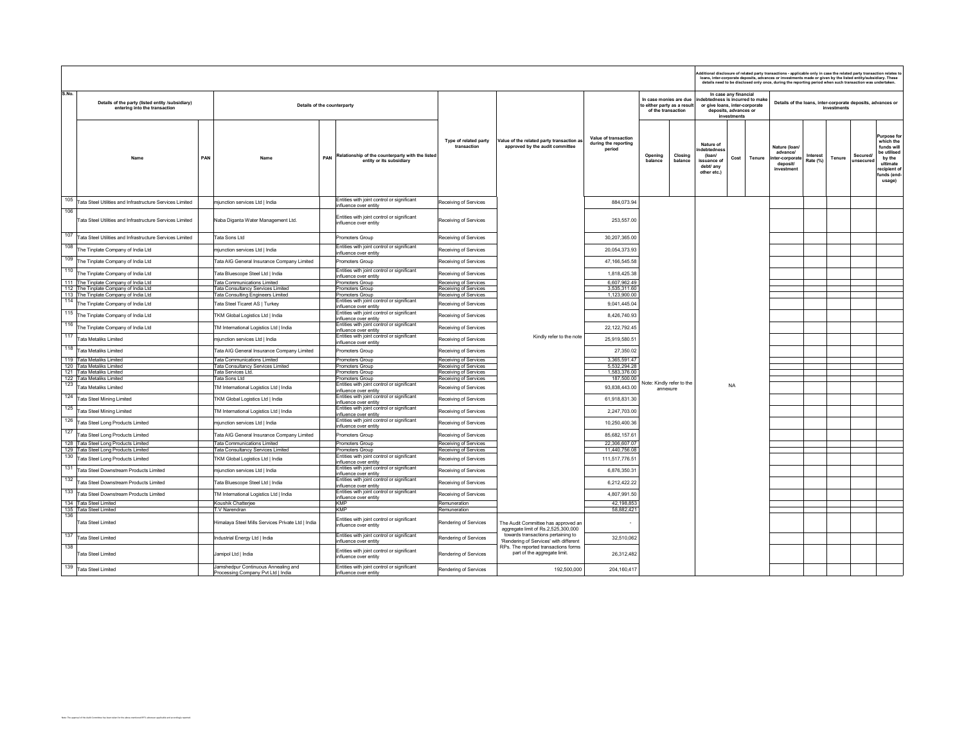| S.No.<br>In case any financial<br>In case monies are due<br>debtedness is incurred to make<br>Details of the party (listed entity /subsidiary)<br>Details of the loans, inter-corporate deposits, advances or<br>Details of the counterparty<br>to either party as a result<br>or give loans, inter-corporate<br>entering into the transaction<br>of the transaction<br>deposits, advances or<br>investments<br>Value of transaction<br>Type of related party<br>Value of the related party transaction as<br>during the reporting<br>Nature of<br>transaction<br>approved by the audit committee<br>Nature (loan)<br>period<br>debtednes<br>advancel<br>Relationship of the counterparty with the listed<br>Closing<br>Opening<br>(loan/<br>PAN<br>PAN<br>Cost<br>Tenure<br>ter-corporate<br><b>Nam</b><br>Name<br>entity or its subsidiary<br>balance<br>balance<br>issuance of<br>deposit/<br>debt/ anv<br>investment<br>other etc.)<br>Entities with joint control or significant<br>105<br>Tata Steel Utilities and Infrastructure Services Limited<br>Receiving of Services<br>884.073.94<br>miunction services I td I India<br>influence over entity<br>106<br>Entities with joint control or significant<br>Tata Steel Utilities and Infrastructure Services Limited<br>Naba Diganta Water Management Ltd.<br>Receiving of Services<br>253,557.00<br>influence over entity<br>107<br>Tata Steel Utilities and Infrastructure Services Limited<br>Tata Sons Ltd<br>Promoters Group<br>Receiving of Services<br>30.207.365.00<br>108 The Tinplate Company of India Ltd<br>Entities with joint control or significant<br>mjunction services Ltd   India<br>Receiving of Services<br>20,054,373.93<br>influence over entity<br>109<br>The Tinplate Company of India Ltd<br>47, 166, 545. 58<br>Fata AIG General Insurance Company Limited<br>Promoters Group<br>Receiving of Services<br>110<br>Entities with joint control or significant<br>The Tinplate Company of India Ltd<br>Tata Bluescope Steel Ltd   India<br>Receiving of Services<br>1,818,425.38<br>influence over entity<br>111 The Tinplate Company of India Ltd<br>ata Communications Limited<br>Receiving of Services<br>6,607,962.49<br>Promoters Group<br>112 The Tinplate Company of India Ltd<br>ata Consultancy Services Limited<br>Promoters Group<br>Receiving of Services<br>3,535,311.60<br>113 The Tinplate Company of India Ltd<br><b>Tata Consulting Engineers Limited</b><br>Receiving of Services<br>1.123.900.00<br>Promoters Group<br>Entities with joint control or significant<br>114 The Tinplate Company of India Ltd<br>9,041,445.04<br>Tata Steel Ticaret AS   Turkey<br>Receiving of Services<br>influence over entity<br>115 The Tinplate Company of India Ltd<br>Entities with joint control or significant<br>8,426,740.93<br>Receiving of Services<br>TKM Global Logistics Ltd   India<br>influence over entity<br>116 The Tinplate Company of India Ltd<br>Entities with joint control or significant<br>22,122,792.45<br>TM International Logistics Ltd   India<br>Receiving of Services<br>influence over entity<br>Entities with joint control or significant<br>Kindly refer to the note<br>25,919,580.51<br>mjunction services Ltd   India<br>Receiving of Services<br>influence over entity<br>118<br>Tata Metaliks Limited<br>Fata AIG General Insurance Company Limited<br>Receiving of Services<br>27,350.02<br>Promoters Group<br>119 Tata Metaliks Limited<br><b>Tata Communications Limited</b><br>Receiving of Services<br>3.365.591.47<br>Promoters Group<br>120 Tata Metaliks Limited<br><b>Fata Consultancy Services Limited</b><br>Receiving of Services<br>5,532,294.28<br>Promoters Group<br>121 Tata Metaliks Limited<br>Tata Services Ltd.<br>Receiving of Services<br>1,583,376.00<br>Promoters Group<br>122 Tata Metaliks Limited<br>Tata Sons Ltd<br>Receiving of Services<br>187,500.00<br>Promoters Group<br>Vote: Kindly refer to the<br>Tata Metaliks Limited<br>Entities with joint control or significant<br><b>NA</b><br>TM International Logistics Ltd   India<br>Receiving of Services<br>93.838.443.00<br>annexure<br>influence over entity<br>124<br>Entities with joint control or significant<br>Tata Steel Mining Limited<br>61.918.831.30<br>TKM Global Logistics Ltd   India<br>Receiving of Services<br>influence over entity<br>125 Tata Steel Mining Limited<br>Entities with joint control or significant<br>2,247,703.00<br>TM International Logistics Ltd   India<br>Receiving of Services<br>influence over entity<br>126 Tata Steel Long Products Limited<br>Entities with joint control or significant<br>10,250,400.36<br>mjunction services Ltd   India<br>Receiving of Services<br>influence over entity<br>127 Tata Steel Long Products Limited<br>Tata AIG General Insurance Company Limited<br>Receiving of Services<br>85.682.157.61<br>Promoters Group<br>128 Tata Steel Long Products Limited<br>22.306.607.07<br><b>Fata Communications Limited</b><br>Promoters Group<br>Receiving of Services<br>129 Tata Steel Long Products Limited<br><b>Fata Consultancy Services Limited</b><br>Promoters Group<br>Receiving of Services<br>11,440,756.08<br>130 Tata Steel Long Products Limited<br>Entities with joint control or significant<br>111,517,776.51<br>TKM Global Logistics Ltd   India<br>Receiving of Services<br>influence over entity<br>131<br>Entities with joint control or significant<br>Tata Steel Downstream Products Limited<br>mjunction services Ltd   India<br>Receiving of Services<br>6,876,350.31<br>nfluence over entity<br>132<br>Entities with joint control or significant<br>Tata Steel Downstream Products Limited<br>Tata Bluescope Steel Ltd   India<br>Receiving of Services<br>6,212,422.22<br>influence over entity<br>133 Tata Steel Downstream Products Limited<br>Entities with joint control or significant<br>TM International Logistics Ltd   India<br>Receiving of Services<br>4,807,991.50<br>influence over entity<br>134 Tata Steel Limited<br>Koushik Chatterjee<br><b>KMP</b><br>Remuneration<br>42,198,853<br><b>KMP</b><br>135 Tata Steel Limited<br>T.V Narendran<br>Remuneration<br>58,882,421<br>136<br>Entities with joint control or significant<br>Imalaya Steel Mills Services Private Ltd   India<br>Rendering of Services<br>Tata Steel Limited<br>The Audit Committee has approved an | Additional disclosure of related party transactions - applicable only in case the related party transaction relates to<br>loans, inter-corporate deposits, advances or investments made or given by the listed entity/subsidiary. These<br>details need to be disclosed only once, during the reporting period when such transaction was undertaken. |  |                       |  |  |  |  |  |  |  |  |  |                      |             |                       |                                                                                                                     |
|------------------------------------------------------------------------------------------------------------------------------------------------------------------------------------------------------------------------------------------------------------------------------------------------------------------------------------------------------------------------------------------------------------------------------------------------------------------------------------------------------------------------------------------------------------------------------------------------------------------------------------------------------------------------------------------------------------------------------------------------------------------------------------------------------------------------------------------------------------------------------------------------------------------------------------------------------------------------------------------------------------------------------------------------------------------------------------------------------------------------------------------------------------------------------------------------------------------------------------------------------------------------------------------------------------------------------------------------------------------------------------------------------------------------------------------------------------------------------------------------------------------------------------------------------------------------------------------------------------------------------------------------------------------------------------------------------------------------------------------------------------------------------------------------------------------------------------------------------------------------------------------------------------------------------------------------------------------------------------------------------------------------------------------------------------------------------------------------------------------------------------------------------------------------------------------------------------------------------------------------------------------------------------------------------------------------------------------------------------------------------------------------------------------------------------------------------------------------------------------------------------------------------------------------------------------------------------------------------------------------------------------------------------------------------------------------------------------------------------------------------------------------------------------------------------------------------------------------------------------------------------------------------------------------------------------------------------------------------------------------------------------------------------------------------------------------------------------------------------------------------------------------------------------------------------------------------------------------------------------------------------------------------------------------------------------------------------------------------------------------------------------------------------------------------------------------------------------------------------------------------------------------------------------------------------------------------------------------------------------------------------------------------------------------------------------------------------------------------------------------------------------------------------------------------------------------------------------------------------------------------------------------------------------------------------------------------------------------------------------------------------------------------------------------------------------------------------------------------------------------------------------------------------------------------------------------------------------------------------------------------------------------------------------------------------------------------------------------------------------------------------------------------------------------------------------------------------------------------------------------------------------------------------------------------------------------------------------------------------------------------------------------------------------------------------------------------------------------------------------------------------------------------------------------------------------------------------------------------------------------------------------------------------------------------------------------------------------------------------------------------------------------------------------------------------------------------------------------------------------------------------------------------------------------------------------------------------------------------------------------------------------------------------------------------------------------------------------------------------------------------------------------------------------------------------------------------------------------------------------------------------------------------------------------------------------------------------------------------------------------------------------------------------------------------------------------------------------------------------------------------------------------------------------------------------------------------------------------------------------------------------------------------------------------------------------------------------------------------------------------------------------------------------------------------------------------------------------------------------------------------------------------------------------------------------------------------------------------------------------------------------------------------------------------------------------------------------------------------------------------------------------------------------|------------------------------------------------------------------------------------------------------------------------------------------------------------------------------------------------------------------------------------------------------------------------------------------------------------------------------------------------------|--|-----------------------|--|--|--|--|--|--|--|--|--|----------------------|-------------|-----------------------|---------------------------------------------------------------------------------------------------------------------|
| 117 Tata Metaliks Limited                                                                                                                                                                                                                                                                                                                                                                                                                                                                                                                                                                                                                                                                                                                                                                                                                                                                                                                                                                                                                                                                                                                                                                                                                                                                                                                                                                                                                                                                                                                                                                                                                                                                                                                                                                                                                                                                                                                                                                                                                                                                                                                                                                                                                                                                                                                                                                                                                                                                                                                                                                                                                                                                                                                                                                                                                                                                                                                                                                                                                                                                                                                                                                                                                                                                                                                                                                                                                                                                                                                                                                                                                                                                                                                                                                                                                                                                                                                                                                                                                                                                                                                                                                                                                                                                                                                                                                                                                                                                                                                                                                                                                                                                                                                                                                                                                                                                                                                                                                                                                                                                                                                                                                                                                                                                                                                                                                                                                                                                                                                                                                                                                                                                                                                                                                                                                                                                                                                                                                                                                                                                                                                                                                                                                                                                                                                                                                                  |                                                                                                                                                                                                                                                                                                                                                      |  |                       |  |  |  |  |  |  |  |  |  |                      | investments |                       |                                                                                                                     |
|                                                                                                                                                                                                                                                                                                                                                                                                                                                                                                                                                                                                                                                                                                                                                                                                                                                                                                                                                                                                                                                                                                                                                                                                                                                                                                                                                                                                                                                                                                                                                                                                                                                                                                                                                                                                                                                                                                                                                                                                                                                                                                                                                                                                                                                                                                                                                                                                                                                                                                                                                                                                                                                                                                                                                                                                                                                                                                                                                                                                                                                                                                                                                                                                                                                                                                                                                                                                                                                                                                                                                                                                                                                                                                                                                                                                                                                                                                                                                                                                                                                                                                                                                                                                                                                                                                                                                                                                                                                                                                                                                                                                                                                                                                                                                                                                                                                                                                                                                                                                                                                                                                                                                                                                                                                                                                                                                                                                                                                                                                                                                                                                                                                                                                                                                                                                                                                                                                                                                                                                                                                                                                                                                                                                                                                                                                                                                                                                            |                                                                                                                                                                                                                                                                                                                                                      |  |                       |  |  |  |  |  |  |  |  |  | Interest<br>Rate (%) | Tenure      | Secured/<br>unsecured | urpose for<br>which the<br>funds will<br>be utilised<br>by the<br>ultimate<br>recipient of<br>funds (end-<br>usage) |
|                                                                                                                                                                                                                                                                                                                                                                                                                                                                                                                                                                                                                                                                                                                                                                                                                                                                                                                                                                                                                                                                                                                                                                                                                                                                                                                                                                                                                                                                                                                                                                                                                                                                                                                                                                                                                                                                                                                                                                                                                                                                                                                                                                                                                                                                                                                                                                                                                                                                                                                                                                                                                                                                                                                                                                                                                                                                                                                                                                                                                                                                                                                                                                                                                                                                                                                                                                                                                                                                                                                                                                                                                                                                                                                                                                                                                                                                                                                                                                                                                                                                                                                                                                                                                                                                                                                                                                                                                                                                                                                                                                                                                                                                                                                                                                                                                                                                                                                                                                                                                                                                                                                                                                                                                                                                                                                                                                                                                                                                                                                                                                                                                                                                                                                                                                                                                                                                                                                                                                                                                                                                                                                                                                                                                                                                                                                                                                                                            |                                                                                                                                                                                                                                                                                                                                                      |  |                       |  |  |  |  |  |  |  |  |  |                      |             |                       |                                                                                                                     |
|                                                                                                                                                                                                                                                                                                                                                                                                                                                                                                                                                                                                                                                                                                                                                                                                                                                                                                                                                                                                                                                                                                                                                                                                                                                                                                                                                                                                                                                                                                                                                                                                                                                                                                                                                                                                                                                                                                                                                                                                                                                                                                                                                                                                                                                                                                                                                                                                                                                                                                                                                                                                                                                                                                                                                                                                                                                                                                                                                                                                                                                                                                                                                                                                                                                                                                                                                                                                                                                                                                                                                                                                                                                                                                                                                                                                                                                                                                                                                                                                                                                                                                                                                                                                                                                                                                                                                                                                                                                                                                                                                                                                                                                                                                                                                                                                                                                                                                                                                                                                                                                                                                                                                                                                                                                                                                                                                                                                                                                                                                                                                                                                                                                                                                                                                                                                                                                                                                                                                                                                                                                                                                                                                                                                                                                                                                                                                                                                            |                                                                                                                                                                                                                                                                                                                                                      |  |                       |  |  |  |  |  |  |  |  |  |                      |             |                       |                                                                                                                     |
|                                                                                                                                                                                                                                                                                                                                                                                                                                                                                                                                                                                                                                                                                                                                                                                                                                                                                                                                                                                                                                                                                                                                                                                                                                                                                                                                                                                                                                                                                                                                                                                                                                                                                                                                                                                                                                                                                                                                                                                                                                                                                                                                                                                                                                                                                                                                                                                                                                                                                                                                                                                                                                                                                                                                                                                                                                                                                                                                                                                                                                                                                                                                                                                                                                                                                                                                                                                                                                                                                                                                                                                                                                                                                                                                                                                                                                                                                                                                                                                                                                                                                                                                                                                                                                                                                                                                                                                                                                                                                                                                                                                                                                                                                                                                                                                                                                                                                                                                                                                                                                                                                                                                                                                                                                                                                                                                                                                                                                                                                                                                                                                                                                                                                                                                                                                                                                                                                                                                                                                                                                                                                                                                                                                                                                                                                                                                                                                                            |                                                                                                                                                                                                                                                                                                                                                      |  |                       |  |  |  |  |  |  |  |  |  |                      |             |                       |                                                                                                                     |
|                                                                                                                                                                                                                                                                                                                                                                                                                                                                                                                                                                                                                                                                                                                                                                                                                                                                                                                                                                                                                                                                                                                                                                                                                                                                                                                                                                                                                                                                                                                                                                                                                                                                                                                                                                                                                                                                                                                                                                                                                                                                                                                                                                                                                                                                                                                                                                                                                                                                                                                                                                                                                                                                                                                                                                                                                                                                                                                                                                                                                                                                                                                                                                                                                                                                                                                                                                                                                                                                                                                                                                                                                                                                                                                                                                                                                                                                                                                                                                                                                                                                                                                                                                                                                                                                                                                                                                                                                                                                                                                                                                                                                                                                                                                                                                                                                                                                                                                                                                                                                                                                                                                                                                                                                                                                                                                                                                                                                                                                                                                                                                                                                                                                                                                                                                                                                                                                                                                                                                                                                                                                                                                                                                                                                                                                                                                                                                                                            |                                                                                                                                                                                                                                                                                                                                                      |  |                       |  |  |  |  |  |  |  |  |  |                      |             |                       |                                                                                                                     |
|                                                                                                                                                                                                                                                                                                                                                                                                                                                                                                                                                                                                                                                                                                                                                                                                                                                                                                                                                                                                                                                                                                                                                                                                                                                                                                                                                                                                                                                                                                                                                                                                                                                                                                                                                                                                                                                                                                                                                                                                                                                                                                                                                                                                                                                                                                                                                                                                                                                                                                                                                                                                                                                                                                                                                                                                                                                                                                                                                                                                                                                                                                                                                                                                                                                                                                                                                                                                                                                                                                                                                                                                                                                                                                                                                                                                                                                                                                                                                                                                                                                                                                                                                                                                                                                                                                                                                                                                                                                                                                                                                                                                                                                                                                                                                                                                                                                                                                                                                                                                                                                                                                                                                                                                                                                                                                                                                                                                                                                                                                                                                                                                                                                                                                                                                                                                                                                                                                                                                                                                                                                                                                                                                                                                                                                                                                                                                                                                            |                                                                                                                                                                                                                                                                                                                                                      |  |                       |  |  |  |  |  |  |  |  |  |                      |             |                       |                                                                                                                     |
|                                                                                                                                                                                                                                                                                                                                                                                                                                                                                                                                                                                                                                                                                                                                                                                                                                                                                                                                                                                                                                                                                                                                                                                                                                                                                                                                                                                                                                                                                                                                                                                                                                                                                                                                                                                                                                                                                                                                                                                                                                                                                                                                                                                                                                                                                                                                                                                                                                                                                                                                                                                                                                                                                                                                                                                                                                                                                                                                                                                                                                                                                                                                                                                                                                                                                                                                                                                                                                                                                                                                                                                                                                                                                                                                                                                                                                                                                                                                                                                                                                                                                                                                                                                                                                                                                                                                                                                                                                                                                                                                                                                                                                                                                                                                                                                                                                                                                                                                                                                                                                                                                                                                                                                                                                                                                                                                                                                                                                                                                                                                                                                                                                                                                                                                                                                                                                                                                                                                                                                                                                                                                                                                                                                                                                                                                                                                                                                                            |                                                                                                                                                                                                                                                                                                                                                      |  |                       |  |  |  |  |  |  |  |  |  |                      |             |                       |                                                                                                                     |
|                                                                                                                                                                                                                                                                                                                                                                                                                                                                                                                                                                                                                                                                                                                                                                                                                                                                                                                                                                                                                                                                                                                                                                                                                                                                                                                                                                                                                                                                                                                                                                                                                                                                                                                                                                                                                                                                                                                                                                                                                                                                                                                                                                                                                                                                                                                                                                                                                                                                                                                                                                                                                                                                                                                                                                                                                                                                                                                                                                                                                                                                                                                                                                                                                                                                                                                                                                                                                                                                                                                                                                                                                                                                                                                                                                                                                                                                                                                                                                                                                                                                                                                                                                                                                                                                                                                                                                                                                                                                                                                                                                                                                                                                                                                                                                                                                                                                                                                                                                                                                                                                                                                                                                                                                                                                                                                                                                                                                                                                                                                                                                                                                                                                                                                                                                                                                                                                                                                                                                                                                                                                                                                                                                                                                                                                                                                                                                                                            |                                                                                                                                                                                                                                                                                                                                                      |  |                       |  |  |  |  |  |  |  |  |  |                      |             |                       |                                                                                                                     |
|                                                                                                                                                                                                                                                                                                                                                                                                                                                                                                                                                                                                                                                                                                                                                                                                                                                                                                                                                                                                                                                                                                                                                                                                                                                                                                                                                                                                                                                                                                                                                                                                                                                                                                                                                                                                                                                                                                                                                                                                                                                                                                                                                                                                                                                                                                                                                                                                                                                                                                                                                                                                                                                                                                                                                                                                                                                                                                                                                                                                                                                                                                                                                                                                                                                                                                                                                                                                                                                                                                                                                                                                                                                                                                                                                                                                                                                                                                                                                                                                                                                                                                                                                                                                                                                                                                                                                                                                                                                                                                                                                                                                                                                                                                                                                                                                                                                                                                                                                                                                                                                                                                                                                                                                                                                                                                                                                                                                                                                                                                                                                                                                                                                                                                                                                                                                                                                                                                                                                                                                                                                                                                                                                                                                                                                                                                                                                                                                            |                                                                                                                                                                                                                                                                                                                                                      |  |                       |  |  |  |  |  |  |  |  |  |                      |             |                       |                                                                                                                     |
|                                                                                                                                                                                                                                                                                                                                                                                                                                                                                                                                                                                                                                                                                                                                                                                                                                                                                                                                                                                                                                                                                                                                                                                                                                                                                                                                                                                                                                                                                                                                                                                                                                                                                                                                                                                                                                                                                                                                                                                                                                                                                                                                                                                                                                                                                                                                                                                                                                                                                                                                                                                                                                                                                                                                                                                                                                                                                                                                                                                                                                                                                                                                                                                                                                                                                                                                                                                                                                                                                                                                                                                                                                                                                                                                                                                                                                                                                                                                                                                                                                                                                                                                                                                                                                                                                                                                                                                                                                                                                                                                                                                                                                                                                                                                                                                                                                                                                                                                                                                                                                                                                                                                                                                                                                                                                                                                                                                                                                                                                                                                                                                                                                                                                                                                                                                                                                                                                                                                                                                                                                                                                                                                                                                                                                                                                                                                                                                                            |                                                                                                                                                                                                                                                                                                                                                      |  |                       |  |  |  |  |  |  |  |  |  |                      |             |                       |                                                                                                                     |
|                                                                                                                                                                                                                                                                                                                                                                                                                                                                                                                                                                                                                                                                                                                                                                                                                                                                                                                                                                                                                                                                                                                                                                                                                                                                                                                                                                                                                                                                                                                                                                                                                                                                                                                                                                                                                                                                                                                                                                                                                                                                                                                                                                                                                                                                                                                                                                                                                                                                                                                                                                                                                                                                                                                                                                                                                                                                                                                                                                                                                                                                                                                                                                                                                                                                                                                                                                                                                                                                                                                                                                                                                                                                                                                                                                                                                                                                                                                                                                                                                                                                                                                                                                                                                                                                                                                                                                                                                                                                                                                                                                                                                                                                                                                                                                                                                                                                                                                                                                                                                                                                                                                                                                                                                                                                                                                                                                                                                                                                                                                                                                                                                                                                                                                                                                                                                                                                                                                                                                                                                                                                                                                                                                                                                                                                                                                                                                                                            |                                                                                                                                                                                                                                                                                                                                                      |  |                       |  |  |  |  |  |  |  |  |  |                      |             |                       |                                                                                                                     |
|                                                                                                                                                                                                                                                                                                                                                                                                                                                                                                                                                                                                                                                                                                                                                                                                                                                                                                                                                                                                                                                                                                                                                                                                                                                                                                                                                                                                                                                                                                                                                                                                                                                                                                                                                                                                                                                                                                                                                                                                                                                                                                                                                                                                                                                                                                                                                                                                                                                                                                                                                                                                                                                                                                                                                                                                                                                                                                                                                                                                                                                                                                                                                                                                                                                                                                                                                                                                                                                                                                                                                                                                                                                                                                                                                                                                                                                                                                                                                                                                                                                                                                                                                                                                                                                                                                                                                                                                                                                                                                                                                                                                                                                                                                                                                                                                                                                                                                                                                                                                                                                                                                                                                                                                                                                                                                                                                                                                                                                                                                                                                                                                                                                                                                                                                                                                                                                                                                                                                                                                                                                                                                                                                                                                                                                                                                                                                                                                            |                                                                                                                                                                                                                                                                                                                                                      |  |                       |  |  |  |  |  |  |  |  |  |                      |             |                       |                                                                                                                     |
|                                                                                                                                                                                                                                                                                                                                                                                                                                                                                                                                                                                                                                                                                                                                                                                                                                                                                                                                                                                                                                                                                                                                                                                                                                                                                                                                                                                                                                                                                                                                                                                                                                                                                                                                                                                                                                                                                                                                                                                                                                                                                                                                                                                                                                                                                                                                                                                                                                                                                                                                                                                                                                                                                                                                                                                                                                                                                                                                                                                                                                                                                                                                                                                                                                                                                                                                                                                                                                                                                                                                                                                                                                                                                                                                                                                                                                                                                                                                                                                                                                                                                                                                                                                                                                                                                                                                                                                                                                                                                                                                                                                                                                                                                                                                                                                                                                                                                                                                                                                                                                                                                                                                                                                                                                                                                                                                                                                                                                                                                                                                                                                                                                                                                                                                                                                                                                                                                                                                                                                                                                                                                                                                                                                                                                                                                                                                                                                                            |                                                                                                                                                                                                                                                                                                                                                      |  |                       |  |  |  |  |  |  |  |  |  |                      |             |                       |                                                                                                                     |
|                                                                                                                                                                                                                                                                                                                                                                                                                                                                                                                                                                                                                                                                                                                                                                                                                                                                                                                                                                                                                                                                                                                                                                                                                                                                                                                                                                                                                                                                                                                                                                                                                                                                                                                                                                                                                                                                                                                                                                                                                                                                                                                                                                                                                                                                                                                                                                                                                                                                                                                                                                                                                                                                                                                                                                                                                                                                                                                                                                                                                                                                                                                                                                                                                                                                                                                                                                                                                                                                                                                                                                                                                                                                                                                                                                                                                                                                                                                                                                                                                                                                                                                                                                                                                                                                                                                                                                                                                                                                                                                                                                                                                                                                                                                                                                                                                                                                                                                                                                                                                                                                                                                                                                                                                                                                                                                                                                                                                                                                                                                                                                                                                                                                                                                                                                                                                                                                                                                                                                                                                                                                                                                                                                                                                                                                                                                                                                                                            |                                                                                                                                                                                                                                                                                                                                                      |  |                       |  |  |  |  |  |  |  |  |  |                      |             |                       |                                                                                                                     |
|                                                                                                                                                                                                                                                                                                                                                                                                                                                                                                                                                                                                                                                                                                                                                                                                                                                                                                                                                                                                                                                                                                                                                                                                                                                                                                                                                                                                                                                                                                                                                                                                                                                                                                                                                                                                                                                                                                                                                                                                                                                                                                                                                                                                                                                                                                                                                                                                                                                                                                                                                                                                                                                                                                                                                                                                                                                                                                                                                                                                                                                                                                                                                                                                                                                                                                                                                                                                                                                                                                                                                                                                                                                                                                                                                                                                                                                                                                                                                                                                                                                                                                                                                                                                                                                                                                                                                                                                                                                                                                                                                                                                                                                                                                                                                                                                                                                                                                                                                                                                                                                                                                                                                                                                                                                                                                                                                                                                                                                                                                                                                                                                                                                                                                                                                                                                                                                                                                                                                                                                                                                                                                                                                                                                                                                                                                                                                                                                            |                                                                                                                                                                                                                                                                                                                                                      |  |                       |  |  |  |  |  |  |  |  |  |                      |             |                       |                                                                                                                     |
|                                                                                                                                                                                                                                                                                                                                                                                                                                                                                                                                                                                                                                                                                                                                                                                                                                                                                                                                                                                                                                                                                                                                                                                                                                                                                                                                                                                                                                                                                                                                                                                                                                                                                                                                                                                                                                                                                                                                                                                                                                                                                                                                                                                                                                                                                                                                                                                                                                                                                                                                                                                                                                                                                                                                                                                                                                                                                                                                                                                                                                                                                                                                                                                                                                                                                                                                                                                                                                                                                                                                                                                                                                                                                                                                                                                                                                                                                                                                                                                                                                                                                                                                                                                                                                                                                                                                                                                                                                                                                                                                                                                                                                                                                                                                                                                                                                                                                                                                                                                                                                                                                                                                                                                                                                                                                                                                                                                                                                                                                                                                                                                                                                                                                                                                                                                                                                                                                                                                                                                                                                                                                                                                                                                                                                                                                                                                                                                                            |                                                                                                                                                                                                                                                                                                                                                      |  |                       |  |  |  |  |  |  |  |  |  |                      |             |                       |                                                                                                                     |
|                                                                                                                                                                                                                                                                                                                                                                                                                                                                                                                                                                                                                                                                                                                                                                                                                                                                                                                                                                                                                                                                                                                                                                                                                                                                                                                                                                                                                                                                                                                                                                                                                                                                                                                                                                                                                                                                                                                                                                                                                                                                                                                                                                                                                                                                                                                                                                                                                                                                                                                                                                                                                                                                                                                                                                                                                                                                                                                                                                                                                                                                                                                                                                                                                                                                                                                                                                                                                                                                                                                                                                                                                                                                                                                                                                                                                                                                                                                                                                                                                                                                                                                                                                                                                                                                                                                                                                                                                                                                                                                                                                                                                                                                                                                                                                                                                                                                                                                                                                                                                                                                                                                                                                                                                                                                                                                                                                                                                                                                                                                                                                                                                                                                                                                                                                                                                                                                                                                                                                                                                                                                                                                                                                                                                                                                                                                                                                                                            |                                                                                                                                                                                                                                                                                                                                                      |  |                       |  |  |  |  |  |  |  |  |  |                      |             |                       |                                                                                                                     |
|                                                                                                                                                                                                                                                                                                                                                                                                                                                                                                                                                                                                                                                                                                                                                                                                                                                                                                                                                                                                                                                                                                                                                                                                                                                                                                                                                                                                                                                                                                                                                                                                                                                                                                                                                                                                                                                                                                                                                                                                                                                                                                                                                                                                                                                                                                                                                                                                                                                                                                                                                                                                                                                                                                                                                                                                                                                                                                                                                                                                                                                                                                                                                                                                                                                                                                                                                                                                                                                                                                                                                                                                                                                                                                                                                                                                                                                                                                                                                                                                                                                                                                                                                                                                                                                                                                                                                                                                                                                                                                                                                                                                                                                                                                                                                                                                                                                                                                                                                                                                                                                                                                                                                                                                                                                                                                                                                                                                                                                                                                                                                                                                                                                                                                                                                                                                                                                                                                                                                                                                                                                                                                                                                                                                                                                                                                                                                                                                            |                                                                                                                                                                                                                                                                                                                                                      |  |                       |  |  |  |  |  |  |  |  |  |                      |             |                       |                                                                                                                     |
|                                                                                                                                                                                                                                                                                                                                                                                                                                                                                                                                                                                                                                                                                                                                                                                                                                                                                                                                                                                                                                                                                                                                                                                                                                                                                                                                                                                                                                                                                                                                                                                                                                                                                                                                                                                                                                                                                                                                                                                                                                                                                                                                                                                                                                                                                                                                                                                                                                                                                                                                                                                                                                                                                                                                                                                                                                                                                                                                                                                                                                                                                                                                                                                                                                                                                                                                                                                                                                                                                                                                                                                                                                                                                                                                                                                                                                                                                                                                                                                                                                                                                                                                                                                                                                                                                                                                                                                                                                                                                                                                                                                                                                                                                                                                                                                                                                                                                                                                                                                                                                                                                                                                                                                                                                                                                                                                                                                                                                                                                                                                                                                                                                                                                                                                                                                                                                                                                                                                                                                                                                                                                                                                                                                                                                                                                                                                                                                                            |                                                                                                                                                                                                                                                                                                                                                      |  |                       |  |  |  |  |  |  |  |  |  |                      |             |                       |                                                                                                                     |
|                                                                                                                                                                                                                                                                                                                                                                                                                                                                                                                                                                                                                                                                                                                                                                                                                                                                                                                                                                                                                                                                                                                                                                                                                                                                                                                                                                                                                                                                                                                                                                                                                                                                                                                                                                                                                                                                                                                                                                                                                                                                                                                                                                                                                                                                                                                                                                                                                                                                                                                                                                                                                                                                                                                                                                                                                                                                                                                                                                                                                                                                                                                                                                                                                                                                                                                                                                                                                                                                                                                                                                                                                                                                                                                                                                                                                                                                                                                                                                                                                                                                                                                                                                                                                                                                                                                                                                                                                                                                                                                                                                                                                                                                                                                                                                                                                                                                                                                                                                                                                                                                                                                                                                                                                                                                                                                                                                                                                                                                                                                                                                                                                                                                                                                                                                                                                                                                                                                                                                                                                                                                                                                                                                                                                                                                                                                                                                                                            |                                                                                                                                                                                                                                                                                                                                                      |  |                       |  |  |  |  |  |  |  |  |  |                      |             |                       |                                                                                                                     |
|                                                                                                                                                                                                                                                                                                                                                                                                                                                                                                                                                                                                                                                                                                                                                                                                                                                                                                                                                                                                                                                                                                                                                                                                                                                                                                                                                                                                                                                                                                                                                                                                                                                                                                                                                                                                                                                                                                                                                                                                                                                                                                                                                                                                                                                                                                                                                                                                                                                                                                                                                                                                                                                                                                                                                                                                                                                                                                                                                                                                                                                                                                                                                                                                                                                                                                                                                                                                                                                                                                                                                                                                                                                                                                                                                                                                                                                                                                                                                                                                                                                                                                                                                                                                                                                                                                                                                                                                                                                                                                                                                                                                                                                                                                                                                                                                                                                                                                                                                                                                                                                                                                                                                                                                                                                                                                                                                                                                                                                                                                                                                                                                                                                                                                                                                                                                                                                                                                                                                                                                                                                                                                                                                                                                                                                                                                                                                                                                            |                                                                                                                                                                                                                                                                                                                                                      |  |                       |  |  |  |  |  |  |  |  |  |                      |             |                       |                                                                                                                     |
|                                                                                                                                                                                                                                                                                                                                                                                                                                                                                                                                                                                                                                                                                                                                                                                                                                                                                                                                                                                                                                                                                                                                                                                                                                                                                                                                                                                                                                                                                                                                                                                                                                                                                                                                                                                                                                                                                                                                                                                                                                                                                                                                                                                                                                                                                                                                                                                                                                                                                                                                                                                                                                                                                                                                                                                                                                                                                                                                                                                                                                                                                                                                                                                                                                                                                                                                                                                                                                                                                                                                                                                                                                                                                                                                                                                                                                                                                                                                                                                                                                                                                                                                                                                                                                                                                                                                                                                                                                                                                                                                                                                                                                                                                                                                                                                                                                                                                                                                                                                                                                                                                                                                                                                                                                                                                                                                                                                                                                                                                                                                                                                                                                                                                                                                                                                                                                                                                                                                                                                                                                                                                                                                                                                                                                                                                                                                                                                                            |                                                                                                                                                                                                                                                                                                                                                      |  |                       |  |  |  |  |  |  |  |  |  |                      |             |                       |                                                                                                                     |
|                                                                                                                                                                                                                                                                                                                                                                                                                                                                                                                                                                                                                                                                                                                                                                                                                                                                                                                                                                                                                                                                                                                                                                                                                                                                                                                                                                                                                                                                                                                                                                                                                                                                                                                                                                                                                                                                                                                                                                                                                                                                                                                                                                                                                                                                                                                                                                                                                                                                                                                                                                                                                                                                                                                                                                                                                                                                                                                                                                                                                                                                                                                                                                                                                                                                                                                                                                                                                                                                                                                                                                                                                                                                                                                                                                                                                                                                                                                                                                                                                                                                                                                                                                                                                                                                                                                                                                                                                                                                                                                                                                                                                                                                                                                                                                                                                                                                                                                                                                                                                                                                                                                                                                                                                                                                                                                                                                                                                                                                                                                                                                                                                                                                                                                                                                                                                                                                                                                                                                                                                                                                                                                                                                                                                                                                                                                                                                                                            |                                                                                                                                                                                                                                                                                                                                                      |  |                       |  |  |  |  |  |  |  |  |  |                      |             |                       |                                                                                                                     |
|                                                                                                                                                                                                                                                                                                                                                                                                                                                                                                                                                                                                                                                                                                                                                                                                                                                                                                                                                                                                                                                                                                                                                                                                                                                                                                                                                                                                                                                                                                                                                                                                                                                                                                                                                                                                                                                                                                                                                                                                                                                                                                                                                                                                                                                                                                                                                                                                                                                                                                                                                                                                                                                                                                                                                                                                                                                                                                                                                                                                                                                                                                                                                                                                                                                                                                                                                                                                                                                                                                                                                                                                                                                                                                                                                                                                                                                                                                                                                                                                                                                                                                                                                                                                                                                                                                                                                                                                                                                                                                                                                                                                                                                                                                                                                                                                                                                                                                                                                                                                                                                                                                                                                                                                                                                                                                                                                                                                                                                                                                                                                                                                                                                                                                                                                                                                                                                                                                                                                                                                                                                                                                                                                                                                                                                                                                                                                                                                            |                                                                                                                                                                                                                                                                                                                                                      |  |                       |  |  |  |  |  |  |  |  |  |                      |             |                       |                                                                                                                     |
|                                                                                                                                                                                                                                                                                                                                                                                                                                                                                                                                                                                                                                                                                                                                                                                                                                                                                                                                                                                                                                                                                                                                                                                                                                                                                                                                                                                                                                                                                                                                                                                                                                                                                                                                                                                                                                                                                                                                                                                                                                                                                                                                                                                                                                                                                                                                                                                                                                                                                                                                                                                                                                                                                                                                                                                                                                                                                                                                                                                                                                                                                                                                                                                                                                                                                                                                                                                                                                                                                                                                                                                                                                                                                                                                                                                                                                                                                                                                                                                                                                                                                                                                                                                                                                                                                                                                                                                                                                                                                                                                                                                                                                                                                                                                                                                                                                                                                                                                                                                                                                                                                                                                                                                                                                                                                                                                                                                                                                                                                                                                                                                                                                                                                                                                                                                                                                                                                                                                                                                                                                                                                                                                                                                                                                                                                                                                                                                                            |                                                                                                                                                                                                                                                                                                                                                      |  |                       |  |  |  |  |  |  |  |  |  |                      |             |                       |                                                                                                                     |
|                                                                                                                                                                                                                                                                                                                                                                                                                                                                                                                                                                                                                                                                                                                                                                                                                                                                                                                                                                                                                                                                                                                                                                                                                                                                                                                                                                                                                                                                                                                                                                                                                                                                                                                                                                                                                                                                                                                                                                                                                                                                                                                                                                                                                                                                                                                                                                                                                                                                                                                                                                                                                                                                                                                                                                                                                                                                                                                                                                                                                                                                                                                                                                                                                                                                                                                                                                                                                                                                                                                                                                                                                                                                                                                                                                                                                                                                                                                                                                                                                                                                                                                                                                                                                                                                                                                                                                                                                                                                                                                                                                                                                                                                                                                                                                                                                                                                                                                                                                                                                                                                                                                                                                                                                                                                                                                                                                                                                                                                                                                                                                                                                                                                                                                                                                                                                                                                                                                                                                                                                                                                                                                                                                                                                                                                                                                                                                                                            |                                                                                                                                                                                                                                                                                                                                                      |  |                       |  |  |  |  |  |  |  |  |  |                      |             |                       |                                                                                                                     |
|                                                                                                                                                                                                                                                                                                                                                                                                                                                                                                                                                                                                                                                                                                                                                                                                                                                                                                                                                                                                                                                                                                                                                                                                                                                                                                                                                                                                                                                                                                                                                                                                                                                                                                                                                                                                                                                                                                                                                                                                                                                                                                                                                                                                                                                                                                                                                                                                                                                                                                                                                                                                                                                                                                                                                                                                                                                                                                                                                                                                                                                                                                                                                                                                                                                                                                                                                                                                                                                                                                                                                                                                                                                                                                                                                                                                                                                                                                                                                                                                                                                                                                                                                                                                                                                                                                                                                                                                                                                                                                                                                                                                                                                                                                                                                                                                                                                                                                                                                                                                                                                                                                                                                                                                                                                                                                                                                                                                                                                                                                                                                                                                                                                                                                                                                                                                                                                                                                                                                                                                                                                                                                                                                                                                                                                                                                                                                                                                            |                                                                                                                                                                                                                                                                                                                                                      |  |                       |  |  |  |  |  |  |  |  |  |                      |             |                       |                                                                                                                     |
|                                                                                                                                                                                                                                                                                                                                                                                                                                                                                                                                                                                                                                                                                                                                                                                                                                                                                                                                                                                                                                                                                                                                                                                                                                                                                                                                                                                                                                                                                                                                                                                                                                                                                                                                                                                                                                                                                                                                                                                                                                                                                                                                                                                                                                                                                                                                                                                                                                                                                                                                                                                                                                                                                                                                                                                                                                                                                                                                                                                                                                                                                                                                                                                                                                                                                                                                                                                                                                                                                                                                                                                                                                                                                                                                                                                                                                                                                                                                                                                                                                                                                                                                                                                                                                                                                                                                                                                                                                                                                                                                                                                                                                                                                                                                                                                                                                                                                                                                                                                                                                                                                                                                                                                                                                                                                                                                                                                                                                                                                                                                                                                                                                                                                                                                                                                                                                                                                                                                                                                                                                                                                                                                                                                                                                                                                                                                                                                                            |                                                                                                                                                                                                                                                                                                                                                      |  |                       |  |  |  |  |  |  |  |  |  |                      |             |                       |                                                                                                                     |
|                                                                                                                                                                                                                                                                                                                                                                                                                                                                                                                                                                                                                                                                                                                                                                                                                                                                                                                                                                                                                                                                                                                                                                                                                                                                                                                                                                                                                                                                                                                                                                                                                                                                                                                                                                                                                                                                                                                                                                                                                                                                                                                                                                                                                                                                                                                                                                                                                                                                                                                                                                                                                                                                                                                                                                                                                                                                                                                                                                                                                                                                                                                                                                                                                                                                                                                                                                                                                                                                                                                                                                                                                                                                                                                                                                                                                                                                                                                                                                                                                                                                                                                                                                                                                                                                                                                                                                                                                                                                                                                                                                                                                                                                                                                                                                                                                                                                                                                                                                                                                                                                                                                                                                                                                                                                                                                                                                                                                                                                                                                                                                                                                                                                                                                                                                                                                                                                                                                                                                                                                                                                                                                                                                                                                                                                                                                                                                                                            |                                                                                                                                                                                                                                                                                                                                                      |  |                       |  |  |  |  |  |  |  |  |  |                      |             |                       |                                                                                                                     |
|                                                                                                                                                                                                                                                                                                                                                                                                                                                                                                                                                                                                                                                                                                                                                                                                                                                                                                                                                                                                                                                                                                                                                                                                                                                                                                                                                                                                                                                                                                                                                                                                                                                                                                                                                                                                                                                                                                                                                                                                                                                                                                                                                                                                                                                                                                                                                                                                                                                                                                                                                                                                                                                                                                                                                                                                                                                                                                                                                                                                                                                                                                                                                                                                                                                                                                                                                                                                                                                                                                                                                                                                                                                                                                                                                                                                                                                                                                                                                                                                                                                                                                                                                                                                                                                                                                                                                                                                                                                                                                                                                                                                                                                                                                                                                                                                                                                                                                                                                                                                                                                                                                                                                                                                                                                                                                                                                                                                                                                                                                                                                                                                                                                                                                                                                                                                                                                                                                                                                                                                                                                                                                                                                                                                                                                                                                                                                                                                            |                                                                                                                                                                                                                                                                                                                                                      |  |                       |  |  |  |  |  |  |  |  |  |                      |             |                       |                                                                                                                     |
| aggregate limit of Rs.2,525,300,000                                                                                                                                                                                                                                                                                                                                                                                                                                                                                                                                                                                                                                                                                                                                                                                                                                                                                                                                                                                                                                                                                                                                                                                                                                                                                                                                                                                                                                                                                                                                                                                                                                                                                                                                                                                                                                                                                                                                                                                                                                                                                                                                                                                                                                                                                                                                                                                                                                                                                                                                                                                                                                                                                                                                                                                                                                                                                                                                                                                                                                                                                                                                                                                                                                                                                                                                                                                                                                                                                                                                                                                                                                                                                                                                                                                                                                                                                                                                                                                                                                                                                                                                                                                                                                                                                                                                                                                                                                                                                                                                                                                                                                                                                                                                                                                                                                                                                                                                                                                                                                                                                                                                                                                                                                                                                                                                                                                                                                                                                                                                                                                                                                                                                                                                                                                                                                                                                                                                                                                                                                                                                                                                                                                                                                                                                                                                                                        |                                                                                                                                                                                                                                                                                                                                                      |  | influence over entity |  |  |  |  |  |  |  |  |  |                      |             |                       |                                                                                                                     |
| 137<br>Entities with joint control or significant<br>towards transactions pertaining to<br><b>Tata Steel Limited</b><br>32,510,062<br>Industrial Energy Ltd   India<br>Rendering of Services<br>'Rendering of Services' with different<br>influence over entity                                                                                                                                                                                                                                                                                                                                                                                                                                                                                                                                                                                                                                                                                                                                                                                                                                                                                                                                                                                                                                                                                                                                                                                                                                                                                                                                                                                                                                                                                                                                                                                                                                                                                                                                                                                                                                                                                                                                                                                                                                                                                                                                                                                                                                                                                                                                                                                                                                                                                                                                                                                                                                                                                                                                                                                                                                                                                                                                                                                                                                                                                                                                                                                                                                                                                                                                                                                                                                                                                                                                                                                                                                                                                                                                                                                                                                                                                                                                                                                                                                                                                                                                                                                                                                                                                                                                                                                                                                                                                                                                                                                                                                                                                                                                                                                                                                                                                                                                                                                                                                                                                                                                                                                                                                                                                                                                                                                                                                                                                                                                                                                                                                                                                                                                                                                                                                                                                                                                                                                                                                                                                                                                            |                                                                                                                                                                                                                                                                                                                                                      |  |                       |  |  |  |  |  |  |  |  |  |                      |             |                       |                                                                                                                     |
| 138<br>RPs. The reported transactions forms<br>Entities with joint control or significant<br>part of the aggregate limit.<br><b>Tata Steel Limited</b><br>26,312,482<br>lamipol Ltd   India<br>Rendering of Services<br>influence over entity                                                                                                                                                                                                                                                                                                                                                                                                                                                                                                                                                                                                                                                                                                                                                                                                                                                                                                                                                                                                                                                                                                                                                                                                                                                                                                                                                                                                                                                                                                                                                                                                                                                                                                                                                                                                                                                                                                                                                                                                                                                                                                                                                                                                                                                                                                                                                                                                                                                                                                                                                                                                                                                                                                                                                                                                                                                                                                                                                                                                                                                                                                                                                                                                                                                                                                                                                                                                                                                                                                                                                                                                                                                                                                                                                                                                                                                                                                                                                                                                                                                                                                                                                                                                                                                                                                                                                                                                                                                                                                                                                                                                                                                                                                                                                                                                                                                                                                                                                                                                                                                                                                                                                                                                                                                                                                                                                                                                                                                                                                                                                                                                                                                                                                                                                                                                                                                                                                                                                                                                                                                                                                                                                              |                                                                                                                                                                                                                                                                                                                                                      |  |                       |  |  |  |  |  |  |  |  |  |                      |             |                       |                                                                                                                     |
| 139 Tata Steel Limited<br>Jamshedpur Continuous Annealing and<br>Entities with joint control or significant<br>192,500,000<br>204, 160, 417<br>Rendering of Services<br>Processing Company Pvt Ltd   India<br>influence over entity                                                                                                                                                                                                                                                                                                                                                                                                                                                                                                                                                                                                                                                                                                                                                                                                                                                                                                                                                                                                                                                                                                                                                                                                                                                                                                                                                                                                                                                                                                                                                                                                                                                                                                                                                                                                                                                                                                                                                                                                                                                                                                                                                                                                                                                                                                                                                                                                                                                                                                                                                                                                                                                                                                                                                                                                                                                                                                                                                                                                                                                                                                                                                                                                                                                                                                                                                                                                                                                                                                                                                                                                                                                                                                                                                                                                                                                                                                                                                                                                                                                                                                                                                                                                                                                                                                                                                                                                                                                                                                                                                                                                                                                                                                                                                                                                                                                                                                                                                                                                                                                                                                                                                                                                                                                                                                                                                                                                                                                                                                                                                                                                                                                                                                                                                                                                                                                                                                                                                                                                                                                                                                                                                                        |                                                                                                                                                                                                                                                                                                                                                      |  |                       |  |  |  |  |  |  |  |  |  |                      |             |                       |                                                                                                                     |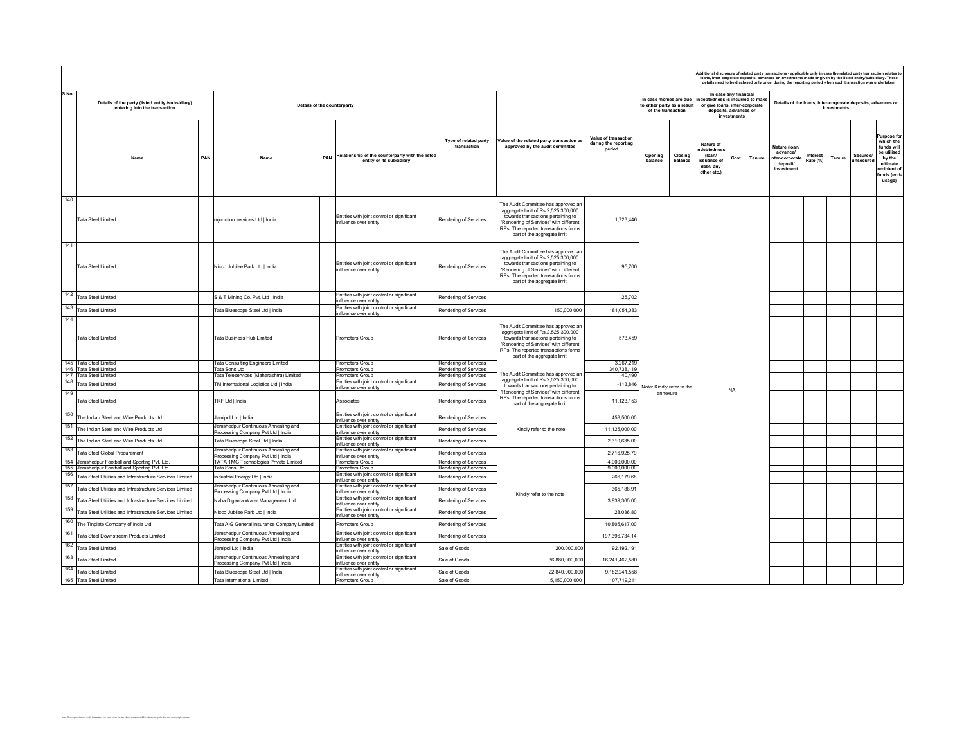|                                                                                                                   |     |                                                                           |     |                                                                                              |                                                |                                                                                                                                                                                                                                    |                                                        |                                                                             |                                                                            |                                                               |                                                               | dditional disclosure of related party transactions - applicable only in case the related party transaction relates to<br>loans, inter-corporate deposits, advances or investments made or given by the listed entity/subsidiary. These<br>details need to be disclosed only once, during the reporting period when such transaction was undertaken. |                             |             |                       |                                                                                                                     |  |
|-------------------------------------------------------------------------------------------------------------------|-----|---------------------------------------------------------------------------|-----|----------------------------------------------------------------------------------------------|------------------------------------------------|------------------------------------------------------------------------------------------------------------------------------------------------------------------------------------------------------------------------------------|--------------------------------------------------------|-----------------------------------------------------------------------------|----------------------------------------------------------------------------|---------------------------------------------------------------|---------------------------------------------------------------|-----------------------------------------------------------------------------------------------------------------------------------------------------------------------------------------------------------------------------------------------------------------------------------------------------------------------------------------------------|-----------------------------|-------------|-----------------------|---------------------------------------------------------------------------------------------------------------------|--|
| S.No.<br>Details of the party (listed entity /subsidiary)<br>entering into the transaction                        |     | Details of the counterparty                                               |     |                                                                                              |                                                |                                                                                                                                                                                                                                    |                                                        | In case monies are due<br>to either party as a result<br>of the transaction |                                                                            | In case any financial<br>deposits, advances or<br>investments | tedness is incurred to make<br>or give loans, inter-corporate |                                                                                                                                                                                                                                                                                                                                                     |                             | investments |                       | Details of the loans, inter-corporate deposits, advances or                                                         |  |
| Name                                                                                                              | PAN | Name                                                                      | PAN | Relationship of the counterparty with the listed<br>entity or its subsidiary                 | Type of related party<br>transaction           | Value of the related party transaction as<br>approved by the audit committee                                                                                                                                                       | Value of transaction<br>during the reporting<br>period | Opening<br>Closing<br>balance<br>balance                                    | Nature of<br>ebtednes<br>(loan/<br>issuance of<br>debt/ any<br>other etc.) | Cost                                                          | Tenure                                                        | Nature (Ioan)<br>advance/<br>ter-corporate<br>deposit/<br>investment                                                                                                                                                                                                                                                                                | <b>Interest</b><br>Rate (%) | Tenure      | Secured/<br>unsecured | urpose for<br>which the<br>funds will<br>be utilised<br>by the<br>ultimate<br>recipient of<br>funds (end-<br>usage) |  |
| 140<br><b>Tata Steel Limited</b>                                                                                  |     | mjunction services Ltd   India                                            |     | Entities with joint control or significant<br>influence over entity                          | Rendering of Services                          | The Audit Committee has approved an<br>aggregate limit of Rs.2,525,300,000<br>towards transactions pertaining to<br>'Rendering of Services' with different<br>RPs. The reported transactions forms<br>part of the aggregate limit. | 1,723,446                                              |                                                                             |                                                                            |                                                               |                                                               |                                                                                                                                                                                                                                                                                                                                                     |                             |             |                       |                                                                                                                     |  |
| 141<br><b>Tata Steel Limited</b>                                                                                  |     | Nicco Jubilee Park Ltd   India                                            |     | Entities with joint control or significant<br>influence over entity                          | Rendering of Services                          | The Audit Committee has approved an<br>aggregate limit of Rs.2,525,300,000<br>towards transactions pertaining to<br>'Rendering of Services' with different<br>RPs. The reported transactions forms<br>part of the aggregate limit. | 95,700                                                 |                                                                             |                                                                            |                                                               |                                                               |                                                                                                                                                                                                                                                                                                                                                     |                             |             |                       |                                                                                                                     |  |
| 142<br><b>Tata Steel Limited</b>                                                                                  |     | S & T Mining Co. Pvt. Ltd   India                                         |     | Entities with joint control or significant<br>influence over entity                          | Rendering of Services                          |                                                                                                                                                                                                                                    | 25,702                                                 |                                                                             |                                                                            |                                                               |                                                               |                                                                                                                                                                                                                                                                                                                                                     |                             |             |                       |                                                                                                                     |  |
| 143<br><b>Tata Steel Limited</b>                                                                                  |     | Fata Bluescope Steel Ltd   India                                          |     | Entities with joint control or significant<br>nfluence over entity                           | Rendering of Services                          | 150.000.000                                                                                                                                                                                                                        | 181,054,083                                            |                                                                             |                                                                            |                                                               |                                                               |                                                                                                                                                                                                                                                                                                                                                     |                             |             |                       |                                                                                                                     |  |
| 144<br><b>Tata Steel Limited</b>                                                                                  |     | Fata Business Hub Limited                                                 |     | Promoters Group                                                                              | Rendering of Services                          | The Audit Committee has approved an<br>aggregate limit of Rs.2,525,300,000<br>towards transactions pertaining to<br>'Rendering of Services' with different<br>RPs. The reported transactions forms<br>part of the aggregate limit. | 573,459                                                |                                                                             |                                                                            |                                                               |                                                               |                                                                                                                                                                                                                                                                                                                                                     |                             |             |                       |                                                                                                                     |  |
| 145 Tata Steel Limited                                                                                            |     | <b>Fata Consulting Engineers Limited</b>                                  |     | Promoters Group                                                                              | Rendering of Services                          |                                                                                                                                                                                                                                    | 3,267,219                                              |                                                                             |                                                                            |                                                               |                                                               |                                                                                                                                                                                                                                                                                                                                                     |                             |             |                       |                                                                                                                     |  |
| 146 Tata Steel Limited<br>147 Tata Steel Limited                                                                  |     | <b>Tata Sons Ltd</b><br>Tata Teleservices (Maharashtra) Limited           |     | Promoters Group<br>Promoters Group                                                           | Rendering of Services<br>Rendering of Services | The Audit Committee has approved an                                                                                                                                                                                                | 340,738,119<br>40,490                                  |                                                                             |                                                                            |                                                               |                                                               |                                                                                                                                                                                                                                                                                                                                                     |                             |             |                       |                                                                                                                     |  |
| 148<br>Tata Steel Limited                                                                                         |     | M International Logistics Ltd   India                                     |     | Entities with joint control or significant<br>influence over entity                          | Rendering of Services                          | aggregate limit of Rs.2,525,300,000<br>towards transactions pertaining to                                                                                                                                                          | $-113,846$                                             | Note: Kindly refer to the                                                   |                                                                            |                                                               |                                                               |                                                                                                                                                                                                                                                                                                                                                     |                             |             |                       |                                                                                                                     |  |
| 149<br><b>Tata Steel Limited</b>                                                                                  |     | TRF Ltd   India                                                           |     | Associates                                                                                   | Rendering of Services                          | 'Rendering of Services' with different<br>RPs. The reported transactions forms<br>part of the aggregate limit.                                                                                                                     | 11,123,153                                             | annexure                                                                    |                                                                            | <b>NA</b>                                                     |                                                               |                                                                                                                                                                                                                                                                                                                                                     |                             |             |                       |                                                                                                                     |  |
| The Indian Steel and Wire Products Ltd                                                                            |     | Jamipol Ltd   India                                                       |     | Entities with joint control or significant<br>influence over entity                          | Rendering of Services                          |                                                                                                                                                                                                                                    | 458,500.00                                             |                                                                             |                                                                            |                                                               |                                                               |                                                                                                                                                                                                                                                                                                                                                     |                             |             |                       |                                                                                                                     |  |
| 151<br>The Indian Steel and Wire Products Ltd                                                                     |     | Jamshedpur Continuous Annealing and<br>rocessing Company Pvt Ltd   India  |     | Entities with joint control or significant<br>nfluence over entity                           | Rendering of Services                          | Kindly refer to the note                                                                                                                                                                                                           | 11,125,000.00                                          |                                                                             |                                                                            |                                                               |                                                               |                                                                                                                                                                                                                                                                                                                                                     |                             |             |                       |                                                                                                                     |  |
| 152<br>The Indian Steel and Wire Products Ltd                                                                     |     | Tata Bluescope Steel Ltd   India                                          |     | Entities with joint control or significant<br>nfluence over entity                           | Rendering of Services                          |                                                                                                                                                                                                                                    | 2,310,635.00                                           |                                                                             |                                                                            |                                                               |                                                               |                                                                                                                                                                                                                                                                                                                                                     |                             |             |                       |                                                                                                                     |  |
| 153<br>Tata Steel Global Procurement                                                                              |     | Jamshedpur Continuous Annealing and<br>rocessing Company Pvt Ltd   India  |     | Entities with joint control or significant<br>influence over entity                          | Rendering of Services                          |                                                                                                                                                                                                                                    | 2,716,925.79                                           |                                                                             |                                                                            |                                                               |                                                               |                                                                                                                                                                                                                                                                                                                                                     |                             |             |                       |                                                                                                                     |  |
| 154 Jamshedpur Football and Sporting Pvt. Ltd.                                                                    |     | ATA 1MG Technologies Private Limited                                      |     | Promoters Group                                                                              | Rendering of Services                          |                                                                                                                                                                                                                                    | 4,000,000.00                                           |                                                                             |                                                                            |                                                               |                                                               |                                                                                                                                                                                                                                                                                                                                                     |                             |             |                       |                                                                                                                     |  |
| 155 Jamshedpur Football and Sporting Pvt. Ltd.<br>156<br>Tata Steel Utilities and Infrastructure Services Limited |     | <b>Tata Sons Ltd</b><br>Industrial Energy Ltd   India                     |     | Promoters Group<br>Entities with joint control or significant                                | Rendering of Services<br>Rendering of Services |                                                                                                                                                                                                                                    | 9,000,000.00<br>266,179.68                             |                                                                             |                                                                            |                                                               |                                                               |                                                                                                                                                                                                                                                                                                                                                     |                             |             |                       |                                                                                                                     |  |
| 157<br>Tata Steel Utilities and Infrastructure Services Limited                                                   |     | amshedpur Continuous Annealing and<br>Processing Company Pvt Ltd   India  |     | influence over entity<br>Entities with joint control or significant<br>influence over entity | Rendering of Services                          |                                                                                                                                                                                                                                    | 365,188.91                                             |                                                                             |                                                                            |                                                               |                                                               |                                                                                                                                                                                                                                                                                                                                                     |                             |             |                       |                                                                                                                     |  |
| 158<br>Tata Steel Utilities and Infrastructure Services Limited                                                   |     | Naba Diganta Water Management Ltd.                                        |     | Entities with joint control or significant<br>influence over entity                          | Rendering of Services                          | Kindly refer to the note                                                                                                                                                                                                           | 3,939,365.00                                           |                                                                             |                                                                            |                                                               |                                                               |                                                                                                                                                                                                                                                                                                                                                     |                             |             |                       |                                                                                                                     |  |
| 159<br>Tata Steel Utilities and Infrastructure Services Limited                                                   |     | Nicco Jubilee Park Ltd   India                                            |     | Entities with joint control or significant<br>influence over entity                          | Rendering of Services                          |                                                                                                                                                                                                                                    | 28,036.80                                              |                                                                             |                                                                            |                                                               |                                                               |                                                                                                                                                                                                                                                                                                                                                     |                             |             |                       |                                                                                                                     |  |
| 160<br>The Tinplate Company of India Ltd                                                                          |     | Fata AIG General Insurance Company Limited                                |     | Promoters Group                                                                              | Rendering of Services                          |                                                                                                                                                                                                                                    | 10,805,617.00                                          |                                                                             |                                                                            |                                                               |                                                               |                                                                                                                                                                                                                                                                                                                                                     |                             |             |                       |                                                                                                                     |  |
| 161<br>Tata Steel Downstream Products Limited                                                                     |     | Jamshedpur Continuous Annealing and<br>rocessing Company Pvt Ltd   India  |     | Entities with joint control or significant<br>influence over entity                          | Rendering of Services                          |                                                                                                                                                                                                                                    | 197,396,734.14                                         |                                                                             |                                                                            |                                                               |                                                               |                                                                                                                                                                                                                                                                                                                                                     |                             |             |                       |                                                                                                                     |  |
| 162<br><b>Tata Steel Limited</b>                                                                                  |     | lamipol Ltd   India                                                       |     | Entities with joint control or significant<br>nfluence over entity                           | Sale of Goods                                  | 200,000,000                                                                                                                                                                                                                        | 92,192,191                                             |                                                                             |                                                                            |                                                               |                                                               |                                                                                                                                                                                                                                                                                                                                                     |                             |             |                       |                                                                                                                     |  |
| 163<br><b>Tata Steel Limited</b>                                                                                  |     | Jamshedour Continuous Annealing and<br>Processing Company Pvt Ltd   India |     | Entities with joint control or significant<br>influence over entity                          | Sale of Goods                                  | 36,880,000,000                                                                                                                                                                                                                     | 16,241,462,580                                         |                                                                             |                                                                            |                                                               |                                                               |                                                                                                                                                                                                                                                                                                                                                     |                             |             |                       |                                                                                                                     |  |
| 164<br><b>Tata Steel Limited</b>                                                                                  |     | Fata Bluescope Steel Ltd   India                                          |     | Entities with joint control or significant<br>influence over entity                          | Sale of Goods                                  | 22,840,000,000                                                                                                                                                                                                                     | 9,182,241,558                                          |                                                                             |                                                                            |                                                               |                                                               |                                                                                                                                                                                                                                                                                                                                                     |                             |             |                       |                                                                                                                     |  |
| 165 Tata Steel Limited                                                                                            |     | Tata International Limited                                                |     | Promoters Group                                                                              | Sale of Goods                                  | 5,150,000,000                                                                                                                                                                                                                      | 107,719,211                                            |                                                                             |                                                                            |                                                               |                                                               |                                                                                                                                                                                                                                                                                                                                                     |                             |             |                       |                                                                                                                     |  |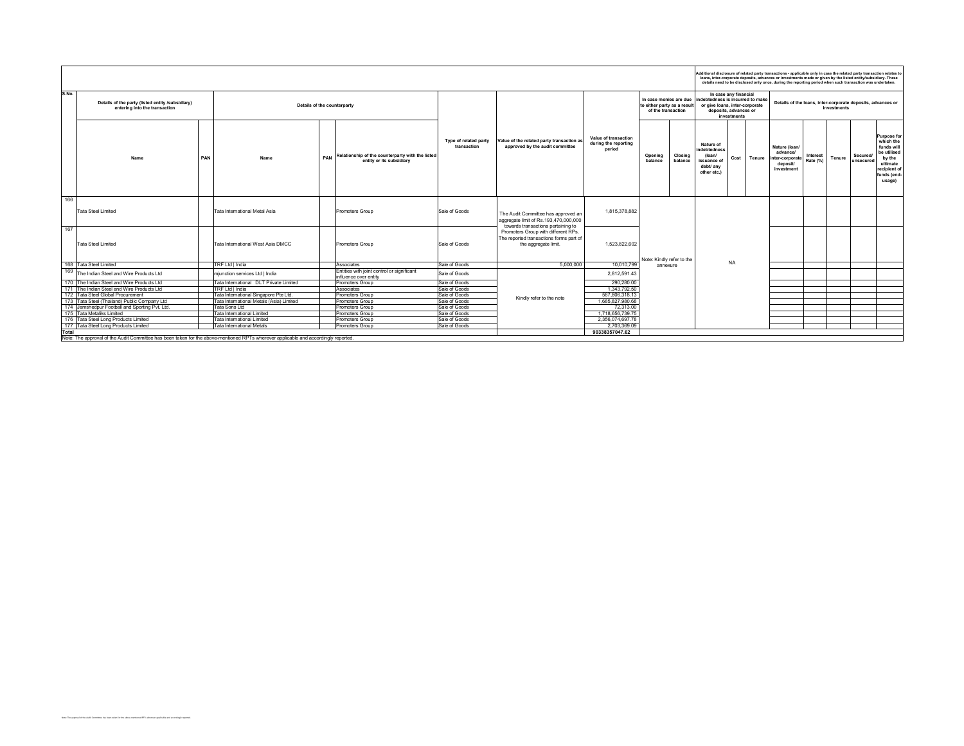|                                                                                                                                                                                                                                                                                                                                                                                                                                                                                                                      | Additional disclosure of related party transactions - applicable only in case the related party transaction relates to<br>loans, inter-corporate deposits, advances or investments made or given by the listed entity/subsidiary. These<br>details need to be disclosed only once, during the reporting period when such transaction was undertaken. |          |             |                              |                                                                                                                             |  |  |  |
|----------------------------------------------------------------------------------------------------------------------------------------------------------------------------------------------------------------------------------------------------------------------------------------------------------------------------------------------------------------------------------------------------------------------------------------------------------------------------------------------------------------------|------------------------------------------------------------------------------------------------------------------------------------------------------------------------------------------------------------------------------------------------------------------------------------------------------------------------------------------------------|----------|-------------|------------------------------|-----------------------------------------------------------------------------------------------------------------------------|--|--|--|
| S.No.<br>In case any financial<br>In case monies are due<br>indebtedness is incurred to make<br>Details of the party (listed entity /subsidiary)<br>or give loans, inter-corporate<br>Details of the counterparty<br>to either party as a result<br>entering into the transaction<br>deposits, advances or<br>of the transaction<br>investments                                                                                                                                                                      | Details of the loans, inter-corporate deposits, advances or                                                                                                                                                                                                                                                                                          |          | investments |                              |                                                                                                                             |  |  |  |
| Value of transaction<br>Type of related party<br>Value of the related party transaction as<br>during the reporting<br>Nature of<br>approved by the audit committee<br>transaction<br>Nature (loan/<br>period<br>indebtedness<br>advancel<br>Relationship of the counterparty with the listed<br>Closing<br>(loan/<br>Opening<br>PAN<br>PAN<br>Cost<br>Name<br>Name<br>Tenure<br>iter-corporate<br>entity or its subsidiary<br>balance<br>balance<br>issuance o<br>deposit/<br>debt/ any<br>investment<br>other etc.) | Rate (%)                                                                                                                                                                                                                                                                                                                                             | Interest | Tenure      | <b>Secured/</b><br>unsecured | <b>Purpose for</b><br>which the<br>funds will<br>be utilised<br>by the<br>ultimate<br>recipient of<br>funds (end-<br>usage) |  |  |  |
| 166<br>1.815.378.882<br><b>Tata Steel Limited</b><br>Sale of Goods<br>Tata International Metal Asia<br>Promoters Group<br>The Audit Committee has approved an<br>aggregate limit of Rs.193,470,000,000                                                                                                                                                                                                                                                                                                               |                                                                                                                                                                                                                                                                                                                                                      |          |             |                              |                                                                                                                             |  |  |  |
| towards transactions pertaining to<br>167<br>Promoters Group with different RPs.<br>The reported transactions forms part of<br>1.523.822.602<br><b>Tata Steel Limited</b><br>Tata International West Asia DMCC<br>Sale of Goods<br>Promoters Group<br>the aggregate limit.<br>Note: Kindly refer to the                                                                                                                                                                                                              |                                                                                                                                                                                                                                                                                                                                                      |          |             |                              |                                                                                                                             |  |  |  |
| <b>NA</b><br>Sale of Goods<br>5.000.000<br>168<br>Tata Steel Limited<br>TRF Ltd I India<br>10.010.799<br>Associates<br>annexure                                                                                                                                                                                                                                                                                                                                                                                      |                                                                                                                                                                                                                                                                                                                                                      |          |             |                              |                                                                                                                             |  |  |  |
| 169<br>Entities with joint control or significant<br>Sale of Goods<br>The Indian Steel and Wire Products Ltd<br>miunction services Ltd I India<br>2.812.591.43<br>influence over entity                                                                                                                                                                                                                                                                                                                              |                                                                                                                                                                                                                                                                                                                                                      |          |             |                              |                                                                                                                             |  |  |  |
| Tata International DLT Private Limited<br>Sale of Goods<br>290,280,00<br>170<br>The Indian Steel and Wire Products Ltd<br>Promoters Group                                                                                                                                                                                                                                                                                                                                                                            |                                                                                                                                                                                                                                                                                                                                                      |          |             |                              |                                                                                                                             |  |  |  |
| TRF Ltd I India<br>Sale of Goods<br>1,343,792.50<br>171 The Indian Steel and Wire Products Ltd<br>Associates                                                                                                                                                                                                                                                                                                                                                                                                         |                                                                                                                                                                                                                                                                                                                                                      |          |             |                              |                                                                                                                             |  |  |  |
| 172 Tata Steel Global Procurement<br>Tata International Singapore Pte Ltd.<br>Promoters Group<br>Sale of Goods<br>567.806.318.13<br>Kindly refer to the note                                                                                                                                                                                                                                                                                                                                                         |                                                                                                                                                                                                                                                                                                                                                      |          |             |                              |                                                                                                                             |  |  |  |
| 1.685.827.980.68<br>173 Tata Steel (Thailand) Public Company Ltd<br>Tata International Metals (Asia) Limited<br>Promoters Group<br>Sale of Goods                                                                                                                                                                                                                                                                                                                                                                     |                                                                                                                                                                                                                                                                                                                                                      |          |             |                              |                                                                                                                             |  |  |  |
| 174 Jamshedpur Football and Sporting Pvt. Ltd.<br>Promoters Group<br>Sale of Goods<br>72,313.00<br>Tata Sons Ltd                                                                                                                                                                                                                                                                                                                                                                                                     |                                                                                                                                                                                                                                                                                                                                                      |          |             |                              |                                                                                                                             |  |  |  |
| 1.718.656.739.75<br>175 Tata Metaliks Limited<br>Sale of Goods<br>Tata International Limited<br>Promoters Group<br>176 Tata Steel Long Products Limited<br>2.356.074.697.78<br>Tata International Limited                                                                                                                                                                                                                                                                                                            |                                                                                                                                                                                                                                                                                                                                                      |          |             |                              |                                                                                                                             |  |  |  |
| Promoters Group<br>Sale of Goods<br>2.703.369.09<br>177 Tata Steel Long Products Limited<br>Sale of Goods<br>Tata International Metals<br>Promoters Group                                                                                                                                                                                                                                                                                                                                                            |                                                                                                                                                                                                                                                                                                                                                      |          |             |                              |                                                                                                                             |  |  |  |
| Total<br>90338357047.62                                                                                                                                                                                                                                                                                                                                                                                                                                                                                              |                                                                                                                                                                                                                                                                                                                                                      |          |             |                              |                                                                                                                             |  |  |  |
| Note: The approval of the Audit Committee has been taken for the above-mentioned RPTs wherever applicable and accordingly reported.                                                                                                                                                                                                                                                                                                                                                                                  |                                                                                                                                                                                                                                                                                                                                                      |          |             |                              |                                                                                                                             |  |  |  |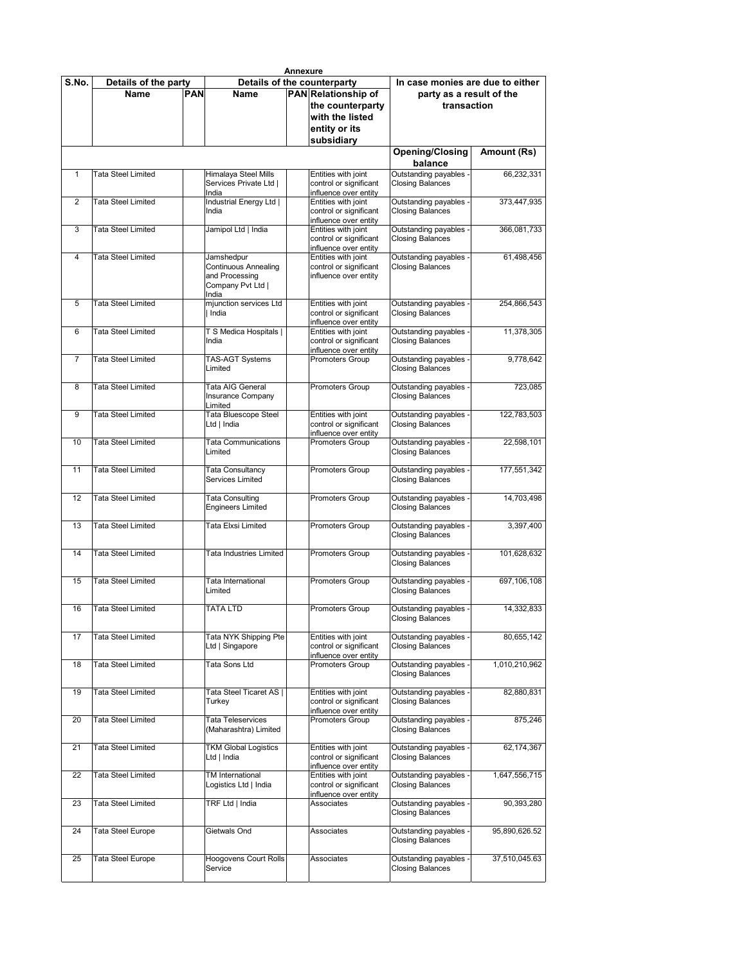|                |                           |            |                                          | <b>Annexure</b> |                                                 |                                                 |               |
|----------------|---------------------------|------------|------------------------------------------|-----------------|-------------------------------------------------|-------------------------------------------------|---------------|
| S.No.          | Details of the party      |            |                                          |                 | Details of the counterparty                     | In case monies are due to either                |               |
|                | <b>Name</b>               | <b>PAN</b> | Name                                     |                 | PAN Relationship of                             | party as a result of the                        |               |
|                |                           |            |                                          |                 | the counterparty                                | transaction                                     |               |
|                |                           |            |                                          |                 | with the listed                                 |                                                 |               |
|                |                           |            |                                          |                 |                                                 |                                                 |               |
|                |                           |            |                                          |                 | entity or its                                   |                                                 |               |
|                |                           |            |                                          |                 | subsidiary                                      |                                                 |               |
|                |                           |            |                                          |                 |                                                 | <b>Opening/Closing</b><br>balance               | Amount (Rs)   |
| $\mathbf{1}$   | <b>Tata Steel Limited</b> |            | Himalaya Steel Mills                     |                 | Entities with joint                             | Outstanding payables                            | 66,232,331    |
|                |                           |            | Services Private Ltd                     |                 | control or significant                          | <b>Closing Balances</b>                         |               |
|                |                           |            | India                                    |                 | influence over entity                           |                                                 |               |
| 2              | <b>Tata Steel Limited</b> |            | Industrial Energy Ltd                    |                 | Entities with joint                             | Outstanding payables                            | 373,447,935   |
|                |                           |            | India                                    |                 | control or significant                          | <b>Closing Balances</b>                         |               |
|                |                           |            |                                          |                 | influence over entity                           |                                                 |               |
| 3              | <b>Tata Steel Limited</b> |            | Jamipol Ltd   India                      |                 | Entities with joint                             | Outstanding payables                            | 366,081,733   |
|                |                           |            |                                          |                 | control or significant<br>influence over entity | <b>Closing Balances</b>                         |               |
| $\overline{4}$ | <b>Tata Steel Limited</b> |            | Jamshedpur                               |                 | Entities with joint                             | Outstanding payables                            | 61,498,456    |
|                |                           |            | Continuous Annealing                     |                 | control or significant                          | <b>Closing Balances</b>                         |               |
|                |                           |            | and Processing                           |                 | influence over entity                           |                                                 |               |
|                |                           |            | Company Pvt Ltd                          |                 |                                                 |                                                 |               |
|                |                           |            | India                                    |                 |                                                 |                                                 |               |
| 5              | Tata Steel Limited        |            | mjunction services Ltd                   |                 | Entities with joint                             | Outstanding payables                            | 254,866,543   |
|                |                           |            | India                                    |                 | control or significant<br>influence over entity | <b>Closing Balances</b>                         |               |
| 6              | <b>Tata Steel Limited</b> |            | T S Medica Hospitals                     |                 | Entities with joint                             | Outstanding payables                            | 11.378.305    |
|                |                           |            | India                                    |                 | control or significant                          | <b>Closing Balances</b>                         |               |
|                |                           |            |                                          |                 | influence over entity                           |                                                 |               |
| 7              | Tata Steel Limited        |            | TAS-AGT Systems                          |                 | Promoters Group                                 | Outstanding payables                            | 9.778.642     |
|                |                           |            | Limited                                  |                 |                                                 | <b>Closing Balances</b>                         |               |
| 8              | Tata Steel Limited        |            | Tata AIG General                         |                 | Promoters Group                                 | Outstanding payables                            | 723.085       |
|                |                           |            | Insurance Company                        |                 |                                                 | <b>Closing Balances</b>                         |               |
|                |                           |            | Limited                                  |                 |                                                 |                                                 |               |
| 9              | <b>Tata Steel Limited</b> |            | <b>Tata Bluescope Steel</b>              |                 | Entities with joint                             | Outstanding payables                            | 122,783,503   |
|                |                           |            | Ltd   India                              |                 | control or significant                          | <b>Closing Balances</b>                         |               |
|                |                           |            |                                          |                 | influence over entity                           |                                                 |               |
| 10             | <b>Tata Steel Limited</b> |            | <b>Tata Communications</b>               |                 | <b>Promoters Group</b>                          | Outstanding payables                            | 22,598,101    |
|                |                           |            | Limited                                  |                 |                                                 | <b>Closing Balances</b>                         |               |
| 11             | <b>Tata Steel Limited</b> |            | Tata Consultancy                         |                 | Promoters Group                                 | Outstanding payables                            | 177,551,342   |
|                |                           |            | Services Limited                         |                 |                                                 | <b>Closing Balances</b>                         |               |
|                |                           |            |                                          |                 |                                                 |                                                 |               |
| 12             | <b>Tata Steel Limited</b> |            | <b>Tata Consulting</b>                   |                 | Promoters Group                                 | Outstanding payables                            | 14,703,498    |
|                |                           |            | <b>Engineers Limited</b>                 |                 |                                                 | <b>Closing Balances</b>                         |               |
| 13             | <b>Tata Steel Limited</b> |            | Tata Elxsi Limited                       |                 | Promoters Group                                 | Outstanding payables                            | 3,397,400     |
|                |                           |            |                                          |                 |                                                 | <b>Closing Balances</b>                         |               |
|                |                           |            |                                          |                 |                                                 |                                                 |               |
| 14             | <b>Tata Steel Limited</b> |            | Tata Industries Limited                  |                 | Promoters Group                                 | Outstanding payables                            | 101,628,632   |
|                |                           |            |                                          |                 |                                                 | <b>Closing Balances</b>                         |               |
| 15             | Tata Steel Limited        |            | Tata International                       |                 | <b>Promoters Group</b>                          | Outstanding payables                            | 697,106,108   |
|                |                           |            | Limited                                  |                 |                                                 | <b>Closing Balances</b>                         |               |
|                |                           |            |                                          |                 |                                                 |                                                 |               |
| 16             | <b>Tata Steel Limited</b> |            | <b>TATA LTD</b>                          |                 | <b>Promoters Group</b>                          | Outstanding payables -                          | 14,332,833    |
|                |                           |            |                                          |                 |                                                 | <b>Closing Balances</b>                         |               |
|                |                           |            |                                          |                 |                                                 |                                                 |               |
| 17             | <b>Tata Steel Limited</b> |            | Tata NYK Shipping Pte<br>Ltd   Singapore |                 | Entities with joint<br>control or significant   | Outstanding payables<br><b>Closing Balances</b> | 80,655,142    |
|                |                           |            |                                          |                 | influence over entity                           |                                                 |               |
| 18             | <b>Tata Steel Limited</b> |            | Tata Sons Ltd                            |                 | Promoters Group                                 | Outstanding payables                            | 1,010,210,962 |
|                |                           |            |                                          |                 |                                                 | <b>Closing Balances</b>                         |               |
|                |                           |            |                                          |                 |                                                 |                                                 |               |
| 19             | <b>Tata Steel Limited</b> |            | Tata Steel Ticaret AS                    |                 | Entities with joint                             | Outstanding payables<br><b>Closing Balances</b> | 82,880,831    |
|                |                           |            | Turkey                                   |                 | control or significant<br>influence over entity |                                                 |               |
| 20             | Tata Steel Limited        |            | Tata Teleservices                        |                 | Promoters Group                                 | Outstanding payables                            | 875,246       |
|                |                           |            | (Maharashtra) Limited                    |                 |                                                 | <b>Closing Balances</b>                         |               |
|                |                           |            |                                          |                 |                                                 |                                                 |               |
| 21             | <b>Tata Steel Limited</b> |            | <b>TKM Global Logistics</b>              |                 | Entities with joint                             | Outstanding payables                            | 62,174,367    |
|                |                           |            | Ltd   India                              |                 | control or significant<br>influence over entity | <b>Closing Balances</b>                         |               |
| 22             | <b>Tata Steel Limited</b> |            | TM International                         |                 | Entities with joint                             | Outstanding payables                            | 1,647,556,715 |
|                |                           |            | Logistics Ltd   India                    |                 | control or significant                          | <b>Closing Balances</b>                         |               |
|                |                           |            |                                          |                 | influence over entity                           |                                                 |               |
| 23             | <b>Tata Steel Limited</b> |            | TRF Ltd   India                          |                 | Associates                                      | Outstanding payables                            | 90,393,280    |
|                |                           |            |                                          |                 |                                                 | <b>Closing Balances</b>                         |               |
| 24             | <b>Tata Steel Europe</b>  |            | Gietwals Ond                             |                 | Associates                                      | Outstanding payables                            | 95,890,626.52 |
|                |                           |            |                                          |                 |                                                 | <b>Closing Balances</b>                         |               |
|                |                           |            |                                          |                 |                                                 |                                                 |               |
| 25             | Tata Steel Europe         |            | Hoogovens Court Rolls                    |                 | Associates                                      | Outstanding payables                            | 37,510,045.63 |
|                |                           |            | Service                                  |                 |                                                 | <b>Closing Balances</b>                         |               |
|                |                           |            |                                          |                 |                                                 |                                                 |               |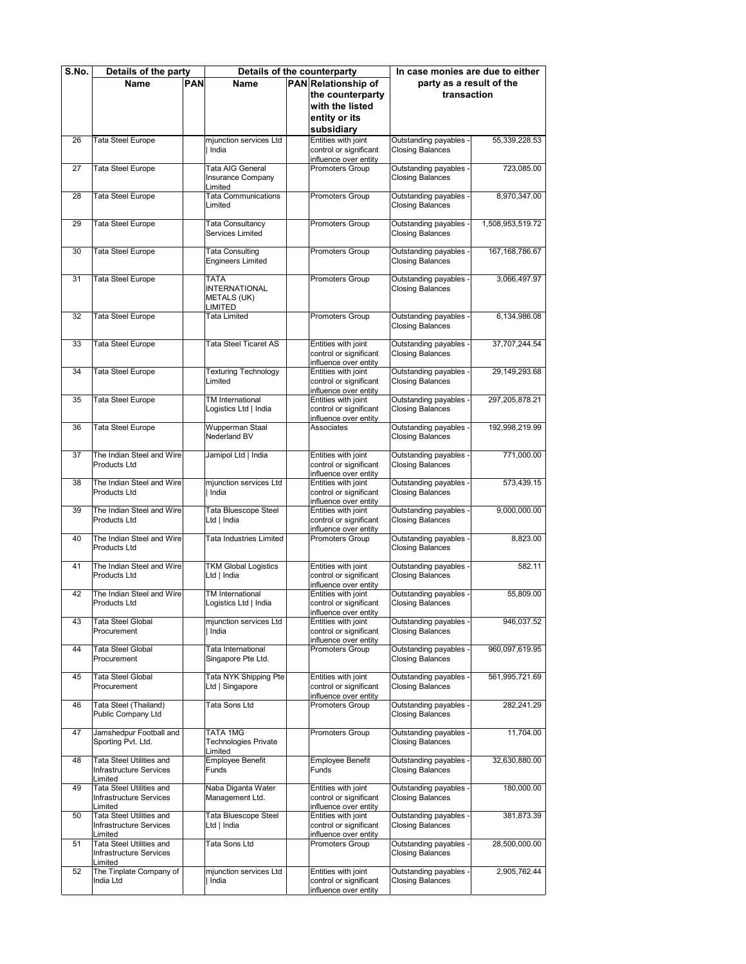| S.No. | Details of the party                |  |                                          | Details of the counterparty                     | In case monies are due to either                |                   |
|-------|-------------------------------------|--|------------------------------------------|-------------------------------------------------|-------------------------------------------------|-------------------|
|       | Name                                |  | <b>PAN</b><br>Name                       | <b>PAN</b> Relationship of                      | party as a result of the                        |                   |
|       |                                     |  |                                          | the counterparty                                | transaction                                     |                   |
|       |                                     |  |                                          | with the listed                                 |                                                 |                   |
|       |                                     |  |                                          |                                                 |                                                 |                   |
|       |                                     |  |                                          | entity or its                                   |                                                 |                   |
|       |                                     |  |                                          | subsidiary                                      |                                                 |                   |
| 26    | <b>Tata Steel Europe</b>            |  | mjunction services Ltd                   | Entities with joint                             | Outstanding payables                            | 55,339,228.53     |
|       |                                     |  | India                                    | control or significant                          | <b>Closing Balances</b>                         |                   |
|       |                                     |  |                                          | influence over entity                           |                                                 |                   |
| 27    | <b>Tata Steel Europe</b>            |  | Tata AIG General                         | Promoters Group                                 | Outstanding payables                            | 723,085.00        |
|       |                                     |  | Insurance Company                        |                                                 | <b>Closing Balances</b>                         |                   |
|       |                                     |  | Limited<br><b>Tata Communications</b>    |                                                 |                                                 |                   |
| 28    | Tata Steel Europe                   |  | Limited                                  | <b>Promoters Group</b>                          | Outstanding payables                            | 8,970,347.00      |
|       |                                     |  |                                          |                                                 | <b>Closing Balances</b>                         |                   |
| 29    | <b>Tata Steel Europe</b>            |  | Tata Consultancy                         | <b>Promoters Group</b>                          | Outstanding payables                            | 1,508,953,519.72  |
|       |                                     |  | Services Limited                         |                                                 | <b>Closing Balances</b>                         |                   |
|       |                                     |  |                                          |                                                 |                                                 |                   |
| 30    | <b>Tata Steel Europe</b>            |  | <b>Tata Consulting</b>                   | <b>Promoters Group</b>                          | Outstanding payables                            | 167, 168, 786. 67 |
|       |                                     |  | <b>Engineers Limited</b>                 |                                                 | <b>Closing Balances</b>                         |                   |
|       |                                     |  |                                          |                                                 |                                                 |                   |
| 31    | Tata Steel Europe                   |  | <b>TATA</b>                              | Promoters Group                                 | Outstanding payables                            | 3,066,497.97      |
|       |                                     |  | <b>INTERNATIONAL</b>                     |                                                 | <b>Closing Balances</b>                         |                   |
|       |                                     |  | <b>METALS (UK)</b>                       |                                                 |                                                 |                   |
|       |                                     |  | LIMITED                                  |                                                 |                                                 |                   |
| 32    | <b>Tata Steel Europe</b>            |  | Tata Limited                             | Promoters Group                                 | Outstanding payables                            | 6.134.986.08      |
|       |                                     |  |                                          |                                                 | <b>Closing Balances</b>                         |                   |
|       |                                     |  | Tata Steel Ticaret AS                    |                                                 |                                                 |                   |
| 33    | Tata Steel Europe                   |  |                                          | Entities with joint                             | Outstanding payables                            | 37,707,244.54     |
|       |                                     |  |                                          | control or significant<br>influence over entity | <b>Closing Balances</b>                         |                   |
| 34    | Tata Steel Europe                   |  | <b>Texturing Technology</b>              | Entities with joint                             | Outstanding payables                            | 29,149,293.68     |
|       |                                     |  | Limited                                  | control or significant                          | <b>Closing Balances</b>                         |                   |
|       |                                     |  |                                          | influence over entity                           |                                                 |                   |
| 35    | <b>Tata Steel Europe</b>            |  | TM International                         | Entities with joint                             | Outstanding payables                            | 297,205,878.21    |
|       |                                     |  | Logistics Ltd   India                    | control or significant                          | <b>Closing Balances</b>                         |                   |
|       |                                     |  |                                          | influence over entity                           |                                                 |                   |
| 36    | Tata Steel Europe                   |  | Wupperman Staal                          | Associates                                      | Outstanding payables                            | 192,998,219.99    |
|       |                                     |  | Nederland BV                             |                                                 | <b>Closing Balances</b>                         |                   |
|       |                                     |  |                                          |                                                 |                                                 |                   |
| 37    | The Indian Steel and Wire           |  | Jamipol Ltd   India                      | Entities with joint                             | Outstanding payables                            | 771,000.00        |
|       | <b>Products Ltd</b>                 |  |                                          | control or significant                          | <b>Closing Balances</b>                         |                   |
|       |                                     |  |                                          | influence over entity                           |                                                 |                   |
| 38    | The Indian Steel and Wire           |  | mjunction services Ltd                   | Entities with joint                             | Outstanding payables                            | 573,439.15        |
|       | <b>Products Ltd</b>                 |  | India                                    | control or significant                          | <b>Closing Balances</b>                         |                   |
|       | The Indian Steel and Wire           |  |                                          | influence over entity                           |                                                 |                   |
| 39    | <b>Products Ltd</b>                 |  | Tata Bluescope Steel<br>Ltd   India      | Entities with joint<br>control or significant   | Outstanding payables<br><b>Closing Balances</b> | 9,000,000.00      |
|       |                                     |  |                                          | influence over entity                           |                                                 |                   |
| 40    | The Indian Steel and Wire           |  | Tata Industries Limited                  | Promoters Group                                 | Outstanding payables                            | 8,823.00          |
|       | Products Ltd                        |  |                                          |                                                 | <b>Closing Balances</b>                         |                   |
|       |                                     |  |                                          |                                                 |                                                 |                   |
| 41    | The Indian Steel and Wire           |  | <b>TKM Global Logistics</b>              | Entities with joint                             | Outstanding payables                            | 582.11            |
|       | <b>Products Ltd</b>                 |  | Ltd   India                              | control or significant                          | <b>Closing Balances</b>                         |                   |
|       |                                     |  |                                          | influence over entity                           |                                                 |                   |
| 42    | The Indian Steel and Wire           |  | TM International                         | Entities with joint                             | Outstanding payables                            | 55.809.00         |
|       | Products Ltd                        |  | Logistics Ltd   India                    | control or significant                          | <b>Closing Balances</b>                         |                   |
|       |                                     |  |                                          | influence over entity                           |                                                 |                   |
| 43    | <b>Tata Steel Global</b>            |  | mjunction services Ltd                   | Entities with joint                             | Outstanding payables                            | 946,037.52        |
|       | Procurement                         |  | India                                    | control or significant                          | <b>Closing Balances</b>                         |                   |
|       |                                     |  |                                          | influence over entity                           |                                                 |                   |
| 44    | Tata Steel Global<br>Procurement    |  | Tata International<br>Singapore Pte Ltd. | Promoters Group                                 | Outstanding payables<br><b>Closing Balances</b> | 960,097,619.95    |
|       |                                     |  |                                          |                                                 |                                                 |                   |
| 45    | Tata Steel Global                   |  | Tata NYK Shipping Pte                    | Entities with joint                             | Outstanding payables                            | 561,995,721.69    |
|       | Procurement                         |  | Ltd   Singapore                          | control or significant                          | <b>Closing Balances</b>                         |                   |
|       |                                     |  |                                          | influence over entity                           |                                                 |                   |
| 46    | Tata Steel (Thailand)               |  | Tata Sons Ltd                            | Promoters Group                                 | Outstanding payables                            | 282,241.29        |
|       | Public Company Ltd                  |  |                                          |                                                 | <b>Closing Balances</b>                         |                   |
|       |                                     |  |                                          |                                                 |                                                 |                   |
| 47    | Jamshedpur Football and             |  | TATA 1MG                                 | <b>Promoters Group</b>                          | Outstanding payables                            | 11.704.00         |
|       | Sporting Pvt. Ltd.                  |  | <b>Technologies Private</b>              |                                                 | <b>Closing Balances</b>                         |                   |
|       |                                     |  | Limited                                  |                                                 |                                                 |                   |
| 48    | Tata Steel Utilities and            |  | <b>Employee Benefit</b>                  | Employee Benefit                                | Outstanding payables                            | 32,630,880.00     |
|       | Infrastructure Services             |  | Funds                                    | Funds                                           | <b>Closing Balances</b>                         |                   |
| 49    | Limited<br>Tata Steel Utilities and |  | Naba Diganta Water                       | Entities with joint                             | Outstanding payables                            | 180,000.00        |
|       | Infrastructure Services             |  | Management Ltd.                          | control or significant                          | <b>Closing Balances</b>                         |                   |
|       | Limited                             |  |                                          | influence over entity                           |                                                 |                   |
| 50    | <b>Tata Steel Utilities and</b>     |  | Tata Bluescope Steel                     | Entities with joint                             | Outstanding payables                            | 381,873.39        |
|       | Infrastructure Services             |  | Ltd   India                              | control or significant                          | <b>Closing Balances</b>                         |                   |
|       | Limited                             |  |                                          | influence over entity                           |                                                 |                   |
| 51    | Tata Steel Utilities and            |  | Tata Sons Ltd                            | Promoters Group                                 | Outstanding payables                            | 28,500,000.00     |
|       | Infrastructure Services             |  |                                          |                                                 | <b>Closing Balances</b>                         |                   |
|       | Limited                             |  |                                          |                                                 |                                                 |                   |
| 52    | The Tinplate Company of             |  | mjunction services Ltd                   | Entities with joint                             | Outstanding payables                            | 2,905,762.44      |
|       | India Ltd                           |  | India                                    | control or significant                          | <b>Closing Balances</b>                         |                   |
|       |                                     |  |                                          | influence over entity                           |                                                 |                   |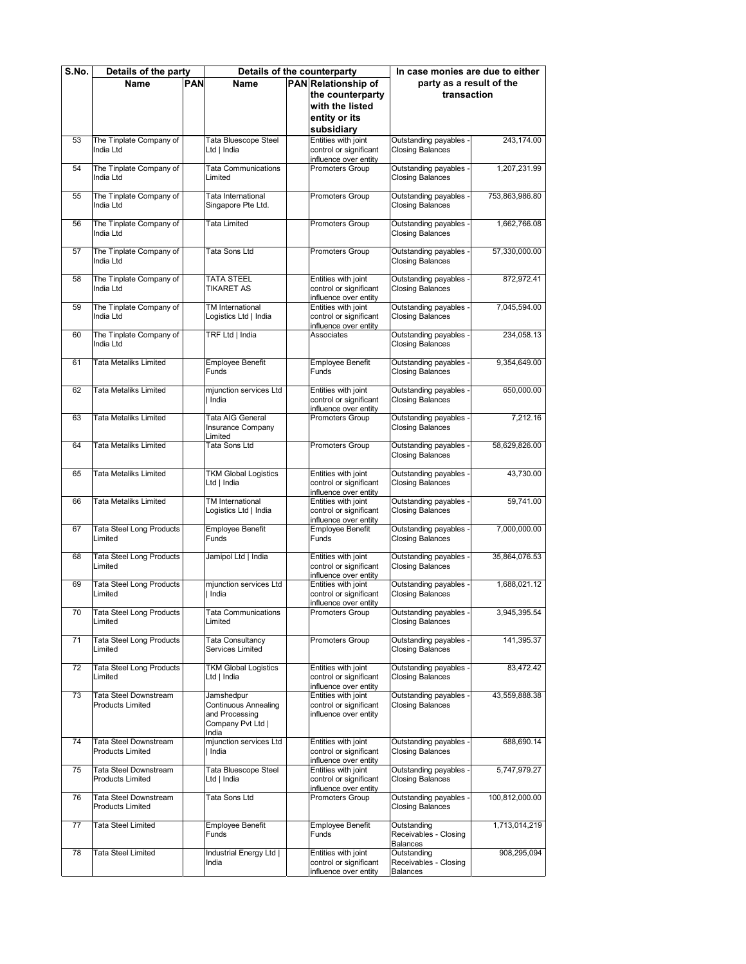| S.No. | Details of the party                             |            |                                                                                           | Details of the counterparty                                            | In case monies are due to either                        |                |
|-------|--------------------------------------------------|------------|-------------------------------------------------------------------------------------------|------------------------------------------------------------------------|---------------------------------------------------------|----------------|
|       | Name                                             | <b>PAN</b> | <b>Name</b>                                                                               | PAN Relationship of                                                    | party as a result of the                                |                |
|       |                                                  |            |                                                                                           | the counterparty                                                       | transaction                                             |                |
|       |                                                  |            |                                                                                           | with the listed                                                        |                                                         |                |
|       |                                                  |            |                                                                                           | entity or its                                                          |                                                         |                |
|       |                                                  |            |                                                                                           | subsidiary                                                             |                                                         |                |
| 53    | The Tinplate Company of                          |            | Tata Bluescope Steel                                                                      | Entities with joint                                                    | Outstanding payables                                    | 243,174.00     |
|       | India Ltd                                        |            | Ltd   India                                                                               | control or significant<br>influence over entity                        | <b>Closing Balances</b>                                 |                |
| 54    | The Tinplate Company of<br>India Ltd             |            | <b>Tata Communications</b><br>Limited                                                     | Promoters Group                                                        | Outstanding payables<br><b>Closing Balances</b>         | 1,207,231.99   |
| 55    | The Tinplate Company of<br>India Ltd             |            | Tata International<br>Singapore Pte Ltd.                                                  | Promoters Group                                                        | Outstanding payables<br><b>Closing Balances</b>         | 753,863,986.80 |
| 56    | The Tinplate Company of<br>India Ltd             |            | <b>Tata Limited</b>                                                                       | <b>Promoters Group</b>                                                 | Outstanding payables<br><b>Closing Balances</b>         | 1,662,766.08   |
| 57    | The Tinplate Company of<br>India Ltd             |            | Tata Sons Ltd                                                                             | <b>Promoters Group</b>                                                 | Outstanding payables<br><b>Closing Balances</b>         | 57,330,000.00  |
| 58    | The Tinplate Company of<br>India Ltd             |            | <b>TATA STEEL</b><br>TIKARET AS                                                           | Entities with joint<br>control or significant<br>influence over entity | Outstanding payables<br><b>Closing Balances</b>         | 872,972.41     |
| 59    | The Tinplate Company of<br>India Ltd             |            | <b>TM</b> International<br>Logistics Ltd   India                                          | Entities with joint<br>control or significant<br>influence over entity | Outstanding payables<br><b>Closing Balances</b>         | 7,045,594.00   |
| 60    | The Tinplate Company of<br>India Ltd             |            | TRF Ltd   India                                                                           | Associates                                                             | Outstanding payables<br><b>Closing Balances</b>         | 234.058.13     |
| 61    | <b>Tata Metaliks Limited</b>                     |            | <b>Employee Benefit</b><br>Funds                                                          | Employee Benefit<br>Funds                                              | Outstanding payables<br><b>Closing Balances</b>         | 9,354,649.00   |
| 62    | Tata Metaliks Limited                            |            | mjunction services Ltd<br>India                                                           | Entities with joint<br>control or significant<br>influence over entity | Outstanding payables<br><b>Closing Balances</b>         | 650,000.00     |
| 63    | Tata Metaliks Limited                            |            | Tata AIG General<br>Insurance Company<br>Limited                                          | Promoters Group                                                        | Outstanding payables<br><b>Closing Balances</b>         | 7,212.16       |
| 64    | Tata Metaliks Limited                            |            | Tata Sons Ltd                                                                             | Promoters Group                                                        | Outstanding payables<br><b>Closing Balances</b>         | 58,629,826.00  |
| 65    | Tata Metaliks Limited                            |            | <b>TKM Global Logistics</b><br>Ltd   India                                                | Entities with joint<br>control or significant<br>influence over entity | Outstanding payables<br><b>Closing Balances</b>         | 43,730.00      |
| 66    | <b>Tata Metaliks Limited</b>                     |            | TM International<br>Logistics Ltd   India                                                 | Entities with joint<br>control or significant<br>influence over entity | Outstanding payables<br><b>Closing Balances</b>         | 59,741.00      |
| 67    | Tata Steel Long Products<br>Limited              |            | <b>Employee Benefit</b><br>Funds                                                          | Employee Benefit<br>Funds                                              | Outstanding payables<br><b>Closing Balances</b>         | 7,000,000.00   |
| 68    | Tata Steel Long Products<br>Limited              |            | Jamipol Ltd   India                                                                       | Entities with joint<br>control or significant<br>influence over entity | Outstanding payables<br><b>Closing Balances</b>         | 35,864,076.53  |
| 69    | Tata Steel Long Products<br>Limited              |            | mjunction services Ltd<br>India                                                           | Entities with joint<br>control or significant<br>influence over entity | Outstanding payables<br><b>Closing Balances</b>         | 1,688,021.12   |
| 70    | Tata Steel Long Products<br>Limited              |            | i ata Communications<br>Limited                                                           | romoters Groupص                                                        | ∪utstanding payabies<br><b>Closing Balances</b>         | 3,945,395.54   |
| 71    | <b>Tata Steel Long Products</b><br>Limited       |            | <b>Tata Consultancy</b><br>Services Limited                                               | Promoters Group                                                        | Outstanding payables<br><b>Closing Balances</b>         | 141,395.37     |
| 72    | Tata Steel Long Products<br>Limited              |            | <b>TKM Global Logistics</b><br>Ltd   India                                                | Entities with joint<br>control or significant<br>influence over entity | Outstanding payables<br><b>Closing Balances</b>         | 83,472.42      |
| 73    | Tata Steel Downstream<br><b>Products Limited</b> |            | Jamshedpur<br><b>Continuous Annealing</b><br>and Processing<br>Company Pvt Ltd  <br>India | Entities with joint<br>control or significant<br>influence over entity | Outstanding payables<br><b>Closing Balances</b>         | 43,559,888.38  |
| 74    | Tata Steel Downstream<br><b>Products Limited</b> |            | mjunction services Ltd<br>India                                                           | Entities with joint<br>control or significant<br>influence over entity | Outstanding payables<br><b>Closing Balances</b>         | 688,690.14     |
| 75    | Tata Steel Downstream<br><b>Products Limited</b> |            | Tata Bluescope Steel<br>Ltd   India                                                       | Entities with joint<br>control or significant<br>influence over entity | Outstanding payables<br><b>Closing Balances</b>         | 5,747,979.27   |
| 76    | Tata Steel Downstream<br><b>Products Limited</b> |            | Tata Sons Ltd                                                                             | Promoters Group                                                        | Outstanding payables<br><b>Closing Balances</b>         | 100,812,000.00 |
| 77    | Tata Steel Limited                               |            | Employee Benefit<br>Funds                                                                 | Employee Benefit<br>Funds                                              | Outstanding<br>Receivables - Closing<br><b>Balances</b> | 1,713,014,219  |
| 78    | Tata Steel Limited                               |            | Industrial Energy Ltd  <br>India                                                          | Entities with joint<br>control or significant<br>influence over entity | Outstanding<br>Receivables - Closing<br><b>Balances</b> | 908,295,094    |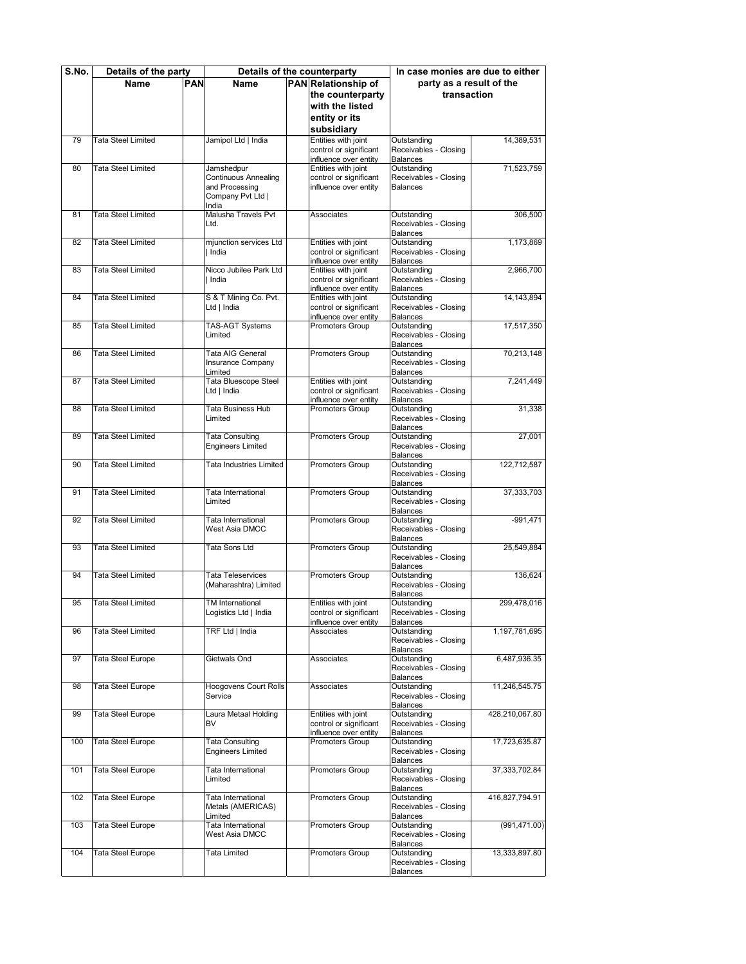| S.No. | Details of the party      |            |                              | Details of the counterparty                     | In case monies are due to either         |                 |  |  |
|-------|---------------------------|------------|------------------------------|-------------------------------------------------|------------------------------------------|-----------------|--|--|
|       | <b>Name</b>               | <b>PAN</b> | Name                         | PAN Relationship of                             | party as a result of the                 |                 |  |  |
|       |                           |            |                              | the counterparty                                | transaction                              |                 |  |  |
|       |                           |            |                              | with the listed                                 |                                          |                 |  |  |
|       |                           |            |                              | entity or its                                   |                                          |                 |  |  |
|       |                           |            |                              |                                                 |                                          |                 |  |  |
|       |                           |            |                              | subsidiary<br>Entities with joint               |                                          |                 |  |  |
| 79    | <b>Tata Steel Limited</b> |            | Jamipol Ltd   India          | control or significant                          | Outstanding<br>Receivables - Closing     | 14,389,531      |  |  |
|       |                           |            |                              | influence over entity                           | <b>Balances</b>                          |                 |  |  |
| 80    | <b>Tata Steel Limited</b> |            | Jamshedpur                   | Entities with joint                             | Outstanding                              | 71,523,759      |  |  |
|       |                           |            | <b>Continuous Annealing</b>  | control or significant                          | Receivables - Closing                    |                 |  |  |
|       |                           |            | and Processing               | influence over entity                           | <b>Balances</b>                          |                 |  |  |
|       |                           |            | Company Pvt Ltd              |                                                 |                                          |                 |  |  |
|       |                           |            | India                        |                                                 |                                          |                 |  |  |
| 81    | <b>Tata Steel Limited</b> |            | Malusha Travels Pvt          | Associates                                      | Outstanding                              | 306,500         |  |  |
|       |                           |            | Ltd.                         |                                                 | Receivables - Closing                    |                 |  |  |
|       |                           |            |                              |                                                 | <b>Balances</b>                          |                 |  |  |
| 82    | <b>Tata Steel Limited</b> |            | mjunction services Ltd       | Entities with joint                             | Outstanding                              | 1,173,869       |  |  |
|       |                           |            | India                        | control or significant                          | Receivables - Closing                    |                 |  |  |
| 83    | <b>Tata Steel Limited</b> |            | Nicco Jubilee Park Ltd       | influence over entity<br>Entities with joint    | <b>Balances</b><br>Outstanding           | 2,966,700       |  |  |
|       |                           |            | India                        | control or significant                          | Receivables - Closing                    |                 |  |  |
|       |                           |            |                              | influence over entity                           | <b>Balances</b>                          |                 |  |  |
| 84    | <b>Tata Steel Limited</b> |            | S & T Mining Co. Pvt.        | Entities with joint                             | Outstanding                              | 14, 143, 894    |  |  |
|       |                           |            | Ltd   India                  | control or significant                          | Receivables - Closing                    |                 |  |  |
|       |                           |            |                              | influence over entity                           | <b>Balances</b>                          |                 |  |  |
| 85    | <b>Tata Steel Limited</b> |            | TAS-AGT Systems              | Promoters Group                                 | Outstanding                              | 17,517,350      |  |  |
|       |                           |            | Limited                      |                                                 | Receivables - Closing                    |                 |  |  |
|       |                           |            |                              |                                                 | <b>Balances</b>                          |                 |  |  |
| 86    | <b>Tata Steel Limited</b> |            | Tata AIG General             | Promoters Group                                 | Outstanding                              | 70,213,148      |  |  |
|       |                           |            | Insurance Company            |                                                 | Receivables - Closing                    |                 |  |  |
|       |                           |            | Limited                      |                                                 | <b>Balances</b>                          |                 |  |  |
| 87    | <b>Tata Steel Limited</b> |            | Tata Bluescope Steel         | Entities with joint<br>control or significant   | Outstanding                              | 7,241,449       |  |  |
|       |                           |            | Ltd   India                  | influence over entity                           | Receivables - Closing<br><b>Balances</b> |                 |  |  |
| 88    | <b>Tata Steel Limited</b> |            | Tata Business Hub            | Promoters Group                                 | Outstanding                              | 31,338          |  |  |
|       |                           |            | Limited                      |                                                 | Receivables - Closing                    |                 |  |  |
|       |                           |            |                              |                                                 | <b>Balances</b>                          |                 |  |  |
| 89    | <b>Tata Steel Limited</b> |            | <b>Tata Consulting</b>       | Promoters Group                                 | Outstanding                              | 27,001          |  |  |
|       |                           |            | <b>Engineers Limited</b>     |                                                 | Receivables - Closing                    |                 |  |  |
|       |                           |            |                              |                                                 | <b>Balances</b>                          |                 |  |  |
| 90    | <b>Tata Steel Limited</b> |            | Tata Industries Limited      | Promoters Group                                 | Outstanding                              | 122,712,587     |  |  |
|       |                           |            |                              |                                                 | Receivables - Closing                    |                 |  |  |
|       |                           |            |                              |                                                 | <b>Balances</b>                          |                 |  |  |
| 91    | <b>Tata Steel Limited</b> |            | Tata International           | Promoters Group                                 | Outstanding                              | 37,333,703      |  |  |
|       |                           |            | Limited                      |                                                 | Receivables - Closing<br><b>Balances</b> |                 |  |  |
| 92    | <b>Tata Steel Limited</b> |            | Tata International           | Promoters Group                                 | Outstanding                              | $-991,471$      |  |  |
|       |                           |            | West Asia DMCC               |                                                 | Receivables - Closing                    |                 |  |  |
|       |                           |            |                              |                                                 | <b>Balances</b>                          |                 |  |  |
| 93    | <b>Tata Steel Limited</b> |            | Tata Sons Ltd                | <b>Promoters Group</b>                          | Outstanding                              | 25,549,884      |  |  |
|       |                           |            |                              |                                                 | Receivables - Closing                    |                 |  |  |
|       |                           |            |                              |                                                 | <b>Balances</b>                          |                 |  |  |
| 94    | <b>Tata Steel Limited</b> |            | Tata Teleservices            | Promoters Group                                 | Outstanding                              | 136,624         |  |  |
|       |                           |            | (Maharashtra) Limited        |                                                 | Receivables - Closing                    |                 |  |  |
|       |                           |            |                              |                                                 | <b>Balances</b>                          |                 |  |  |
| 95    | <b>Tata Steel Limited</b> |            | TM International             | Entities with joint                             | Outstanding                              | 299,478,016     |  |  |
|       |                           |            | Logistics Ltd   India        | control or significant<br>influence over entity | Receivables - Closing<br><b>Balances</b> |                 |  |  |
| 96    | <b>Tata Steel Limited</b> |            | TRF Ltd   India              | Associates                                      | Outstanding                              | 1,197,781,695   |  |  |
|       |                           |            |                              |                                                 | Receivables - Closing                    |                 |  |  |
|       |                           |            |                              |                                                 | <b>Balances</b>                          |                 |  |  |
| 97    | <b>Tata Steel Europe</b>  |            | Gietwals Ond                 | Associates                                      | Outstanding                              | 6,487,936.35    |  |  |
|       |                           |            |                              |                                                 | Receivables - Closing                    |                 |  |  |
|       |                           |            |                              |                                                 | <b>Balances</b>                          |                 |  |  |
| 98    | Tata Steel Europe         |            | <b>Hoogovens Court Rolls</b> | Associates                                      | Outstanding                              | 11,246,545.75   |  |  |
|       |                           |            | Service                      |                                                 | Receivables - Closing                    |                 |  |  |
|       |                           |            |                              |                                                 | <b>Balances</b>                          |                 |  |  |
| 99    | <b>Tata Steel Europe</b>  |            | Laura Metaal Holding         | Entities with joint                             | Outstanding                              | 428,210,067.80  |  |  |
|       |                           |            | BV                           | control or significant<br>influence over entity | Receivables - Closing<br><b>Balances</b> |                 |  |  |
| 100   | <b>Tata Steel Europe</b>  |            | <b>Tata Consulting</b>       | Promoters Group                                 | Outstanding                              | 17,723,635.87   |  |  |
|       |                           |            | Engineers Limited            |                                                 | Receivables - Closing                    |                 |  |  |
|       |                           |            |                              |                                                 | <b>Balances</b>                          |                 |  |  |
| 101   | Tata Steel Europe         |            | Tata International           | Promoters Group                                 | Outstanding                              | 37, 333, 702.84 |  |  |
|       |                           |            | Limited                      |                                                 | Receivables - Closing                    |                 |  |  |
|       |                           |            |                              |                                                 | <b>Balances</b>                          |                 |  |  |
| 102   | <b>Tata Steel Europe</b>  |            | Tata International           | Promoters Group                                 | Outstanding                              | 416,827,794.91  |  |  |
|       |                           |            | Metals (AMERICAS)            |                                                 | Receivables - Closing                    |                 |  |  |
|       |                           |            | Limited                      |                                                 | <b>Balances</b>                          |                 |  |  |
| 103   | Tata Steel Europe         |            | Tata International           | Promoters Group                                 | Outstanding                              | (991, 471.00)   |  |  |
|       |                           |            | West Asia DMCC               |                                                 | Receivables - Closing                    |                 |  |  |
| 104   | <b>Tata Steel Europe</b>  |            | Tata Limited                 | Promoters Group                                 | <b>Balances</b><br>Outstanding           | 13,333,897.80   |  |  |
|       |                           |            |                              |                                                 | Receivables - Closing                    |                 |  |  |
|       |                           |            |                              |                                                 | <b>Balances</b>                          |                 |  |  |
|       |                           |            |                              |                                                 |                                          |                 |  |  |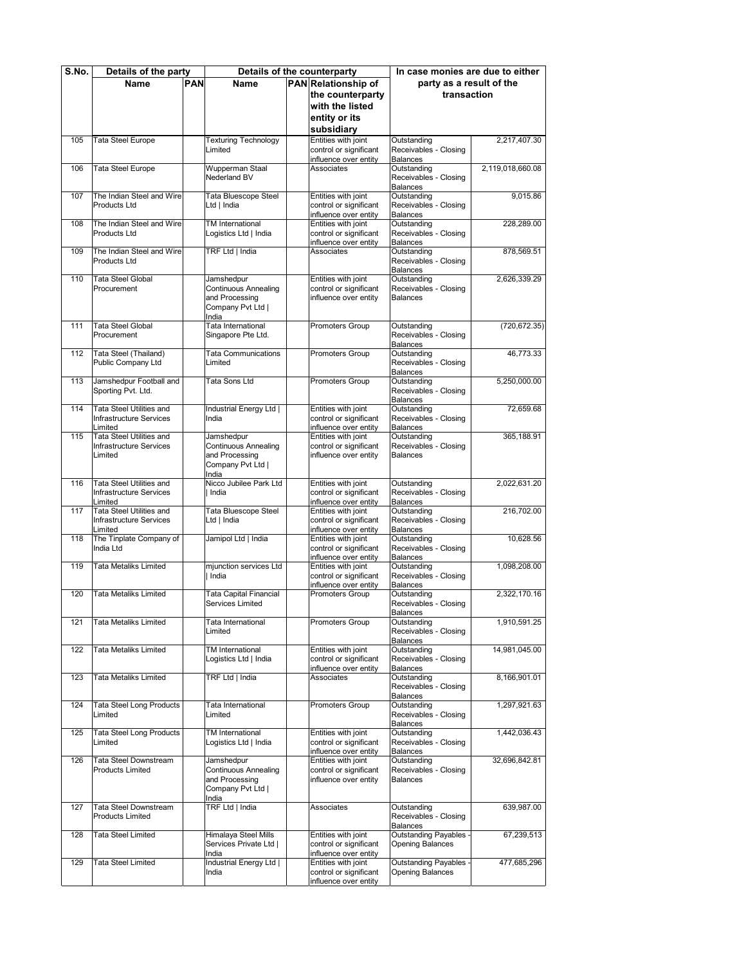| S.No. | Details of the party                    |            |                                               | Details of the counterparty                     | In case monies are due to either         |                  |
|-------|-----------------------------------------|------------|-----------------------------------------------|-------------------------------------------------|------------------------------------------|------------------|
|       | Name                                    | <b>PAN</b> | Name                                          | PAN Relationship of                             | party as a result of the                 |                  |
|       |                                         |            |                                               | the counterparty                                | transaction                              |                  |
|       |                                         |            |                                               | with the listed                                 |                                          |                  |
|       |                                         |            |                                               | entity or its                                   |                                          |                  |
|       |                                         |            |                                               | subsidiary                                      |                                          |                  |
| 105   | Tata Steel Europe                       |            | <b>Texturing Technology</b>                   | Entities with joint                             | Outstanding                              | 2.217.407.30     |
|       |                                         |            | Limited                                       | control or significant                          | Receivables - Closing                    |                  |
|       |                                         |            |                                               | influence over entity                           | <b>Balances</b>                          |                  |
| 106   | <b>Tata Steel Europe</b>                |            | Wupperman Staal                               | Associates                                      | Outstanding                              | 2,119,018,660.08 |
|       |                                         |            | <b>Nederland BV</b>                           |                                                 | Receivables - Closing                    |                  |
|       |                                         |            |                                               |                                                 | <b>Balances</b>                          |                  |
| 107   | The Indian Steel and Wire               |            | Tata Bluescope Steel                          | Entities with joint                             | Outstanding                              | 9,015.86         |
|       | <b>Products Ltd</b>                     |            | Ltd   India                                   | control or significant<br>influence over entity | Receivables - Closing<br><b>Balances</b> |                  |
| 108   | The Indian Steel and Wire               |            | TM International                              | Entities with joint                             | Outstanding                              | 228,289.00       |
|       | <b>Products Ltd</b>                     |            | Logistics Ltd   India                         | control or significant                          | Receivables - Closing                    |                  |
|       |                                         |            |                                               | influence over entity                           | <b>Balances</b>                          |                  |
| 109   | The Indian Steel and Wire               |            | TRF Ltd   India                               | Associates                                      | Outstanding                              | 878,569.51       |
|       | <b>Products Ltd</b>                     |            |                                               |                                                 | Receivables - Closing                    |                  |
|       |                                         |            |                                               |                                                 | <b>Balances</b>                          |                  |
| 110   | <b>Tata Steel Global</b><br>Procurement |            | Jamshedpur<br><b>Continuous Annealing</b>     | Entities with joint<br>control or significant   | Outstanding<br>Receivables - Closing     | 2,626,339.29     |
|       |                                         |            | and Processing                                | influence over entity                           | <b>Balances</b>                          |                  |
|       |                                         |            | Company Pvt Ltd                               |                                                 |                                          |                  |
|       |                                         |            | India                                         |                                                 |                                          |                  |
| 111   | <b>Tata Steel Global</b>                |            | Tata International                            | Promoters Group                                 | Outstanding                              | (720, 672.35)    |
|       | Procurement                             |            | Singapore Pte Ltd.                            |                                                 | Receivables - Closing                    |                  |
|       |                                         |            |                                               |                                                 | <b>Balances</b>                          |                  |
| 112   | Tata Steel (Thailand)                   |            | <b>Tata Communications</b>                    | <b>Promoters Group</b>                          | Outstanding                              | 46,773.33        |
|       | Public Company Ltd                      |            | Limited                                       |                                                 | Receivables - Closing<br><b>Balances</b> |                  |
| 113   | Jamshedpur Football and                 |            | Tata Sons Ltd                                 | Promoters Group                                 | Outstanding                              | 5,250,000.00     |
|       | Sporting Pvt. Ltd.                      |            |                                               |                                                 | Receivables - Closing                    |                  |
|       |                                         |            |                                               |                                                 | <b>Balances</b>                          |                  |
| 114   | <b>Tata Steel Utilities and</b>         |            | Industrial Energy Ltd                         | Entities with joint                             | Outstanding                              | 72,659.68        |
|       | Infrastructure Services                 |            | India                                         | control or significant                          | Receivables - Closing                    |                  |
|       | Limited                                 |            |                                               | influence over entity                           | <b>Balances</b>                          |                  |
| 115   | <b>Tata Steel Utilities and</b>         |            | Jamshedpur                                    | Entities with joint                             | Outstanding                              | 365, 188.91      |
|       | Infrastructure Services<br>Limited      |            | <b>Continuous Annealing</b><br>and Processing | control or significant<br>influence over entity | Receivables - Closing<br><b>Balances</b> |                  |
|       |                                         |            | Company Pvt Ltd                               |                                                 |                                          |                  |
|       |                                         |            | India                                         |                                                 |                                          |                  |
| 116   | <b>Tata Steel Utilities and</b>         |            | Nicco Jubilee Park Ltd                        | Entities with joint                             | Outstanding                              | 2,022,631.20     |
|       | <b>Infrastructure Services</b>          |            | India                                         | control or significant                          | Receivables - Closing                    |                  |
|       | Limited                                 |            |                                               | influence over entity                           | <b>Balances</b>                          |                  |
| 117   | <b>Tata Steel Utilities and</b>         |            | Tata Bluescope Steel                          | Entities with joint                             | Outstanding                              | 216,702.00       |
|       | <b>Infrastructure Services</b>          |            | Ltd   India                                   | control or significant                          | Receivables - Closing                    |                  |
| 118   | Limited<br>The Tinplate Company of      |            | Jamipol Ltd   India                           | influence over entity<br>Entities with joint    | <b>Balances</b><br>Outstanding           | 10,628.56        |
|       | India Ltd                               |            |                                               | control or significant                          | Receivables - Closing                    |                  |
|       |                                         |            |                                               | influence over entity                           | <b>Balances</b>                          |                  |
| 119   | <b>Tata Metaliks Limited</b>            |            | mjunction services Ltd                        | Entities with joint                             | Outstanding                              | 1,098,208.00     |
|       |                                         |            | India                                         | control or significant                          | Receivables - Closing                    |                  |
|       |                                         |            |                                               | influence over entity                           | <b>Balances</b>                          |                  |
| 120   | <b>Tata Metaliks Limited</b>            |            | <b>Tata Capital Financial</b>                 | Promoters Group                                 | Outstanding                              | 2,322,170.16     |
|       |                                         |            | Services Limited                              |                                                 | Receivables - Closing                    |                  |
| 121   | <b>Tata Metaliks Limited</b>            |            | Tata International                            | Promoters Group                                 | Balances<br>Outstanding                  | 1,910,591.25     |
|       |                                         |            | Limited                                       |                                                 | Receivables - Closing                    |                  |
|       |                                         |            |                                               |                                                 | <b>Balances</b>                          |                  |
| 122   | Tata Metaliks Limited                   |            | <b>TM</b> International                       | Entities with joint                             | Outstanding                              | 14,981,045.00    |
|       |                                         |            | Logistics Ltd   India                         | control or significant                          | Receivables - Closing                    |                  |
|       |                                         |            |                                               | influence over entity                           | <b>Balances</b>                          | 8.166.901.01     |
| 123   | <b>Tata Metaliks Limited</b>            |            | TRF Ltd   India                               | Associates                                      | Outstanding<br>Receivables - Closing     |                  |
|       |                                         |            |                                               |                                                 | <b>Balances</b>                          |                  |
| 124   | Tata Steel Long Products                |            | Tata International                            | Promoters Group                                 | Outstanding                              | 1,297,921.63     |
|       | Limited                                 |            | Limited                                       |                                                 | Receivables - Closing                    |                  |
|       |                                         |            |                                               |                                                 | <b>Balances</b>                          |                  |
| 125   | <b>Tata Steel Long Products</b>         |            | TM International                              | Entities with joint                             | Outstanding                              | 1,442,036.43     |
|       | Limited                                 |            | Logistics Ltd   India                         | control or significant                          | Receivables - Closing                    |                  |
| 126   | Tata Steel Downstream                   |            |                                               | influence over entity                           | <b>Balances</b>                          |                  |
|       | <b>Products Limited</b>                 |            | Jamshedpur<br>Continuous Annealing            | Entities with joint                             | Outstanding<br>Receivables - Closing     | 32,696,842.81    |
|       |                                         |            | and Processing                                | control or significant<br>influence over entity | <b>Balances</b>                          |                  |
|       |                                         |            | Company Pvt Ltd                               |                                                 |                                          |                  |
|       |                                         |            | India                                         |                                                 |                                          |                  |
| 127   | Tata Steel Downstream                   |            | TRF Ltd   India                               | Associates                                      | Outstanding                              | 639,987.00       |
|       | <b>Products Limited</b>                 |            |                                               |                                                 | Receivables - Closing                    |                  |
|       |                                         |            |                                               |                                                 | <b>Balances</b>                          |                  |
| 128   | <b>Tata Steel Limited</b>               |            | Himalaya Steel Mills                          | Entities with joint                             | Outstanding Payables                     | 67,239,513       |
|       |                                         |            | Services Private Ltd  <br>India               | control or significant<br>influence over entity | <b>Opening Balances</b>                  |                  |
| 129   | <b>Tata Steel Limited</b>               |            | Industrial Energy Ltd                         | Entities with joint                             | <b>Outstanding Payables</b>              | 477,685,296      |
|       |                                         |            | India                                         | control or significant                          | <b>Opening Balances</b>                  |                  |
|       |                                         |            |                                               | influence over entity                           |                                          |                  |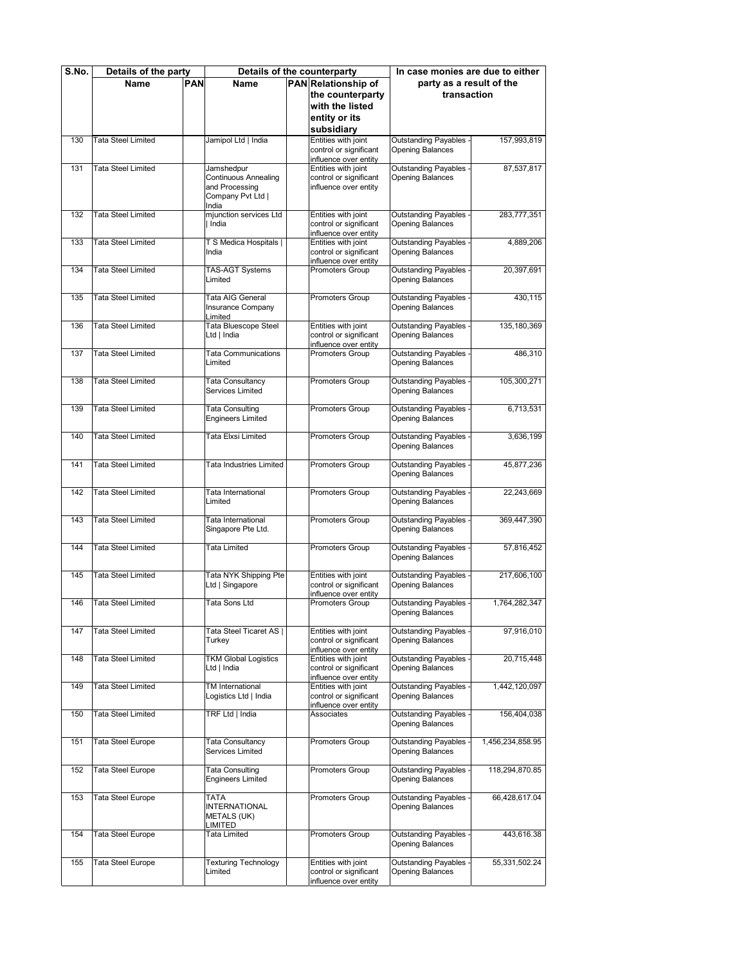| S.No. | Details of the party      |     |                                             | Details of the counterparty                     | In case monies are due to either                       |                  |
|-------|---------------------------|-----|---------------------------------------------|-------------------------------------------------|--------------------------------------------------------|------------------|
|       | Name                      | PAN | <b>Name</b>                                 | PAN Relationship of                             | party as a result of the                               |                  |
|       |                           |     |                                             | the counterparty                                | transaction                                            |                  |
|       |                           |     |                                             | with the listed                                 |                                                        |                  |
|       |                           |     |                                             | entity or its                                   |                                                        |                  |
|       |                           |     |                                             | subsidiary                                      |                                                        |                  |
| 130   | <b>Tata Steel Limited</b> |     | Jamipol Ltd   India                         | Entities with joint                             | <b>Outstanding Payables</b>                            | 157.993.819      |
|       |                           |     |                                             | control or significant                          | <b>Opening Balances</b>                                |                  |
| 131   | <b>Tata Steel Limited</b> |     | Jamshedpur                                  | influence over entity<br>Entities with joint    | <b>Outstanding Payables</b>                            | 87,537,817       |
|       |                           |     | <b>Continuous Annealing</b>                 | control or significant                          | <b>Opening Balances</b>                                |                  |
|       |                           |     | and Processing                              | influence over entity                           |                                                        |                  |
|       |                           |     | Company Pvt Ltd                             |                                                 |                                                        |                  |
| 132   | <b>Tata Steel Limited</b> |     | India<br>mjunction services Ltd             | Entities with joint                             | <b>Outstanding Payables</b>                            | 283,777,351      |
|       |                           |     | India                                       | control or significant                          | <b>Opening Balances</b>                                |                  |
|       |                           |     |                                             | influence over entity                           |                                                        |                  |
| 133   | <b>Tata Steel Limited</b> |     | T S Medica Hospitals                        | Entities with joint                             | <b>Outstanding Payables</b>                            | 4,889,206        |
|       |                           |     | India                                       | control or significant<br>influence over entity | <b>Opening Balances</b>                                |                  |
| 134   | <b>Tata Steel Limited</b> |     | <b>TAS-AGT Systems</b>                      | Promoters Group                                 | <b>Outstanding Payables</b>                            | 20,397,691       |
|       |                           |     | Limited                                     |                                                 | <b>Opening Balances</b>                                |                  |
| 135   | <b>Tata Steel Limited</b> |     | Tata AIG General                            |                                                 | <b>Outstanding Payables</b>                            | 430,115          |
|       |                           |     | Insurance Company                           | Promoters Group                                 | <b>Opening Balances</b>                                |                  |
|       |                           |     | Limited                                     |                                                 |                                                        |                  |
| 136   | <b>Tata Steel Limited</b> |     | Tata Bluescope Steel                        | Entities with joint                             | <b>Outstanding Payables</b>                            | 135, 180, 369    |
|       |                           |     | Ltd   India                                 | control or significant<br>influence over entity | Opening Balances                                       |                  |
| 137   | Tata Steel Limited        |     | <b>Tata Communications</b>                  | Promoters Group                                 | <b>Outstanding Payables</b>                            | 486,310          |
|       |                           |     | Limited                                     |                                                 | <b>Opening Balances</b>                                |                  |
|       |                           |     |                                             |                                                 |                                                        |                  |
| 138   | <b>Tata Steel Limited</b> |     | Tata Consultancy<br>Services Limited        | Promoters Group                                 | <b>Outstanding Payables</b><br><b>Opening Balances</b> | 105,300,271      |
|       |                           |     |                                             |                                                 |                                                        |                  |
| 139   | <b>Tata Steel Limited</b> |     | <b>Tata Consulting</b>                      | Promoters Group                                 | <b>Outstanding Payables</b>                            | 6,713,531        |
|       |                           |     | <b>Engineers Limited</b>                    |                                                 | <b>Opening Balances</b>                                |                  |
| 140   | <b>Tata Steel Limited</b> |     | Tata Elxsi Limited                          | Promoters Group                                 | <b>Outstanding Payables</b>                            | 3,636,199        |
|       |                           |     |                                             |                                                 | <b>Opening Balances</b>                                |                  |
|       |                           |     |                                             |                                                 |                                                        |                  |
| 141   | <b>Tata Steel Limited</b> |     | Tata Industries Limited                     | Promoters Group                                 | <b>Outstanding Payables</b>                            | 45,877,236       |
|       |                           |     |                                             |                                                 | Opening Balances                                       |                  |
| 142   | <b>Tata Steel Limited</b> |     | Tata International                          | Promoters Group                                 | <b>Outstanding Payables</b>                            | 22,243,669       |
|       |                           |     | Limited                                     |                                                 | <b>Opening Balances</b>                                |                  |
| 143   | <b>Tata Steel Limited</b> |     | Tata International                          | Promoters Group                                 | <b>Outstanding Payables</b>                            | 369,447,390      |
|       |                           |     | Singapore Pte Ltd.                          |                                                 | <b>Opening Balances</b>                                |                  |
|       |                           |     |                                             |                                                 |                                                        |                  |
| 144   | <b>Tata Steel Limited</b> |     | Tata Limited                                | <b>Promoters Group</b>                          | <b>Outstanding Payables</b>                            | 57,816,452       |
|       |                           |     |                                             |                                                 | <b>Opening Balances</b>                                |                  |
| 145   | <b>Tata Steel Limited</b> |     | Tata NYK Shipping Pte                       | Entities with joint                             | <b>Outstanding Payables</b>                            | 217,606,100      |
|       |                           |     | Ltd   Singapore                             | control or significant                          | <b>Opening Balances</b>                                |                  |
|       | <b>Tata Steel Limited</b> |     | Tata Sons Ltd                               | influence over entity                           |                                                        |                  |
| 146   |                           |     |                                             | Promoters Group                                 | <b>Outstanding Payables</b><br>∪pening Baiances        | 1,764,282,347    |
|       |                           |     |                                             |                                                 |                                                        |                  |
| 147   | Tata Steel Limited        |     | Tata Steel Ticaret AS                       | Entities with joint                             | <b>Outstanding Payables</b>                            | 97,916,010       |
|       |                           |     | Turkey                                      | control or significant<br>influence over entity | <b>Opening Balances</b>                                |                  |
| 148   | <b>Tata Steel Limited</b> |     | <b>TKM Global Logistics</b>                 | Entities with joint                             | <b>Outstanding Payables</b>                            | 20,715,448       |
|       |                           |     | Ltd   India                                 | control or significant                          | <b>Opening Balances</b>                                |                  |
|       |                           |     |                                             | influence over entity                           |                                                        |                  |
| 149   | <b>Tata Steel Limited</b> |     | TM International<br>Logistics Ltd   India   | Entities with joint<br>control or significant   | <b>Outstanding Payables</b><br>Opening Balances        | 1,442,120,097    |
|       |                           |     |                                             | influence over entity                           |                                                        |                  |
| 150   | <b>Tata Steel Limited</b> |     | TRF Ltd   India                             | Associates                                      | <b>Outstanding Payables</b>                            | 156,404,038      |
|       |                           |     |                                             |                                                 | <b>Opening Balances</b>                                |                  |
| 151   | <b>Tata Steel Europe</b>  |     | <b>Tata Consultancy</b>                     | Promoters Group                                 | <b>Outstanding Payables</b>                            | 1,456,234,858.95 |
|       |                           |     | Services Limited                            |                                                 | Opening Balances                                       |                  |
|       |                           |     |                                             |                                                 |                                                        |                  |
| 152   | Tata Steel Europe         |     | Tata Consulting<br><b>Engineers Limited</b> | Promoters Group                                 | <b>Outstanding Payables</b><br>Opening Balances        | 118,294,870.85   |
|       |                           |     |                                             |                                                 |                                                        |                  |
| 153   | <b>Tata Steel Europe</b>  |     | TATA                                        | Promoters Group                                 | <b>Outstanding Payables</b>                            | 66,428,617.04    |
|       |                           |     | <b>INTERNATIONAL</b>                        |                                                 | <b>Opening Balances</b>                                |                  |
|       |                           |     | <b>METALS (UK)</b><br>LIMITED               |                                                 |                                                        |                  |
| 154   | Tata Steel Europe         |     | Tata Limited                                | Promoters Group                                 | <b>Outstanding Payables</b>                            | 443,616.38       |
|       |                           |     |                                             |                                                 | <b>Opening Balances</b>                                |                  |
| 155   | Tata Steel Europe         |     | <b>Texturing Technology</b>                 | Entities with joint                             | <b>Outstanding Payables</b>                            | 55,331,502.24    |
|       |                           |     | Limited                                     | control or significant                          | Opening Balances                                       |                  |
|       |                           |     |                                             | influence over entity                           |                                                        |                  |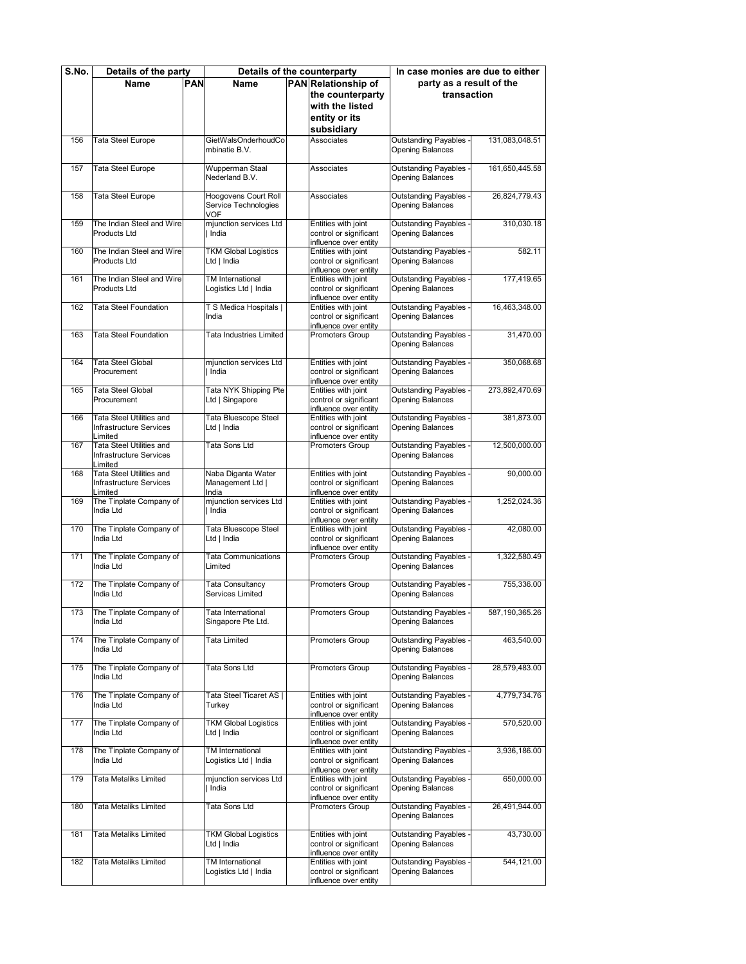| S.No. | Details of the party                                                  |            | Details of the counterparty                         |  | In case monies are due to either                                       |                                                        |                  |
|-------|-----------------------------------------------------------------------|------------|-----------------------------------------------------|--|------------------------------------------------------------------------|--------------------------------------------------------|------------------|
|       | Name                                                                  | <b>PAN</b> | Name                                                |  | PAN Relationship of                                                    | party as a result of the                               |                  |
|       |                                                                       |            |                                                     |  | the counterparty                                                       | transaction                                            |                  |
|       |                                                                       |            |                                                     |  | with the listed                                                        |                                                        |                  |
|       |                                                                       |            |                                                     |  | entity or its                                                          |                                                        |                  |
|       |                                                                       |            |                                                     |  |                                                                        |                                                        |                  |
|       |                                                                       |            |                                                     |  | subsidiary                                                             |                                                        |                  |
| 156   | Tata Steel Europe                                                     |            | GietWalsOnderhoudCo<br>mbinatie B.V.                |  | Associates                                                             | <b>Outstanding Payables</b><br><b>Opening Balances</b> | 131.083.048.51   |
| 157   | Tata Steel Europe                                                     |            | Wupperman Staal<br>Nederland B.V.                   |  | Associates                                                             | <b>Outstanding Payables</b><br><b>Opening Balances</b> | 161,650,445.58   |
| 158   | Tata Steel Europe                                                     |            | Hoogovens Court Roll<br>Service Technologies<br>VOF |  | Associates                                                             | <b>Outstanding Payables</b><br><b>Opening Balances</b> | 26,824,779.43    |
| 159   | The Indian Steel and Wire<br>Products Ltd                             |            | mjunction services Ltd<br>India                     |  | Entities with joint<br>control or significant<br>influence over entity | <b>Outstanding Payables</b><br><b>Opening Balances</b> | 310,030.18       |
| 160   | The Indian Steel and Wire<br><b>Products Ltd</b>                      |            | <b>TKM Global Logistics</b><br>Ltd   India          |  | Entities with joint<br>control or significant<br>influence over entity | <b>Outstanding Payables</b><br><b>Opening Balances</b> | 582.11           |
| 161   | The Indian Steel and Wire<br><b>Products Ltd</b>                      |            | TM International<br>Logistics Ltd   India           |  | Entities with joint<br>control or significant<br>influence over entity | <b>Outstanding Payables</b><br><b>Opening Balances</b> | 177,419.65       |
| 162   | Tata Steel Foundation                                                 |            | T S Medica Hospitals  <br>India                     |  | Entities with joint<br>control or significant<br>influence over entity | <b>Outstanding Payables</b><br><b>Opening Balances</b> | 16,463,348.00    |
| 163   | <b>Tata Steel Foundation</b>                                          |            | Tata Industries Limited                             |  | Promoters Group                                                        | Outstanding Payables<br><b>Opening Balances</b>        | 31,470.00        |
| 164   | <b>Tata Steel Global</b><br>Procurement                               |            | mjunction services Ltd<br>India                     |  | Entities with joint<br>control or significant<br>influence over entity | <b>Outstanding Payables</b><br><b>Opening Balances</b> | 350,068.68       |
| 165   | <b>Tata Steel Global</b><br>Procurement                               |            | Tata NYK Shipping Pte<br>Ltd   Singapore            |  | Entities with joint<br>control or significant<br>influence over entity | <b>Outstanding Payables</b><br>Opening Balances        | 273,892,470.69   |
| 166   | Tata Steel Utilities and<br>Infrastructure Services<br>Limited        |            | Tata Bluescope Steel<br>Ltd   India                 |  | Entities with joint<br>control or significant<br>influence over entity | Outstanding Payables<br><b>Opening Balances</b>        | 381,873.00       |
| 167   | Tata Steel Utilities and<br>Infrastructure Services<br>Limited        |            | Tata Sons Ltd                                       |  | Promoters Group                                                        | <b>Outstanding Payables</b><br><b>Opening Balances</b> | 12,500,000.00    |
| 168   | <b>Tata Steel Utilities and</b><br>Infrastructure Services<br>Limited |            | Naba Diganta Water<br>Management Ltd  <br>India     |  | Entities with joint<br>control or significant<br>influence over entity | <b>Outstanding Payables</b><br><b>Opening Balances</b> | 90,000.00        |
| 169   | The Tinplate Company of<br>India Ltd                                  |            | mjunction services Ltd<br>India                     |  | Entities with joint<br>control or significant<br>influence over entity | <b>Outstanding Payables</b><br><b>Opening Balances</b> | 1,252,024.36     |
| 170   | The Tinplate Company of<br>India Ltd                                  |            | Tata Bluescope Steel<br>Ltd   India                 |  | Entities with joint<br>control or significant<br>influence over entity | <b>Outstanding Payables</b><br><b>Opening Balances</b> | 42,080.00        |
| 171   | The Tinplate Company of<br>India Ltd                                  |            | <b>Tata Communications</b><br>Limited               |  | Promoters Group                                                        | <b>Outstanding Payables</b><br><b>Opening Balances</b> | 1,322,580.49     |
| 172   | The Tinplate Company of<br>India Ltd                                  |            | Tata Consultancy<br>Services Limited                |  | Promoters Group                                                        | <b>Outstanding Payables</b><br><b>Opening Balances</b> | 755,336.00       |
| 173   | The Tinplate Company of<br>India Ltd                                  |            | i ata International<br>Singapore Pte Ltd.           |  | Promoters Group                                                        | ∪utstanding Payabies<br><b>Opening Balances</b>        | 587, 190, 365.26 |
| 174   | The Tinplate Company of<br>India Ltd                                  |            | Tata Limited                                        |  | Promoters Group                                                        | <b>Outstanding Payables</b><br><b>Opening Balances</b> | 463,540.00       |
| 175   | The Tinplate Company of<br>India Ltd                                  |            | Tata Sons Ltd                                       |  | Promoters Group                                                        | <b>Outstanding Payables</b><br><b>Opening Balances</b> | 28,579,483.00    |
| 176   | The Tinplate Company of<br>India Ltd                                  |            | Tata Steel Ticaret AS  <br>Turkey                   |  | Entities with joint<br>control or significant<br>influence over entity | <b>Outstanding Payables</b><br><b>Opening Balances</b> | 4,779,734.76     |
| 177   | The Tinplate Company of<br>India Ltd                                  |            | <b>TKM Global Logistics</b><br>Ltd   India          |  | Entities with joint<br>control or significant<br>influence over entity | <b>Outstanding Payables</b><br><b>Opening Balances</b> | 570,520.00       |
| 178   | The Tinplate Company of<br>India Ltd                                  |            | TM International<br>Logistics Ltd   India           |  | Entities with joint<br>control or significant<br>influence over entity | <b>Outstanding Payables</b><br><b>Opening Balances</b> | 3,936,186.00     |
| 179   | <b>Tata Metaliks Limited</b>                                          |            | mjunction services Ltd<br>India                     |  | Entities with joint<br>control or significant<br>influence over entity | <b>Outstanding Payables</b><br><b>Opening Balances</b> | 650,000.00       |
| 180   | Tata Metaliks Limited                                                 |            | Tata Sons Ltd                                       |  | Promoters Group                                                        | <b>Outstanding Payables</b><br><b>Opening Balances</b> | 26,491,944.00    |
| 181   | Tata Metaliks Limited                                                 |            | <b>TKM Global Logistics</b><br>Ltd   India          |  | Entities with joint<br>control or significant<br>influence over entity | Outstanding Payables<br><b>Opening Balances</b>        | 43,730.00        |
| 182   | Tata Metaliks Limited                                                 |            | TM International<br>Logistics Ltd   India           |  | Entities with joint<br>control or significant<br>influence over entity | <b>Outstanding Payables</b><br><b>Opening Balances</b> | 544,121.00       |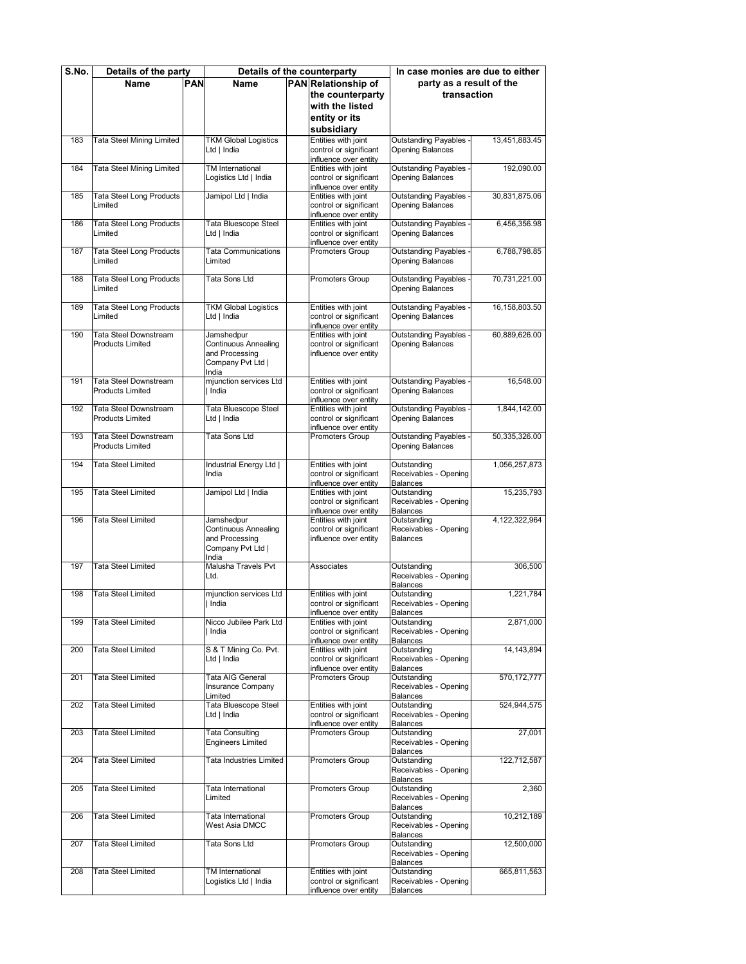| S.No. | Details of the party                             |            | Details of the counterparty               |  | In case monies are due to either                |                                                        |               |
|-------|--------------------------------------------------|------------|-------------------------------------------|--|-------------------------------------------------|--------------------------------------------------------|---------------|
|       | Name                                             | <b>PAN</b> | Name                                      |  | PAN Relationship of                             | party as a result of the                               |               |
|       |                                                  |            |                                           |  | the counterparty                                | transaction                                            |               |
|       |                                                  |            |                                           |  | with the listed                                 |                                                        |               |
|       |                                                  |            |                                           |  | entity or its                                   |                                                        |               |
|       |                                                  |            |                                           |  | subsidiary                                      |                                                        |               |
| 183   | <b>Tata Steel Mining Limited</b>                 |            | <b>TKM Global Logistics</b>               |  | Entities with joint                             | <b>Outstanding Payables</b>                            | 13,451,883.45 |
|       |                                                  |            | Ltd   India                               |  | control or significant                          | <b>Opening Balances</b>                                |               |
|       |                                                  |            |                                           |  | influence over entity                           |                                                        |               |
| 184   | Tata Steel Mining Limited                        |            | TM International                          |  | Entities with joint                             | <b>Outstanding Payables</b>                            | 192,090.00    |
|       |                                                  |            | Logistics Ltd   India                     |  | control or significant                          | <b>Opening Balances</b>                                |               |
|       |                                                  |            | Jamipol Ltd   India                       |  | influence over entity<br>Entities with joint    | <b>Outstanding Payables</b>                            |               |
| 185   | Tata Steel Long Products<br>Limited              |            |                                           |  | control or significant                          | <b>Opening Balances</b>                                | 30,831,875.06 |
|       |                                                  |            |                                           |  | influence over entity                           |                                                        |               |
| 186   | Tata Steel Long Products                         |            | <b>Tata Bluescope Steel</b>               |  | Entities with joint                             | <b>Outstanding Payables</b>                            | 6,456,356.98  |
|       | Limited                                          |            | Ltd   India                               |  | control or significant                          | <b>Opening Balances</b>                                |               |
|       |                                                  |            |                                           |  | influence over entity                           |                                                        |               |
| 187   | <b>Tata Steel Long Products</b>                  |            | <b>Tata Communications</b>                |  | Promoters Group                                 | <b>Outstanding Payables</b>                            | 6,788,798.85  |
|       | Limited                                          |            | Limited                                   |  |                                                 | <b>Opening Balances</b>                                |               |
| 188   | <b>Tata Steel Long Products</b>                  |            | Tata Sons Ltd                             |  | Promoters Group                                 | <b>Outstanding Payables</b>                            | 70,731,221.00 |
|       | Limited                                          |            |                                           |  |                                                 | <b>Opening Balances</b>                                |               |
|       |                                                  |            |                                           |  |                                                 |                                                        |               |
| 189   | Tata Steel Long Products                         |            | <b>TKM Global Logistics</b>               |  | Entities with joint                             | <b>Outstanding Payables</b>                            | 16,158,803.50 |
|       | Limited                                          |            | Ltd   India                               |  | control or significant                          | <b>Opening Balances</b>                                |               |
|       |                                                  |            |                                           |  | influence over entity                           |                                                        |               |
| 190   | Tata Steel Downstream<br><b>Products Limited</b> |            | Jamshedpur<br><b>Continuous Annealing</b> |  | Entities with joint<br>control or significant   | <b>Outstanding Payables</b><br><b>Opening Balances</b> | 60,889,626.00 |
|       |                                                  |            | and Processing                            |  | influence over entity                           |                                                        |               |
|       |                                                  |            | Company Pvt Ltd                           |  |                                                 |                                                        |               |
|       |                                                  |            | India                                     |  |                                                 |                                                        |               |
| 191   | <b>Tata Steel Downstream</b>                     |            | mjunction services Ltd                    |  | Entities with joint                             | <b>Outstanding Payables</b>                            | 16,548.00     |
|       | <b>Products Limited</b>                          |            | India                                     |  | control or significant                          | <b>Opening Balances</b>                                |               |
|       |                                                  |            |                                           |  | influence over entity                           |                                                        |               |
| 192   | Tata Steel Downstream<br><b>Products Limited</b> |            | Tata Bluescope Steel                      |  | Entities with joint                             | <b>Outstanding Payables</b><br><b>Opening Balances</b> | 1.844.142.00  |
|       |                                                  |            | Ltd   India                               |  | control or significant<br>influence over entity |                                                        |               |
| 193   | Tata Steel Downstream                            |            | Tata Sons Ltd                             |  | Promoters Group                                 | <b>Outstanding Payables</b>                            | 50,335,326.00 |
|       | <b>Products Limited</b>                          |            |                                           |  |                                                 | <b>Opening Balances</b>                                |               |
|       |                                                  |            |                                           |  |                                                 |                                                        |               |
| 194   | <b>Tata Steel Limited</b>                        |            | Industrial Energy Ltd                     |  | Entities with joint                             | Outstanding                                            | 1,056,257,873 |
|       |                                                  |            | India                                     |  | control or significant                          | Receivables - Opening                                  |               |
| 195   | <b>Tata Steel Limited</b>                        |            | Jamipol Ltd   India                       |  | influence over entity<br>Entities with joint    | Balances<br>Outstanding                                | 15,235,793    |
|       |                                                  |            |                                           |  | control or significant                          | Receivables - Opening                                  |               |
|       |                                                  |            |                                           |  | influence over entity                           | Balances                                               |               |
| 196   | <b>Tata Steel Limited</b>                        |            | Jamshedpur                                |  | Entities with joint                             | Outstanding                                            | 4,122,322,964 |
|       |                                                  |            | <b>Continuous Annealing</b>               |  | control or significant                          | Receivables - Opening                                  |               |
|       |                                                  |            | and Processing                            |  | influence over entity                           | <b>Balances</b>                                        |               |
|       |                                                  |            | Company Pvt Ltd  <br>India                |  |                                                 |                                                        |               |
| 197   | <b>Tata Steel Limited</b>                        |            | Malusha Travels Pvt                       |  | Associates                                      | Outstanding                                            | 306,500       |
|       |                                                  |            | Ltd.                                      |  |                                                 | Receivables - Opening                                  |               |
|       |                                                  |            |                                           |  |                                                 | Balances                                               |               |
| 198   | <b>Tata Steel Limited</b>                        |            | mjunction services Ltd                    |  | Entities with joint                             | Outstanding                                            | 1,221,784     |
|       |                                                  |            | India                                     |  | control or significant                          | Receivables - Opening                                  |               |
|       |                                                  |            |                                           |  | influence over entity                           | Balances                                               |               |
| 199   | <b>Tata Steel Limited</b>                        |            | Nicco Jubilee Park Ltd<br>India           |  | Entities with joint<br>control or significant   | Outstanding<br>Receivables - Opening                   | 2,871,000     |
|       |                                                  |            |                                           |  | influence over entity                           | Balances                                               |               |
| 200   | Tata Steel Limited                               |            | S & T Mining Co. Pvt.                     |  | Entities with joint                             | Outstanding                                            | 14, 143, 894  |
|       |                                                  |            | Ltd   India                               |  | control or significant                          | Receivables - Opening                                  |               |
|       |                                                  |            |                                           |  | influence over entity                           | Balances                                               |               |
| 201   | Tata Steel Limited                               |            | Tata AIG General                          |  | Promoters Group                                 | Outstanding                                            | 570, 172, 777 |
|       |                                                  |            | Insurance Company                         |  |                                                 | Receivables - Opening                                  |               |
| 202   | Tata Steel Limited                               |            | Limited<br>Tata Bluescope Steel           |  | Entities with joint                             | Balances<br>Outstanding                                | 524,944,575   |
|       |                                                  |            | Ltd   India                               |  | control or significant                          | Receivables - Opening                                  |               |
|       |                                                  |            |                                           |  | influence over entity                           | <b>Balances</b>                                        |               |
| 203   | Tata Steel Limited                               |            | Tata Consulting                           |  | Promoters Group                                 | Outstanding                                            | 27,001        |
|       |                                                  |            | <b>Engineers Limited</b>                  |  |                                                 | Receivables - Opening                                  |               |
|       |                                                  |            |                                           |  |                                                 | <b>Balances</b>                                        |               |
| 204   | Tata Steel Limited                               |            | Tata Industries Limited                   |  | Promoters Group                                 | Outstanding                                            | 122,712,587   |
|       |                                                  |            |                                           |  |                                                 | Receivables - Opening<br>Balances                      |               |
| 205   | Tata Steel Limited                               |            | Tata International                        |  | Promoters Group                                 | Outstanding                                            | 2,360         |
|       |                                                  |            | Limited                                   |  |                                                 | Receivables - Opening                                  |               |
|       |                                                  |            |                                           |  |                                                 | Balances                                               |               |
| 206   | Tata Steel Limited                               |            | Tata International                        |  | Promoters Group                                 | Outstanding                                            | 10,212,189    |
|       |                                                  |            | West Asia DMCC                            |  |                                                 | Receivables - Opening                                  |               |
|       |                                                  |            |                                           |  |                                                 | Balances                                               |               |
| 207   | Tata Steel Limited                               |            | Tata Sons Ltd                             |  | Promoters Group                                 | Outstanding<br>Receivables - Opening                   | 12,500,000    |
|       |                                                  |            |                                           |  |                                                 | Balances                                               |               |
| 208   | Tata Steel Limited                               |            | TM International                          |  | Entities with joint                             | Outstanding                                            | 665,811,563   |
|       |                                                  |            | Logistics Ltd   India                     |  | control or significant                          | Receivables - Opening                                  |               |
|       |                                                  |            |                                           |  | influence over entity                           | <b>Balances</b>                                        |               |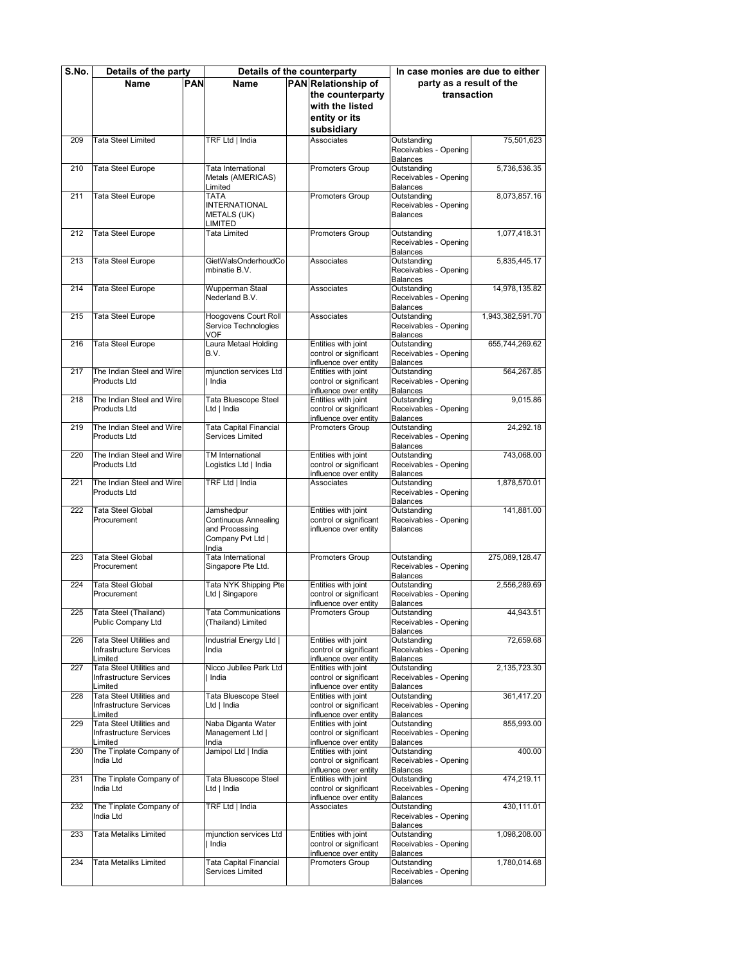| S.No. | Details of the party                             |            | Details of the counterparty               |  | In case monies are due to either              |                                          |                  |
|-------|--------------------------------------------------|------------|-------------------------------------------|--|-----------------------------------------------|------------------------------------------|------------------|
|       | Name                                             | <b>PAN</b> | Name                                      |  | PAN Relationship of                           | party as a result of the                 |                  |
|       |                                                  |            |                                           |  | the counterparty                              | transaction                              |                  |
|       |                                                  |            |                                           |  |                                               |                                          |                  |
|       |                                                  |            |                                           |  | with the listed                               |                                          |                  |
|       |                                                  |            |                                           |  | entity or its                                 |                                          |                  |
|       |                                                  |            |                                           |  | subsidiary                                    |                                          |                  |
| 209   | Tata Steel Limited                               |            | TRF Ltd   India                           |  | Associates                                    | Outstanding                              | 75,501,623       |
|       |                                                  |            |                                           |  |                                               | Receivables - Opening                    |                  |
|       |                                                  |            |                                           |  |                                               | <b>Balances</b>                          |                  |
| 210   | Tata Steel Europe                                |            | Tata International                        |  | Promoters Group                               | Outstanding                              | 5,736,536.35     |
|       |                                                  |            | Metals (AMERICAS)                         |  |                                               | Receivables - Opening                    |                  |
|       |                                                  |            | Limited                                   |  |                                               | <b>Balances</b>                          |                  |
| 211   | Tata Steel Europe                                |            | <b>TATA</b><br><b>INTERNATIONAL</b>       |  | Promoters Group                               | Outstanding<br>Receivables - Opening     | 8,073,857.16     |
|       |                                                  |            |                                           |  |                                               | <b>Balances</b>                          |                  |
|       |                                                  |            | <b>METALS (UK)</b><br>LIMITED             |  |                                               |                                          |                  |
| 212   | Tata Steel Europe                                |            | Tata Limited                              |  | Promoters Group                               | Outstanding                              | 1,077,418.31     |
|       |                                                  |            |                                           |  |                                               | Receivables - Opening                    |                  |
|       |                                                  |            |                                           |  |                                               | <b>Balances</b>                          |                  |
| 213   | Tata Steel Europe                                |            | GietWalsOnderhoudCo                       |  | Associates                                    | Outstanding                              | 5,835,445.17     |
|       |                                                  |            | mbinatie B.V.                             |  |                                               | Receivables - Opening                    |                  |
|       |                                                  |            |                                           |  |                                               | <b>Balances</b>                          |                  |
| 214   | Tata Steel Europe                                |            | Wupperman Staal                           |  | Associates                                    | Outstanding                              | 14,978,135.82    |
|       |                                                  |            | Nederland B.V.                            |  |                                               | Receivables - Opening                    |                  |
|       |                                                  |            |                                           |  |                                               | <b>Balances</b>                          |                  |
| 215   | Tata Steel Europe                                |            | Hoogovens Court Roll                      |  | Associates                                    | Outstanding                              | 1,943,382,591.70 |
|       |                                                  |            | Service Technologies                      |  |                                               | Receivables - Opening                    |                  |
|       |                                                  |            | VOF                                       |  |                                               | <b>Balances</b><br>Outstanding           |                  |
| 216   | Tata Steel Europe                                |            | Laura Metaal Holding<br>B.V.              |  | Entities with joint<br>control or significant | Receivables - Opening                    | 655,744,269.62   |
|       |                                                  |            |                                           |  | influence over entity                         | <b>Balances</b>                          |                  |
| 217   | The Indian Steel and Wire                        |            | mjunction services Ltd                    |  | Entities with joint                           | Outstanding                              | 564,267.85       |
|       | <b>Products Ltd</b>                              |            | India                                     |  | control or significant                        | Receivables - Opening                    |                  |
|       |                                                  |            |                                           |  | influence over entity                         | <b>Balances</b>                          |                  |
| 218   | The Indian Steel and Wire                        |            | Tata Bluescope Steel                      |  | Entities with joint                           | Outstanding                              | 9,015.86         |
|       | <b>Products Ltd</b>                              |            | Ltd   India                               |  | control or significant                        | Receivables - Opening                    |                  |
|       |                                                  |            |                                           |  | influence over entity                         | <b>Balances</b>                          |                  |
| 219   | The Indian Steel and Wire                        |            | <b>Tata Capital Financial</b>             |  | Promoters Group                               | Outstanding                              | 24,292.18        |
|       | <b>Products Ltd</b>                              |            | Services Limited                          |  |                                               | Receivables - Opening                    |                  |
|       |                                                  |            |                                           |  |                                               | <b>Balances</b>                          |                  |
| 220   | The Indian Steel and Wire                        |            | TM International                          |  | Entities with joint                           | Outstanding                              | 743,068.00       |
|       | <b>Products Ltd</b>                              |            | Logistics Ltd   India                     |  | control or significant                        | Receivables - Opening                    |                  |
|       |                                                  |            |                                           |  | influence over entity                         | <b>Balances</b>                          |                  |
| 221   | The Indian Steel and Wire<br><b>Products Ltd</b> |            | TRF Ltd   India                           |  | Associates                                    | Outstanding<br>Receivables - Opening     | 1,878,570.01     |
|       |                                                  |            |                                           |  |                                               | <b>Balances</b>                          |                  |
| 222   | <b>Tata Steel Global</b>                         |            | Jamshedpur                                |  | Entities with joint                           | Outstanding                              | 141,881.00       |
|       | Procurement                                      |            | <b>Continuous Annealing</b>               |  | control or significant                        | Receivables - Opening                    |                  |
|       |                                                  |            | and Processing                            |  | influence over entity                         | <b>Balances</b>                          |                  |
|       |                                                  |            | Company Pvt Ltd                           |  |                                               |                                          |                  |
|       |                                                  |            | India                                     |  |                                               |                                          |                  |
| 223   | <b>Tata Steel Global</b>                         |            | Tata International                        |  | Promoters Group                               | Outstanding                              | 275,089,128.47   |
|       | Procurement                                      |            | Singapore Pte Ltd.                        |  |                                               | Receivables - Opening                    |                  |
|       |                                                  |            |                                           |  |                                               | <b>Balances</b>                          |                  |
| 224   | Tata Steel Global                                |            | Tata NYK Shipping Pte                     |  | Entities with joint                           | Outstanding                              | 2.556.289.69     |
|       | Procurement                                      |            | Ltd   Singapore                           |  | control or significant                        | Receivables - Opening                    |                  |
|       |                                                  |            |                                           |  | influence over entity                         | <b>Balances</b>                          |                  |
| 225   | Tata Steel (Thailand)<br>Public Company Ltd      |            | Tata Communications<br>(Thailand) Limited |  | Promoters Group                               | ∪utstanding<br>Receivables - Opening     | 44,943.51        |
|       |                                                  |            |                                           |  |                                               | <b>Balances</b>                          |                  |
| 226   | Tata Steel Utilities and                         |            | Industrial Energy Ltd                     |  | Entities with joint                           | Outstanding                              | 72,659.68        |
|       | Infrastructure Services                          |            | India                                     |  | control or significant                        | Receivables - Opening                    |                  |
|       | Limited                                          |            |                                           |  | influence over entity                         | <b>Balances</b>                          |                  |
| 227   | Tata Steel Utilities and                         |            | Nicco Jubilee Park Ltd                    |  | Entities with joint                           | Outstanding                              | 2,135,723.30     |
|       | Infrastructure Services                          |            | India                                     |  | control or significant                        | Receivables - Opening                    |                  |
|       | Limited                                          |            |                                           |  | influence over entity                         | <b>Balances</b>                          |                  |
| 228   | Tata Steel Utilities and                         |            | Tata Bluescope Steel                      |  | Entities with joint                           | Outstanding                              | 361,417.20       |
|       | Infrastructure Services                          |            | Ltd   India                               |  | control or significant                        | Receivables - Opening                    |                  |
|       | Limited                                          |            |                                           |  | influence over entity                         | <b>Balances</b>                          |                  |
| 229   | <b>Tata Steel Utilities and</b>                  |            | Naba Diganta Water                        |  | Entities with joint                           | Outstanding                              | 855,993.00       |
|       | Infrastructure Services                          |            | Management Ltd                            |  | control or significant                        | Receivables - Opening                    |                  |
| 230   | Limited<br>The Tinplate Company of               |            | India<br>Jamipol Ltd   India              |  | influence over entity                         | <b>Balances</b><br>Outstanding           | 400.00           |
|       | India Ltd                                        |            |                                           |  | Entities with joint<br>control or significant | Receivables - Opening                    |                  |
|       |                                                  |            |                                           |  | influence over entity                         | <b>Balances</b>                          |                  |
| 231   | The Tinplate Company of                          |            | Tata Bluescope Steel                      |  | Entities with joint                           | Outstanding                              | 474,219.11       |
|       | India Ltd                                        |            | Ltd   India                               |  | control or significant                        | Receivables - Opening                    |                  |
|       |                                                  |            |                                           |  | influence over entity                         | <b>Balances</b>                          |                  |
| 232   | The Tinplate Company of                          |            | TRF Ltd   India                           |  | Associates                                    | Outstanding                              | 430,111.01       |
|       | India Ltd                                        |            |                                           |  |                                               | Receivables - Opening                    |                  |
|       |                                                  |            |                                           |  |                                               | <b>Balances</b>                          |                  |
| 233   | Tata Metaliks Limited                            |            | mjunction services Ltd                    |  | Entities with joint                           | Outstanding                              | 1,098,208.00     |
|       |                                                  |            | India                                     |  | control or significant                        | Receivables - Opening                    |                  |
|       |                                                  |            |                                           |  | influence over entity                         | <b>Balances</b>                          |                  |
| 234   | Tata Metaliks Limited                            |            | <b>Tata Capital Financial</b>             |  | Promoters Group                               | Outstanding                              | 1,780,014.68     |
|       |                                                  |            | Services Limited                          |  |                                               | Receivables - Opening<br><b>Balances</b> |                  |
|       |                                                  |            |                                           |  |                                               |                                          |                  |